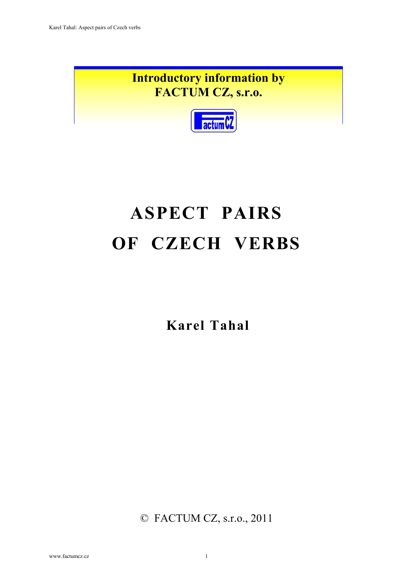**Introductory information by FACTUM CZ, s.r.o.** 



# **ASPECT PAIRS OF CZECH VERBS**

**Karel Tahal** 

© FACTUM CZ, s.r.o., 2011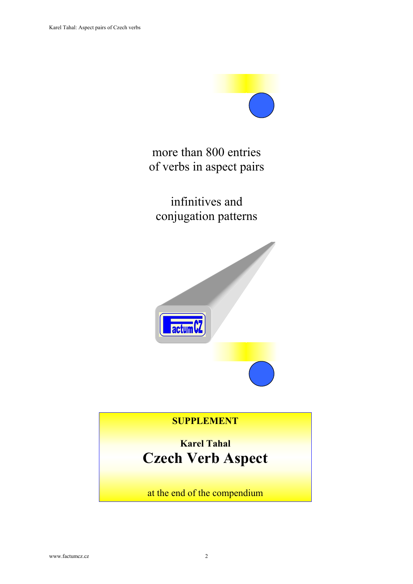

more than 800 entries of verbs in aspect pairs

infinitives and conjugation patterns



### **SUPPLEMENT**

**Karel Tahal Czech Verb Aspect** 

at the end of the compendium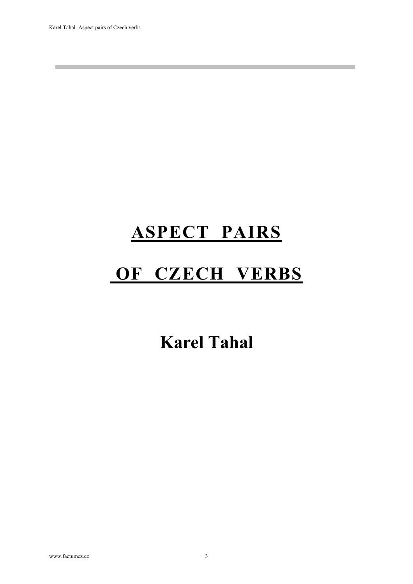# **ASPECT PAIRS**

# **OF CZECH VERBS**

**Karel Tahal**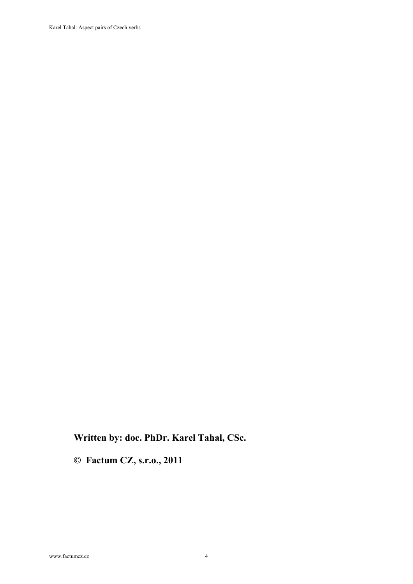Karel Tahal: Aspect pairs of Czech verbs

### **Written by: doc. PhDr. Karel Tahal, CSc.**

**© Factum CZ, s.r.o., 2011**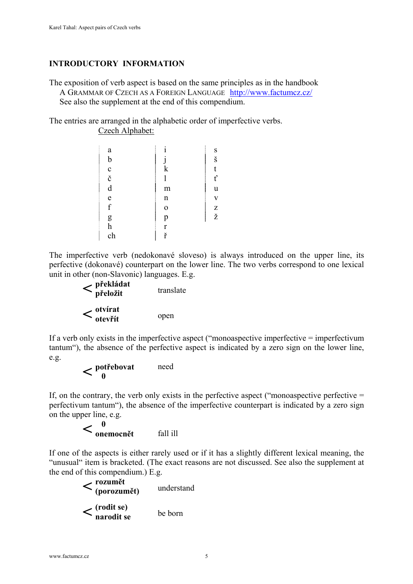#### **INTRODUCTORY INFORMATION**

The exposition of verb aspect is based on the same principles as in the handbook A GRAMMAR OF CZECH AS A FOREIGN LANGUAGE http://www.factumcz.cz/ See also the supplement at the end of this compendium.

The entries are arranged in the alphabetic order of imperfective verbs.

Czech Alphabet:

| a           | İ<br>i | ŧ<br>S                |
|-------------|--------|-----------------------|
| $\mathbf b$ |        | š                     |
|             | k      | t                     |
| c<br>č<br>d | l      | ť                     |
|             | m      | u                     |
| e           | n      | $\mathbf{V}$          |
| $\mathbf f$ | 0      | $\frac{z}{\check{z}}$ |
| g           | p      |                       |
| h           | r      |                       |
| ch          | ř      |                       |

The imperfective verb (nedokonavé sloveso) is always introduced on the upper line, its perfective (dokonavé) counterpart on the lower line. The two verbs correspond to one lexical unit in other (non-Slavonic) languages. E.g.

| – překládat<br>$\sim$ přeložit | translate |
|--------------------------------|-----------|
| otvírat<br>otevřít             | open      |

If a verb only exists in the imperfective aspect ("monoaspective imperfective = imperfectivum tantum"), the absence of the perfective aspect is indicated by a zero sign on the lower line, e.g.

 $\langle \begin{array}{c} \n\text{potřebovat} \\
0 \n\end{array}$ need

If, on the contrary, the verb only exists in the perfective aspect ("monoaspective perfective  $=$ perfectivum tantum"), the absence of the imperfective counterpart is indicated by a zero sign on the upper line, e.g.

 **0 < onemocnět** fall ill

If one of the aspects is either rarely used or if it has a slightly different lexical meaning, the "unusual" item is bracketed. (The exact reasons are not discussed. See also the supplement at the end of this compendium.) E.g.

\n
$$
\left\{\n \begin{array}{l}\n \text{rozumět} \\
 \text{(porozumět)} \\
 \text{vardit se}\n \end{array}\n \right.
$$
\n

\n\n $\left(\n \begin{array}{l}\n \text{rodit se} \\
 \text{harodit se}\n \end{array}\n \right).$ \n

\n\n $\left\{\n \begin{array}{l}\n \text{vodit se} \\
 \text{barodit se}\n \end{array}\n \right.$ \n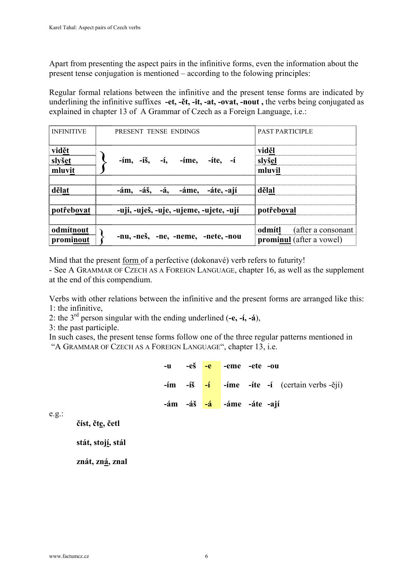Apart from presenting the aspect pairs in the infinitive forms, even the information about the present tense conjugation is mentioned – according to the folowing principles:

Regular formal relations between the infinitive and the present tense forms are indicated by underlining the infinitive suffixes **-et, -ět, -it, -at, -ovat, -nout ,** the verbs being conjugated as explained in chapter 13 of A Grammar of Czech as a Foreign Language, i.e.:

| <b>INFINITIVE</b>         | PRESENT TENSE ENDINGS                                                                                   | <b>PAST PARTICIPLE</b>                                           |
|---------------------------|---------------------------------------------------------------------------------------------------------|------------------------------------------------------------------|
| vidět<br>slyšet<br>mluvit | $-i$ m, $-i$ š, $-i$ , $-i$ me,<br>$-ite$ , $-i$                                                        | viděl<br>slyšel<br>mluvil                                        |
| dělat                     | $-\acute{a}m$ , $-\acute{a}\acute{s}$ , $-\acute{a}$ , $-\acute{a}me$ , $-\acute{a}te$ , $-\acute{a}ji$ | dělal                                                            |
| potřebovat                | -uji, -uješ, -uje, -ujeme, -ujete, -ují                                                                 | potřeboval                                                       |
| odmítnout<br>prominout    | -nu, -neš, -ne, -neme, -nete, -nou                                                                      | odmítl<br>(after a consonant)<br><b>prominul</b> (after a vowel) |

Mind that the present form of a perfective (dokonavé) verb refers to futurity!

- See A GRAMMAR OF CZECH AS A FOREIGN LANGUAGE, chapter 16, as well as the supplement at the end of this compendium.

Verbs with other relations between the infinitive and the present forms are arranged like this: 1: the infinitive,

2: the 3rd person singular with the ending underlined (**-e, -í, -á**),

3: the past participle.

In such cases, the present tense forms follow one of the three regular patterns mentioned in "A GRAMMAR OF CZECH AS A FOREIGN LANGUAGE", chapter 13, i.e.

|  | -u -eš <mark>-e </mark> -eme -ete -ou   |                                              |
|--|-----------------------------------------|----------------------------------------------|
|  |                                         | -ím -íš -í -íme -íte -í (certain verbs -ějí) |
|  | -ám -áš <mark>-á </mark> -áme -áte -ají |                                              |

e.g.:

**číst, čte, četl** 

**stát, stojí, stál** 

**znát, zná, znal**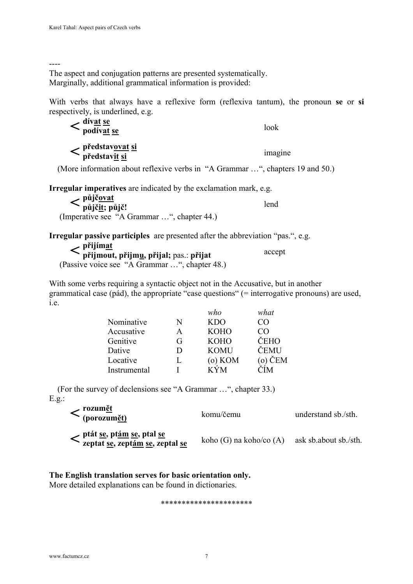----

The aspect and conjugation patterns are presented systematically. Marginally, additional grammatical information is provided:

With verbs that always have a reflexive form (reflexiva tantum), the pronoun **se** or **si**  respectively, is underlined, e.g.

**dívat se < podívat se** look **<sup>p</sup>ředstavovat si < <sup>p</sup>ředstavit si** imagine (More information about reflexive verbs in "A Grammar …", chapters 19 and 50.) **Irregular imperatives** are indicated by the exclamation mark, e.g. **<sup>p</sup>ůjčovat < <sup>p</sup>ůjčit; půjč!** lend (Imperative see "A Grammar …", chapter 44.)

**Irregular passive participles** are presented after the abbreviation "pas.", e.g. **<sup>p</sup>řijímat < <sup>p</sup>řijmout, přijmu, přijal;** pas.: **přijat** accept (Passive voice see "A Grammar …", chapter 48.)

With some verbs requiring a syntactic object not in the Accusative, but in another grammatical case (pád), the appropriate "case questions" (= interrogative pronouns) are used, i.e.

|              |   | who         | what     |
|--------------|---|-------------|----------|
| Nominative   | N | <b>KDO</b>  | $\alpha$ |
| Accusative   | А | <b>KOHO</b> |          |
| Genitive     | G | <b>KOHO</b> | ČEHO     |
| Dative       | Ð | <b>KOMU</b> | ČEMU     |
| Locative     | L | (o) KOM     | ČEM      |
| Instrumental |   | <b>KÝM</b>  |          |

(For the survey of declensions see "A Grammar …", chapter 33.)

E.g.:

| $\langle \frac{\text{rozumět}}{(\text{porozumět})}}$                                                           | komu/čemu                                         | understand sb./sth. |
|----------------------------------------------------------------------------------------------------------------|---------------------------------------------------|---------------------|
| < ptát <u>se,</u> pt <u>ám se,</u> ptal <u>se</u><br>< zeptat <u>se</u> , zept <u>ám se</u> , zeptal <u>se</u> | koho $(G)$ na koho/co $(A)$ ask sb.about sb./sth. |                     |

**The English translation serves for basic orientation only.**  More detailed explanations can be found in dictionaries.

\*\*\*\*\*\*\*\*\*\*\*\*\*\*\*\*\*\*\*\*\*\*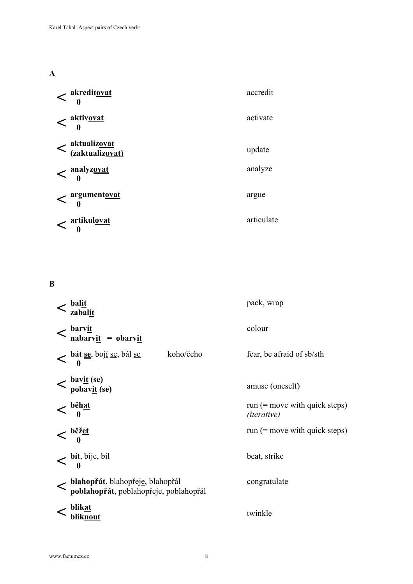**A** 

| < $\frac{\text{aktredit}_{\text{ovat}}}{0}$                                 | accredit<br>accretit |
|-----------------------------------------------------------------------------|----------------------|
| < $\frac{\text{aktivaliz}_{\text{ovat}}}{\text{(zaktualiz}_{\text{ovat}})}$ | activate<br>update   |
| < $\frac{\text{analyz}_{\text{ovat}}}{0}$                                   | unedge               |
| < $\frac{\text{argument}_{\text{ovat}}}{0}$                                 | argue                |
| < $\frac{\text{artikul}_{\text{ovat}}}{0}$                                  | articulate           |

#### **B**

 $\langle \frac{\text{ballit}}{\text{zabalit}} \rangle$ pack, wrap **barvit < nabarvit = obarvit** colour **bát se**, bojí se, bál sekoho/čeho **< 0**  fear, be afraid of sb/sth **bavit (se) < pobavit (se)**  amuse (oneself)  $\langle \nabla \cdot \nabla \cdot \nabla \cdot \nabla \cdot \nabla \cdot \nabla \cdot \nabla \cdot \nabla \cdot \nabla \cdot \nabla \cdot \nabla \cdot \nabla \cdot \nabla \cdot \nabla \cdot \nabla \cdot \nabla \cdot \nabla \cdot \nabla \cdot \nabla \cdot \nabla \cdot \nabla \cdot \nabla \cdot \nabla \cdot \nabla \cdot \nabla \cdot \nabla \cdot \nabla \cdot \nabla \cdot \nabla \cdot \nabla \cdot \nabla \cdot \nabla \cdot \nabla \cdot \nabla \cdot \nabla \cdot \nabla \cdot \n$ run (= move with quick steps) *(iterative)* $<\frac{b$ ěž<u>et</u> run (= move with quick steps)  $\langle \mathbf{b} \, \mathbf{b} \, \mathbf{b} \, \mathbf{b} \, \mathbf{b} \, \mathbf{b} \, \mathbf{b} \, \mathbf{b} \, \mathbf{b} \, \mathbf{b} \, \mathbf{b} \, \mathbf{b} \, \mathbf{b} \, \mathbf{b} \, \mathbf{b} \, \mathbf{b} \, \mathbf{b} \, \mathbf{b} \, \mathbf{b} \, \mathbf{b} \, \mathbf{b} \, \mathbf{b} \, \mathbf{b} \, \mathbf{b} \, \mathbf{b} \, \mathbf{b} \, \mathbf{b} \, \math$ beat, strike **blahopřát**, blahopřeje, blahopřál **< poblahopřát**, poblahopřeje, poblahopřál congratulate **blikat < bliknout** twinkle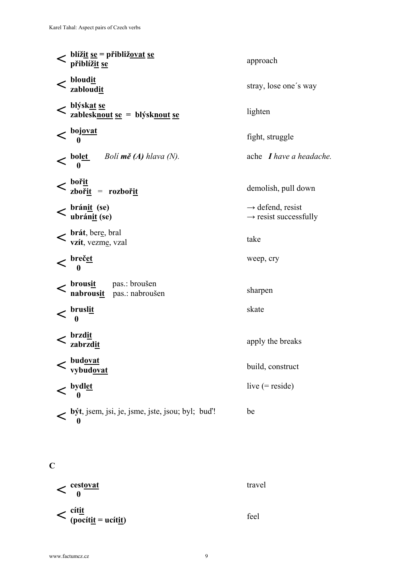| <br>blíž <u>it se</u> = přibliž <u>ovat se</u><br>< přiblíž <u>it se</u>                                                                                                                                                                     | approach                                                          |
|----------------------------------------------------------------------------------------------------------------------------------------------------------------------------------------------------------------------------------------------|-------------------------------------------------------------------|
| $\langle \frac{\text{bloudit}}{\text{zabloudit}}$                                                                                                                                                                                            | stray, lose one's way                                             |
| $\leftarrow \frac{b lýsk \underline{at} \underline{se}}{zablesk \underline{nout} \underline{se}} = b lýsk \underline{nout} \underline{se}$                                                                                                   | lighten                                                           |
| $\langle \begin{array}{c} \text{bojovat} \\ 0 \end{array}$                                                                                                                                                                                   | fight, struggle                                                   |
| $\leftarrow \frac{\text{bolet}}{\text{n}}$ Boli mě (A) hlava (N).<br>$\boldsymbol{0}$                                                                                                                                                        | ache <i>I have a headache</i> .                                   |
| $\langle \frac{\text{bořit}}{\text{zbořit}} = \text{rozbořit}$                                                                                                                                                                               | demolish, pull down                                               |
| <br>krán <u>it</u> (se)<br>the value of the value of the value of the value of the value of the value of the value of the value of the value of the value of the value of the value of the value of the value of the value of                | $\rightarrow$ defend, resist<br>$\rightarrow$ resist successfully |
| $\langle \mathbf{r} \rangle$ state berg bral views views views views views views views views views views views views views views views views views views views views views views views views views views views views views views views views | take                                                              |
| $\boldsymbol{0}$                                                                                                                                                                                                                             | weep, cry                                                         |
| s brous <u>it</u> pas.: broušen<br><b>nabrous<u>it</u></b> pas.: nabroušen                                                                                                                                                                   | sharpen                                                           |
| $\leq \frac{\text{bruslit}}{c}$<br>0                                                                                                                                                                                                         | skate                                                             |
| <b>brzdit</b><br>zabrzdit                                                                                                                                                                                                                    | apply the breaks                                                  |
| bud <u>ovat</u><br>vybudovat                                                                                                                                                                                                                 | build, construct                                                  |
| bydlet                                                                                                                                                                                                                                       | live $(=$ reside)                                                 |
| být, jsem, jsi, je, jsme, jste, jsou; byl; buď!                                                                                                                                                                                              | be                                                                |
|                                                                                                                                                                                                                                              |                                                                   |

$$
\mathbf{C}^{\mathsf{I}}
$$

 $\langle \frac{\text{cest}_{\text{ovat}}}{\theta} \rangle$ travel  $\langle \frac{\text{c}^{\text{int}} \cdot \text{c}^{\text{int}} \cdot \text{c}^{\text{int}} \cdot \text{c}^{\text{int}} \cdot \text{c}^{\text{int}} \cdot \text{c}^{\text{int}} \cdot \text{c}^{\text{int}} \cdot \text{c}^{\text{int}} \cdot \text{c}^{\text{int}} \cdot \text{c}^{\text{int}} \cdot \text{c}^{\text{int}} \cdot \text{c}^{\text{int}} \cdot \text{c}^{\text{int}} \cdot \text{c}^{\text{int}} \cdot \text{c}^{\text{int}} \cdot \text{c}^{\text{int}} \cdot \text{c}^{\text$ feel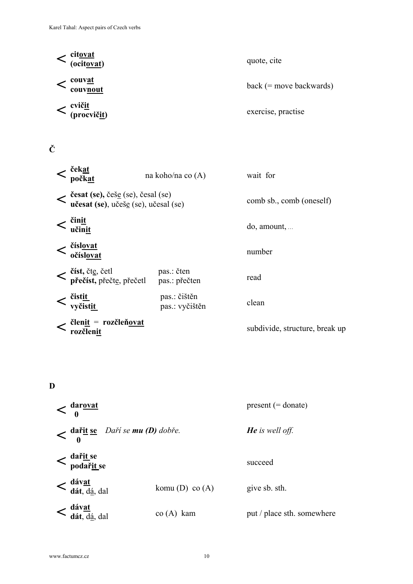

### **Č**

| $\langle \xi_{\rm peak} \rangle$                                                                         | na koho/na co $(A)$            | wait for                       |
|----------------------------------------------------------------------------------------------------------|--------------------------------|--------------------------------|
| $\leftarrow \frac{\text{česat (se), češe (se), česal (se)}{\text{učesat (se), učese (se), učesal (se)}}$ |                                | comb sb., comb (oneself)       |
| $\langle \frac{\text{čini}}{\text{učinit}} \rangle$                                                      |                                | $do$ , amount,                 |
| $\leq$ <sup>čísl<u>ovat</u></sup><br>očíslovat                                                           |                                | number                         |
| ist, čte, četl pas.: čten<br>přečíst, přečte, přečetl pas.: přečten                                      |                                | read                           |
| $\langle \frac{\text{čisti}}{\text{vycisti}} \rangle$                                                    | pas.: čištěn<br>pas.: vyčištěn | clean                          |
| $\epsilon$ člen <u>it</u> = rozčleň <u>ovat</u><br>rozčlenit                                             |                                | subdivide, structure, break up |

#### **D**

| $<\frac{\text{darcout}}{0}$                                                        |                     | $present (= donate)$       |
|------------------------------------------------------------------------------------|---------------------|----------------------------|
| $\leq \frac{\text{dajit}}{0} \frac{\text{se}}{\text{aajit}}$ Daří se mu (D) dobře. |                     | <b>He</b> is well off.     |
| $\langle \frac{\text{dařit se}}{\text{podařit se}}$                                |                     | succeed                    |
| $\leq \frac{dávat}{dát, dá, dal}$                                                  | komu $(D)$ co $(A)$ | give sb. sth.              |
| $\langle \frac{dávat}{dát, dá, dal} \rangle$                                       | $\cos(A)$ kam       | put / place sth. somewhere |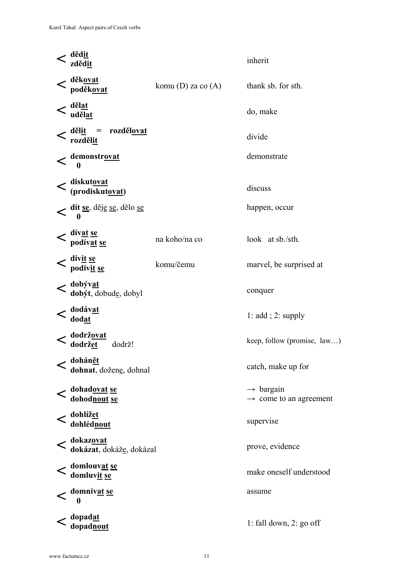|         | děd <u>it</u><br>zdědit                                                                                                                                                                                                                                                                                                                                                                                                                                                                        |                        | inherit                                                     |
|---------|------------------------------------------------------------------------------------------------------------------------------------------------------------------------------------------------------------------------------------------------------------------------------------------------------------------------------------------------------------------------------------------------------------------------------------------------------------------------------------------------|------------------------|-------------------------------------------------------------|
|         | $\langle \frac{d\check{e}k_{\text{ovat}}}{p\sigma d\check{e}k_{\text{ovat}}} \rangle$                                                                                                                                                                                                                                                                                                                                                                                                          | komu $(D)$ za co $(A)$ | thank sb. for sth.                                          |
|         | $< \frac{\text{dělat}}{\text{udělat}}$                                                                                                                                                                                                                                                                                                                                                                                                                                                         |                        | do, make                                                    |
|         | $\langle \nabla \frac{d \check{e} l \underline{it}}{r \, \mathrm{oz} d \check{e} l \underline{it}} \rangle$                                                                                                                                                                                                                                                                                                                                                                                    |                        | divide                                                      |
| $\,<\,$ | demonstr <u>ovat</u><br>$\boldsymbol{0}$                                                                                                                                                                                                                                                                                                                                                                                                                                                       |                        | demonstrate                                                 |
|         | $\langle \frac{diskutovat}{(prodiskutovat)} \rangle$                                                                                                                                                                                                                                                                                                                                                                                                                                           |                        | discuss                                                     |
|         | $\langle \nabla \frac{d}{dt} \frac{\delta \mathbf{g}}{\delta \mathbf{g}} \cdot \mathbf{g} \cdot \mathbf{g} \cdot \mathbf{g} \cdot \mathbf{g} \cdot \mathbf{g} \cdot \mathbf{g} \cdot \mathbf{g} \cdot \mathbf{g} \cdot \mathbf{g} \cdot \mathbf{g} \cdot \mathbf{g} \cdot \mathbf{g} \cdot \mathbf{g} \cdot \mathbf{g} \cdot \mathbf{g} \cdot \mathbf{g} \cdot \mathbf{g} \cdot \mathbf{g} \cdot \mathbf{g} \cdot \mathbf{g} \cdot \mathbf{g} \cdot \mathbf{g} \cdot \mathbf{g} \cdot \mathbf$ |                        | happen, occur                                               |
|         | $\langle \frac{divat \text{ se}}{podi \text{vat} \text{ se}} \rangle$                                                                                                                                                                                                                                                                                                                                                                                                                          | na koho/na co          | look at sb./sth.                                            |
|         | $\leq \frac{\text{divit}}{\text{podiv}} \frac{\text{se}}{\text{se}}$                                                                                                                                                                                                                                                                                                                                                                                                                           | komu/čemu              | marvel, be surprised at                                     |
|         | $\langle \frac{d\text{obývat}}{d\text{obýt}, \text{dobude, dobyl}} \rangle$                                                                                                                                                                                                                                                                                                                                                                                                                    |                        | conquer                                                     |
|         | $\leq \frac{\text{dodávat}}{\text{dodat}}}$                                                                                                                                                                                                                                                                                                                                                                                                                                                    |                        | 1: $add$ ; 2: supply                                        |
|         | dodržovat<br>dodržet<br>dodrž!                                                                                                                                                                                                                                                                                                                                                                                                                                                                 |                        | keep, follow (promise, law)                                 |
|         | $\leftarrow$ dohán <u>ět</u><br>dohnat, dožene, dohnal                                                                                                                                                                                                                                                                                                                                                                                                                                         |                        | catch, make up for                                          |
|         | dohadovat se<br>dohodnout se                                                                                                                                                                                                                                                                                                                                                                                                                                                                   |                        | $\rightarrow$ bargain<br>$\rightarrow$ come to an agreement |
|         | dohlíž <u>et</u><br>dohlédnout                                                                                                                                                                                                                                                                                                                                                                                                                                                                 |                        | supervise                                                   |
|         | $\leftarrow$ <sup>dokazovat</sup><br>dokázat, dokáže, dokázal                                                                                                                                                                                                                                                                                                                                                                                                                                  |                        | prove, evidence                                             |
|         | domlouvat se<br>$\leq$ domluv <u>it se</u>                                                                                                                                                                                                                                                                                                                                                                                                                                                     |                        | make oneself understood                                     |
|         | domnív <u>at</u> se<br>$\boldsymbol{0}$                                                                                                                                                                                                                                                                                                                                                                                                                                                        |                        | assume                                                      |
|         | dopad <u>at</u><br>dopadnout                                                                                                                                                                                                                                                                                                                                                                                                                                                                   |                        | 1: fall down, 2: go off                                     |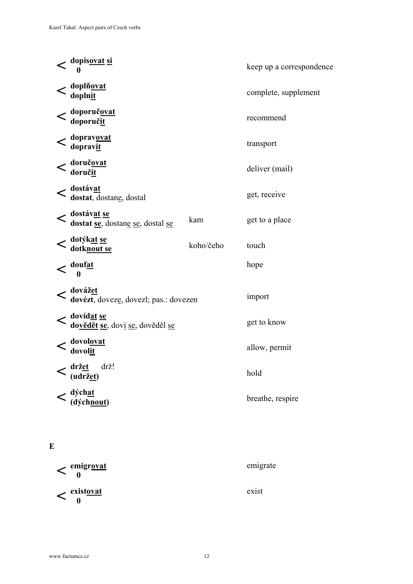| dopis <u>ovat si</u><br>0                                                                                                                                                                                              |           | keep up a correspondence |
|------------------------------------------------------------------------------------------------------------------------------------------------------------------------------------------------------------------------|-----------|--------------------------|
| $\langle \frac{doplňovat}}{doplnit} \rangle$                                                                                                                                                                           |           | complete, supplement     |
| <br>doporuč <u>ovat</u>                                                                                                                                                                                                |           | recommend                |
| $\langle \frac{dopravovat}}{dopravit}}$                                                                                                                                                                                |           | transport                |
| < doruč <u>ovat</u><br>< doruč <u>it</u>                                                                                                                                                                               |           | deliver (mail)           |
| $\langle \frac{\text{dostáva}t}{\text{dusta}} \rangle$<br>dostat, dostane, dostal                                                                                                                                      |           | get, receive             |
| $\langle \frac{\text{dostávat s}}{\text{dust a}} \rangle$<br>$\overline{\text{dostat}}$ $\overline{\text{se}}$ , $\overline{\text{dostan}}$ $\overline{\text{se}}$ , $\overline{\text{dostal}}$ $\overline{\text{se}}$ | kam       | get to a place           |
| < dotýk <u>at se</u><br>< dotk <u>nout se</u>                                                                                                                                                                          | koho/čeho | touch                    |
| $\leq$ doufat<br>$\mathbf{0}$                                                                                                                                                                                          |           | hope                     |
| $\leq$ <sup>dováž<u>et</u></sup><br>dovézt, doveze, dovezl; pas.: dovezen                                                                                                                                              |           | import                   |
| $\leq$ dovidat se<br>dovědět se, doví se, dověděl se                                                                                                                                                                   |           | get to know              |
| dovolovat<br>dovolit                                                                                                                                                                                                   |           | allow, permit            |
| držet<br>drž!<br>(udržet)                                                                                                                                                                                              |           | hold                     |
| $\leftarrow$ dýchat<br>(dýchnout)                                                                                                                                                                                      |           | breathe, respire         |

**E** 

$$
< \frac{\text{emigroup at}}{0}
$$
emigate  

$$
< \frac{\text{exist}}{0}
$$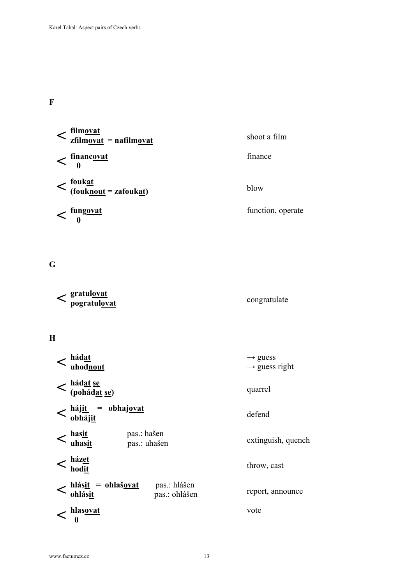#### **F**

$$
\begin{aligned}\n&\text{filmovat}\n&\text{rfilmovat}\n\end{aligned}\n\begin{aligned}\n&\text{show a film}\n\end{aligned}\n\begin{aligned}\n&\text{show a film}\n\end{aligned}\n\begin{aligned}\n&\text{show a film}\n\end{aligned}\n\begin{aligned}\n&\text{function, operate}\n\end{aligned}
$$

**G** 

**gratulovat < pogratulovat** congratulate

#### **H**

| $\leftarrow$ hádat<br>uhodnout                                                                              | $\rightarrow$ guess<br>$\rightarrow$ guess right |
|-------------------------------------------------------------------------------------------------------------|--------------------------------------------------|
| $\langle \frac{\text{hádat se}}{\text{(pohádat se})}} \rangle$                                              | quarrel                                          |
| $=$ obhajovat<br>< háj <u>it</u><br>< obháj <u>it</u>                                                       | defend                                           |
| pas.: hašen<br>$\leftarrow$ hasit<br>uhasit<br>pas.: uhašen                                                 | extinguish, quench                               |
| ház <u>et</u><br>hodit                                                                                      | throw, cast                                      |
| $\left\langle \right\rangle$ hlás <u>it</u> = ohlaš <u>ovat</u><br>pas.: hlášen<br>ohlásit<br>pas.: ohlášen | report, announce                                 |
| $\leftarrow$ hlasovat<br>0                                                                                  | vote                                             |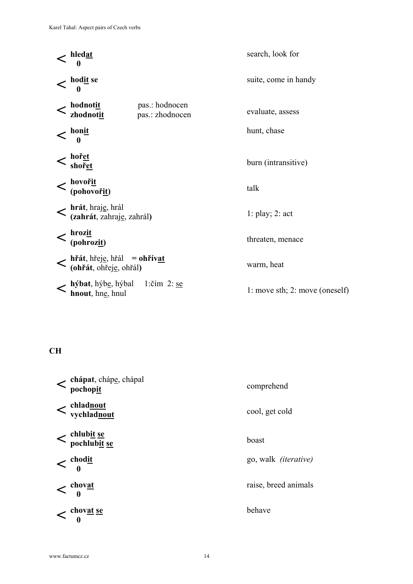

#### **CH**

| <br>chápat, chápe, chápal<br>pochopit                                    | comprehend                  |
|--------------------------------------------------------------------------|-----------------------------|
| $\langle \frac{\text{chladnout}}{\text{vychladnout}} \rangle$            | cool, get cold              |
| $\langle \frac{\text{chlubit se}}{\text{pochlubit se}} \rangle$          | boast                       |
| $<\frac{\text{chodit}}{0}$                                               | go, walk <i>(iterative)</i> |
| $\langle \n\begin{array}{c} \n\text{chov}_{at} \\ \text{0}\n\end{array}$ | raise, breed animals        |
| chov <u>at</u> se                                                        | behave                      |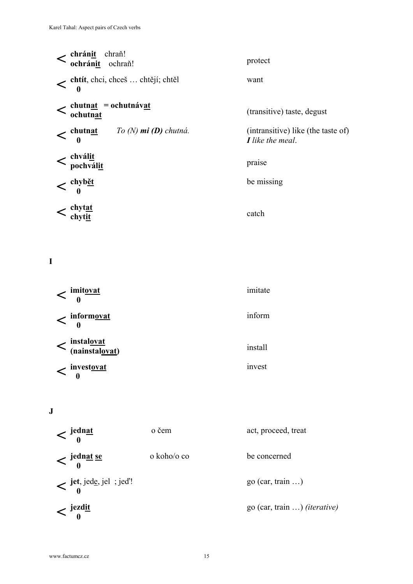| $\text{chránit chrañ!$                                               | protect                            |
|----------------------------------------------------------------------|------------------------------------|
| $\text{chtr, chci, chceš ... chtěji, chtěl}$                         | ynotect                            |
| $\text{chutnat = ochutnávaat$                                        | want                               |
| $\text{chutnat}{\text{ochutnat}} = \text{ochutnávata}$               | (transitive) taste, degust         |
| $\text{chutnat}{\text{forunu}\sqrt{100}} = \text{for unu}\sqrt{100}$ | (intransitive) like (the taste of) |
| $\text{like the meal}$                                               | praise                             |
| $\text{chyhat}{\text{of}}$                                           | be missing                         |
| $\text{chytat}{\text{chytit}}$                                       | catch                              |

**I** 

$$
\begin{array}{l}\n\swarrow \frac{\text{imitovat}}{0} \\
\swarrow \frac{\text{informovat}}{0} \\
\swarrow \frac{\text{instalovat}}{\text{(nainstalovat)}} \\
\swarrow \frac{\text{investovat}}{0}\n\end{array}
$$

#### **J**

| $\leftarrow$ $\frac{\text{jednat}}{0}$    | 0 $\text{čem}$       | act, proceed, treat<br>act, proceed, treat<br>be concerned                                       |
|-------------------------------------------|----------------------|--------------------------------------------------------------------------------------------------|
| $\leftarrow$ $\frac{\text{jednat se}}{0}$ | 0 $\text{koho/o co}$ | be concerned<br>go (car, train ...)<br>go (car, train ...)<br>go (car, train ...)<br>(iterative) |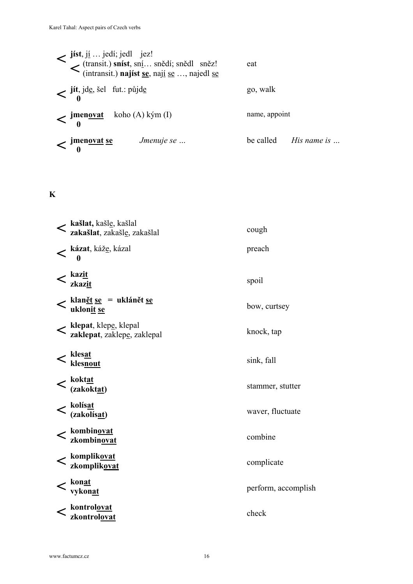|                                                                                                                                                                                                                                           | eat                          |
|-------------------------------------------------------------------------------------------------------------------------------------------------------------------------------------------------------------------------------------------|------------------------------|
| $\leq \frac{\text{jit}}{0}$ , is in the set of the set of the set of the set of the set of the set of the set of the set of the set of the set of the set of the set of the set of the set of the set of the set of the set of the set of | go, walk                     |
| $\leq$ jmenovat koho (A) kým (I)                                                                                                                                                                                                          | name, appoint                |
| Jmenuje se<br>$\langle \frac{\text{jmenovat}}{0} \rangle$                                                                                                                                                                                 | be called <i>His name is</i> |

#### **K**

| kašlat, kašl <u>e</u> , kašlal<br>zakašlat, zakašl <u>e</u> , zakašlal                        | cough               |
|-----------------------------------------------------------------------------------------------|---------------------|
| kázat, káže, kázal<br>$\boldsymbol{0}$                                                        | preach              |
| $< \frac{\text{kazi}}{\text{zkazi}}$                                                          | spoil               |
| $\begin{array}{rcl} & \text{klanět se & = uklánět se } \\ & & \text{uklonit se } \end{array}$ | bow, curtsey        |
| klepat, klepe, klepal<br>zaklepat, zaklepe, zaklepal                                          | knock, tap          |
| $\langle \frac{\text{klesat}}{\text{klesnout}} \rangle$                                       | sink, fall          |
| $\langle \frac{\text{koktat}}{\text{zakoktat}} \rangle$                                       | stammer, stutter    |
| $\langle \frac{\text{kolísat}}{\text{kakolísat}} \rangle$                                     | waver, fluctuate    |
| $\langle \frac{\text{kombin}_{\text{ovat}}}{\text{zkombin}_{\text{ovat}}} \rangle$            | combine             |
| $\langle \frac{\text{komplikovat}}{\text{zkomplikovat}}$                                      | complicate          |
| $\langle \frac{\text{konat}}{\text{vykonat}}$                                                 | perform, accomplish |
| $\left.\langle\right\rangle_{\text{short}}^{\text{kontrolovat}}$<br>zkontrolovat              | check               |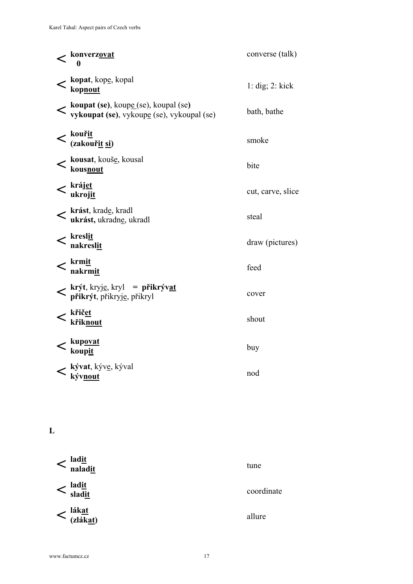| konverz <u>ovat</u>                                                                                                                                                                                                                                                                                                                                                                                                                | converse (talk)     |
|------------------------------------------------------------------------------------------------------------------------------------------------------------------------------------------------------------------------------------------------------------------------------------------------------------------------------------------------------------------------------------------------------------------------------------|---------------------|
| <br>kopat, kope, kopal<br>kop <u>nout</u>                                                                                                                                                                                                                                                                                                                                                                                          | $1:$ dig; $2:$ kick |
| koupat (se), koupe (se), koupal (se)<br>vykoupat (se), vykoupe (se), vykoupal (se)                                                                                                                                                                                                                                                                                                                                                 | bath, bathe         |
| $\langle \frac{\text{kouřit}}{\text{(zakouřit sii)}}$                                                                                                                                                                                                                                                                                                                                                                              | smoke               |
| <br>kousat, kouše, kousal<br>kousnout                                                                                                                                                                                                                                                                                                                                                                                              | bite                |
| $<\frac{\text{krájet}}{\text{ukrojit}}}$                                                                                                                                                                                                                                                                                                                                                                                           | cut, carve, slice   |
| krást, krade, kradl<br>Wikrást, ukradne, ukradl                                                                                                                                                                                                                                                                                                                                                                                    | steal               |
| $\leq \frac{\text{kreslit}}{\text{nakreslit}}$                                                                                                                                                                                                                                                                                                                                                                                     | draw (pictures)     |
| $\langle \frac{krm\underline{i}t}{nakrm\underline{i}t}$                                                                                                                                                                                                                                                                                                                                                                            | feed                |
| $\langle \mathbf{r} \rangle = \mathbf{r} + \mathbf{r} + \mathbf{r} + \mathbf{r} + \mathbf{r} + \mathbf{r} + \mathbf{r} + \mathbf{r} + \mathbf{r} + \mathbf{r} + \mathbf{r} + \mathbf{r} + \mathbf{r} + \mathbf{r} + \mathbf{r} + \mathbf{r} + \mathbf{r} + \mathbf{r} + \mathbf{r} + \mathbf{r} + \mathbf{r} + \mathbf{r} + \mathbf{r} + \mathbf{r} + \mathbf{r} + \mathbf{r} + \mathbf{r} + \mathbf{r} + \mathbf{r} + \mathbf{r}$ | cover               |
| < křič <u>et</u><br>< křik <u>nout</u>                                                                                                                                                                                                                                                                                                                                                                                             | shout               |
| $\langle \frac{\text{kup}_{\text{ov}_{\text{att}}}}{\text{koup}_{\text{att}}}\rangle$                                                                                                                                                                                                                                                                                                                                              | buy                 |
| <br>kývat, kýve, kýval<br>kývnout                                                                                                                                                                                                                                                                                                                                                                                                  | nod                 |

#### **L**

| - lad <u>it</u><br>nalad <u>it</u><br><   | tune       |
|-------------------------------------------|------------|
| lad <u>it</u><br>slad <u>it</u><br>✓      | coordinate |
| - lák <u>at</u><br>(zlák <u>at</u> )<br>✓ | allure     |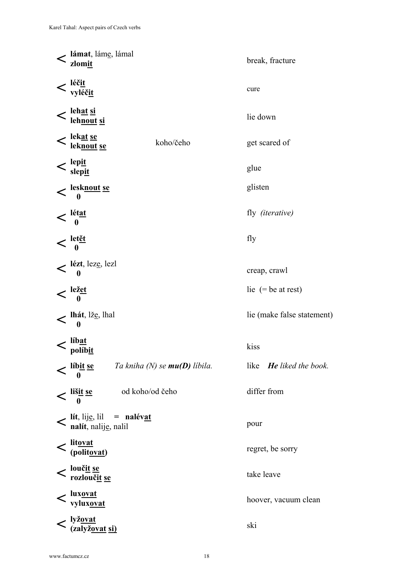| lámat, láme, lámal<br>zlomit                                                                   |                                                                            | break, fracture                |
|------------------------------------------------------------------------------------------------|----------------------------------------------------------------------------|--------------------------------|
| léč <u>it</u><br>$\langle \frac{\partial u}{\partial x} \rangle$                               |                                                                            | cure                           |
| $<\frac{\text{leh}\text{at}}{\text{leh}\text{nout}}$ si                                        |                                                                            | lie down                       |
| $\langle \frac{\text{lekat se}}{\text{lekmout se}} \rangle$                                    | koho/čeho                                                                  | get scared of                  |
| $\langle \frac{\text{lepit}}{\text{slepit}} \rangle$                                           |                                                                            | glue                           |
| $\leq$ <sup>lesknout se</sup><br>$\bf{0}$                                                      |                                                                            | glisten                        |
| $<\frac{$ 1 \cdot 1}{0}                                                                        |                                                                            | fly ( <i>iterative</i> )       |
| $<\frac{\text{letet}}{0}$                                                                      |                                                                            | fly                            |
| $\leq \frac{\text{lézt, leze, lezl}}{n}$<br>$\boldsymbol{0}$                                   |                                                                            | creap, crawl                   |
| $\leq \frac{\text{lezt}}{2}$<br>0                                                              |                                                                            | lie $(=$ be at rest)           |
| $\leq$ lhát, lže, lhal<br>$\boldsymbol{0}$                                                     |                                                                            | lie (make false statement)     |
| líb <u>at</u><br>políbit                                                                       |                                                                            | kiss                           |
| $\mathbf{0}$                                                                                   | <b>libit</b> se $Ta \text{ }$ <i>kniha</i> ( <i>N</i> ) se $mu(D)$ libila. | like <b>He</b> liked the book. |
| $<\frac{\text{lišit se}}{0}$                                                                   | od koho/od čeho                                                            | differ from                    |
| $\langle \mathbf{r} \rangle$ lit, lije, lil = nalév <u>at</u><br>nalít, nalij <u>e</u> , nalil |                                                                            | pour                           |
| $\langle \frac{\text{lit}_{\text{ovat}}}{\text{(polit}_{\text{ovat}})} \rangle$                |                                                                            | regret, be sorry               |
| < louč <u>it se</u><br>< rozlouč <u>it se</u>                                                  |                                                                            | take leave                     |
| $\langle \frac{\text{lux}_{\text{ovat}}}{\text{vylux}_{\text{ovat}}} \rangle$                  |                                                                            | hoover, vacuum clean           |
| lyž <u>ovat</u><br>(zalyžovat si)                                                              |                                                                            | ski                            |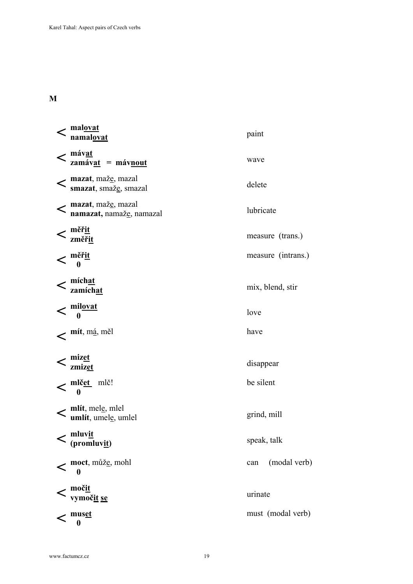#### **M**

|                         | $\leq$ malovat<br>namalovat                                    | paint               |
|-------------------------|----------------------------------------------------------------|---------------------|
|                         | $<$ $\frac{\text{mávat}}{\text{zamávat}}$ = $\text{mávnout}$   | wave                |
|                         | < mazat, maže, mazal<br>smazat, smaže, smazal                  | delete              |
|                         | mazat, maže, mazal<br>namazat, namaže, namazal                 | lubricate           |
|                         | $\langle \frac{\text{měřit}}{\text{změřit}}$                   | measure (trans.)    |
|                         | $\leq$ měř <u>it</u><br>$\bf{0}$                               | measure (intrans.)  |
|                         | $\leq \frac{\text{míchat}}{\text{zamíchat}}$                   | mix, blend, stir    |
|                         | $<\frac{\text{milovat}}{0}$                                    | love                |
|                         | $\leq$ mít, m <u>á</u> , měl                                   | have                |
|                         | $\leq \frac{\text{mize}}{\text{zmize} \cdot \text{t}}$         | disappear           |
|                         | $\leq$ mlčet mlč!<br>$\boldsymbol{0}$                          | be silent           |
|                         | $\langle \mathbf{m} \rangle$ must med must must must must must | grind, mill         |
|                         | $\langle \frac{\text{mluvit}}{\text{(promluvit})}}$            | speak, talk         |
| $\overline{\mathbf{<}}$ | moct, může, mohl<br>$\bf{0}$                                   | (modal verb)<br>can |
|                         | močit<br>vymočit se                                            | urinate             |
|                         | $\leq$ <sup>muset</sup><br>0                                   | must (modal verb)   |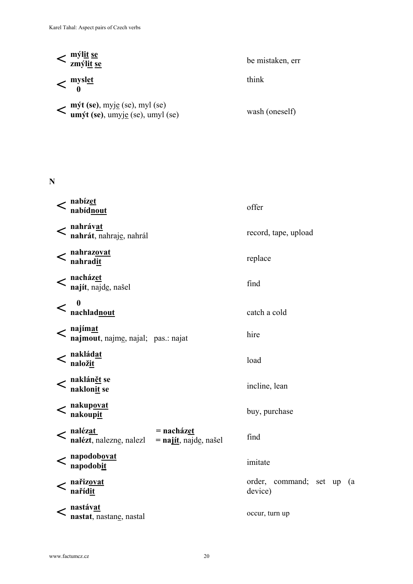| - mýl <u>it se</u><br>zmýl <u>it se</u>                                                     | be mistaken, err |
|---------------------------------------------------------------------------------------------|------------------|
| $<\frac{\text{myslet}}{0}$                                                                  | think            |
| $\leq \frac{\text{mýt (se), myje (se), myl (se)}}{\text{umýt (se), umyje (se), umyl (se)}}$ | wash (oneself)   |

**N** 

| $\leq$ <sup>nabíz</sup> et<br>nabídnout                                                                                                                                                                                                                                                                                                                                                                                                                                                                                                                          |            | offer                                |
|------------------------------------------------------------------------------------------------------------------------------------------------------------------------------------------------------------------------------------------------------------------------------------------------------------------------------------------------------------------------------------------------------------------------------------------------------------------------------------------------------------------------------------------------------------------|------------|--------------------------------------|
| $\langle \nabla \nabla \cdot \nabla \cdot \nabla \cdot \nabla \cdot \nabla \cdot \nabla \cdot \nabla \cdot \nabla \cdot \nabla \cdot \nabla \cdot \nabla \cdot \nabla \cdot \nabla \cdot \nabla \cdot \nabla \cdot \nabla \cdot \nabla \cdot \nabla \cdot \nabla \cdot \nabla \cdot \nabla \cdot \nabla \cdot \nabla \cdot \nabla \cdot \nabla \cdot \nabla \cdot \nabla \cdot \nabla \cdot \nabla \cdot \nabla \cdot \nabla \cdot \nabla \cdot \nabla \cdot \nabla \cdot \nabla \cdot \nabla$                                                                   |            | record, tape, upload                 |
| $\langle \nabla \nabla \cdot \nabla \cdot \nabla \cdot \nabla \cdot \nabla \cdot \nabla \cdot \nabla \cdot \nabla \cdot \nabla \cdot \nabla \cdot \nabla \cdot \nabla \cdot \nabla \cdot \nabla \cdot \nabla \cdot \nabla \cdot \nabla \cdot \nabla \cdot \nabla \cdot \nabla \cdot \nabla \cdot \nabla \cdot \nabla \cdot \nabla \cdot \nabla \cdot \nabla \cdot \nabla \cdot \nabla \cdot \nabla \cdot \nabla \cdot \nabla \cdot \nabla \cdot \nabla \cdot \nabla \cdot \nabla \cdot \nabla$                                                                   |            | replace                              |
| $\leq \frac{\text{nacházet}}{\text{najít}, \text{najde}, \text{našel}}$                                                                                                                                                                                                                                                                                                                                                                                                                                                                                          |            | find                                 |
| $\bf{0}$<br>$\langle \nabla \cdot \nabla \cdot \nabla \cdot \nabla \cdot \nabla \cdot \nabla \cdot \nabla \cdot \nabla \cdot \nabla \cdot \nabla \cdot \nabla \cdot \nabla \cdot \nabla \cdot \nabla \cdot \nabla \cdot \nabla \cdot \nabla \cdot \nabla \cdot \nabla \cdot \nabla \cdot \nabla \cdot \nabla \cdot \nabla \cdot \nabla \cdot \nabla \cdot \nabla \cdot \nabla \cdot \nabla \cdot \nabla \cdot \nabla \cdot \nabla \cdot \nabla \cdot \nabla \cdot \nabla \cdot \nabla \cdot \nabla \cdot \n$                                                     |            | catch a cold                         |
| < najím <u>at</u><br>< najmout, najme, najal; pas.: najat                                                                                                                                                                                                                                                                                                                                                                                                                                                                                                        |            | hire                                 |
| < naklád <u>at</u><br>< nalož <u>it</u>                                                                                                                                                                                                                                                                                                                                                                                                                                                                                                                          |            | load                                 |
| < naklán <u>ět</u> se<br>s naklon <u>it</u> se                                                                                                                                                                                                                                                                                                                                                                                                                                                                                                                   |            | incline, lean                        |
| $\langle \nabla \nabla \cdot \nabla \cdot \nabla \cdot \nabla \cdot \nabla \cdot \nabla \cdot \nabla \cdot \nabla \cdot \nabla \cdot \nabla \cdot \nabla \cdot \nabla \cdot \nabla \cdot \nabla \cdot \nabla \cdot \nabla \cdot \nabla \cdot \nabla \cdot \nabla \cdot \nabla \cdot \nabla \cdot \nabla \cdot \nabla \cdot \nabla \cdot \nabla \cdot \nabla \cdot \nabla \cdot \nabla \cdot \nabla \cdot \nabla \cdot \nabla \cdot \nabla \cdot \nabla \cdot \nabla \cdot \nabla \cdot \nabla$                                                                   |            | buy, purchase                        |
| $\langle \nabla \cdot \nabla \cdot \nabla \cdot \nabla \cdot \nabla \cdot \nabla \cdot \nabla \cdot \nabla \cdot \nabla \cdot \nabla \cdot \nabla \cdot \nabla \cdot \nabla \cdot \nabla \cdot \nabla \cdot \nabla \cdot \nabla \cdot \nabla \cdot \nabla \cdot \nabla \cdot \nabla \cdot \nabla \cdot \nabla \cdot \nabla \cdot \nabla \cdot \nabla \cdot \nabla \cdot \nabla \cdot \nabla \cdot \nabla \cdot \nabla \cdot \nabla \cdot \nabla \cdot \nabla \cdot \nabla \cdot \nabla \cdot \n$<br>$n$ alézt, nalezn <u>e</u> , nalezl = $n$ ajít, najde, našel | = nacházet | find                                 |
| $\langle \nabla \nabla \cdot \nabla \cdot \nabla \cdot \nabla \cdot \nabla \cdot \nabla \cdot \nabla \cdot \nabla \cdot \nabla \cdot \nabla \cdot \nabla \cdot \nabla \cdot \nabla \cdot \nabla \cdot \nabla \cdot \nabla \cdot \nabla \cdot \nabla \cdot \nabla \cdot \nabla \cdot \nabla \cdot \nabla \cdot \nabla \cdot \nabla \cdot \nabla \cdot \nabla \cdot \nabla \cdot \nabla \cdot \nabla \cdot \nabla \cdot \nabla \cdot \nabla \cdot \nabla \cdot \nabla \cdot \nabla \cdot \nabla$                                                                   |            | imitate                              |
| nařizovat<br>nařídit                                                                                                                                                                                                                                                                                                                                                                                                                                                                                                                                             |            | order, command; set up (a<br>device) |
| nastáv <u>at</u><br>$\leq$ mastat, nastang, nastal                                                                                                                                                                                                                                                                                                                                                                                                                                                                                                               |            | occur, turn up                       |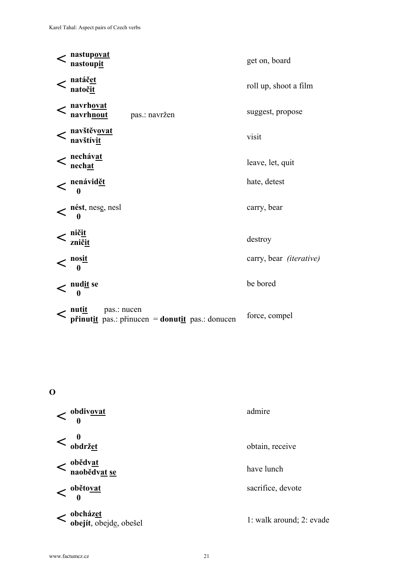|       | $\leq \frac{\text{nastup}_{\text{ovat}}}{\text{nast}_{\text{ovat}}}$                                                                                                                                                                                                                                                                                                                                                                                                                           |                                                                         | get on, board           |
|-------|------------------------------------------------------------------------------------------------------------------------------------------------------------------------------------------------------------------------------------------------------------------------------------------------------------------------------------------------------------------------------------------------------------------------------------------------------------------------------------------------|-------------------------------------------------------------------------|-------------------------|
|       | $\langle \nabla \nabla \cdot \nabla \cdot \nabla \cdot \nabla \cdot \nabla \cdot \nabla \cdot \nabla \cdot \nabla \cdot \nabla \cdot \nabla \cdot \nabla \cdot \nabla \cdot \nabla \cdot \nabla \cdot \nabla \cdot \nabla \cdot \nabla \cdot \nabla \cdot \nabla \cdot \nabla \cdot \nabla \cdot \nabla \cdot \nabla \cdot \nabla \cdot \nabla \cdot \nabla \cdot \nabla \cdot \nabla \cdot \nabla \cdot \nabla \cdot \nabla \cdot \nabla \cdot \nabla \cdot \nabla \cdot \nabla \cdot \nabla$ |                                                                         | roll up, shoot a film   |
|       | $\langle \frac{navr hovat}}{navr hnout}}$                                                                                                                                                                                                                                                                                                                                                                                                                                                      | pas.: navržen                                                           | suggest, propose        |
|       | $\langle \frac{navštěvovat}{navštívit}$                                                                                                                                                                                                                                                                                                                                                                                                                                                        |                                                                         | visit                   |
|       | $\leq \frac{\text{necháva}t}{\text{nechat}}$                                                                                                                                                                                                                                                                                                                                                                                                                                                   |                                                                         | leave, let, quit        |
|       | $\langle \nabla_{\alpha}^{\text{nenávidět}}$<br>$\mathbf{0}$                                                                                                                                                                                                                                                                                                                                                                                                                                   |                                                                         | hate, detest            |
|       | $\leq$ nést, nese, nesl<br>$\mathbf{0}$                                                                                                                                                                                                                                                                                                                                                                                                                                                        |                                                                         | carry, bear             |
|       | $\leq \frac{\text{ničit}}{\text{zničit}}$                                                                                                                                                                                                                                                                                                                                                                                                                                                      |                                                                         | destroy                 |
|       | $\langle \n\begin{array}{c}\n\text{nsit} \\ \text{0}\n\end{array}$<br>$\boldsymbol{0}$                                                                                                                                                                                                                                                                                                                                                                                                         |                                                                         | carry, bear (iterative) |
| $\,<$ | nud <u>it</u> se<br>$\boldsymbol{0}$                                                                                                                                                                                                                                                                                                                                                                                                                                                           |                                                                         | be bored                |
|       | nutit                                                                                                                                                                                                                                                                                                                                                                                                                                                                                          | pas.: nucen<br>$\vec{p}$ rinutit pas.: přinucen = donutit pas.: donucen | force, compel           |

### **O**

| $\langle \frac{\text{obdiv}_{\text{ovat}}}{0} \rangle$      | admire                   |
|-------------------------------------------------------------|--------------------------|
| $\leq \frac{0}{\text{obdržet}}$                             | obtain, receive          |
| $\langle \frac{\text{obědvat}}{\text{nabědvat se}} \rangle$ | have lunch               |
| $\langle \frac{\text{obětovat}}{0}$                         | sacrifice, devote        |
| obcház <u>et</u><br>obejít, obejd <u>e</u> , obešel         | 1: walk around; 2: evade |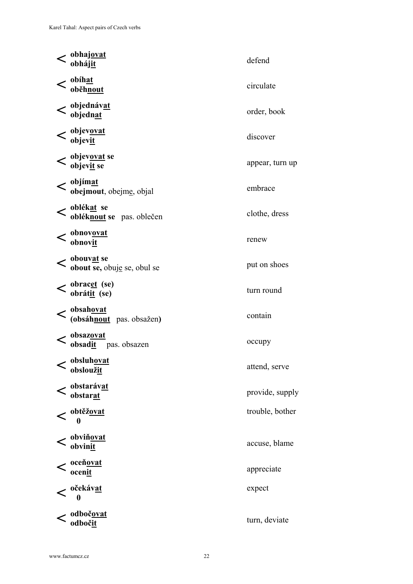| obhaj <u>ovat</u><br>obhájit                            | defend          |
|---------------------------------------------------------|-----------------|
| $<\frac{\text{obíhat}}{\text{oběhnout}}$                | circulate       |
| < objednáv <u>at</u><br>< objedn <u>at</u>              | order, book     |
| $\langle \frac{\text{objevovat}}{\text{objevit}}}$      | discover        |
| $<\frac{\text{object}}{\text{object}}$ se               | appear, turn up |
| bijimat<br>bejmout, obejm <u>e</u> , objal              | embrace         |
| $\leq$ oblékat se<br>obléknout se pas. oblečen          | clothe, dress   |
| $\langle \frac{\text{obnovovat}}{\text{obnovit}}$       | renew           |
| $\leq$ obouvat se<br>obout se, obuje se, obul se        | put on shoes    |
| $\leq$ obracet (se)<br>obrátit (se)                     | turn round      |
| $\leq$ <sup>obsahovat</sup><br>(obsáhnout pas. obsažen) | contain         |
| obsazovat<br>obsadit pas. obsazen                       | occupy          |
| obsluhovat<br>obsloužit                                 | attend, serve   |
| obstarávat<br>obstarat                                  | provide, supply |
| obtěžovat<br>$\mathbf 0$                                | trouble, bother |
| obviň <u>ovat</u><br>obvinit                            | accuse, blame   |
| oceň <u>ovat</u><br>ocenit                              | appreciate      |
| očekávat<br>0                                           | expect          |
| odbočovat<br>odbočit                                    | turn, deviate   |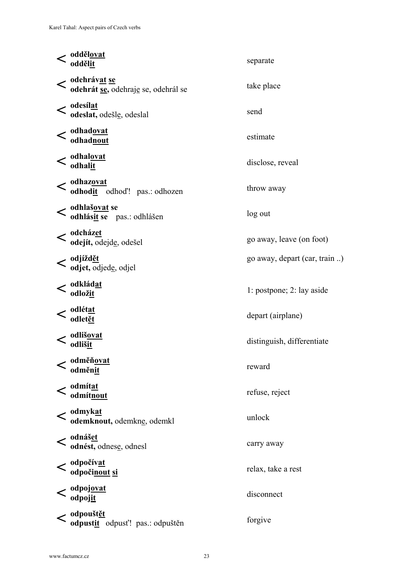| odděl <u>ovat</u><br>oddělit                                                                                                                                                                                                                                                                                                                                                                                                                                                                   | separate                     |
|------------------------------------------------------------------------------------------------------------------------------------------------------------------------------------------------------------------------------------------------------------------------------------------------------------------------------------------------------------------------------------------------------------------------------------------------------------------------------------------------|------------------------------|
| dehráv <u>at se</u><br>dehrát se, odehraje se, odehrál se                                                                                                                                                                                                                                                                                                                                                                                                                                      | take place                   |
| desilat, odešle, odeslal                                                                                                                                                                                                                                                                                                                                                                                                                                                                       | send                         |
| $\langle \nabla_{\text{odhadnout}}$                                                                                                                                                                                                                                                                                                                                                                                                                                                            | estimate                     |
| $\langle \nabla_{\text{odhalit}}^{\text{odhalovat}}$                                                                                                                                                                                                                                                                                                                                                                                                                                           | disclose, reveal             |
| $\langle \nabla \nabla \cdot \nabla \cdot \nabla \cdot \nabla \cdot \nabla \cdot \nabla \cdot \nabla \cdot \nabla \cdot \nabla \cdot \nabla \cdot \nabla \cdot \nabla \cdot \nabla \cdot \nabla \cdot \nabla \cdot \nabla \cdot \nabla \cdot \nabla \cdot \nabla \cdot \nabla \cdot \nabla \cdot \nabla \cdot \nabla \cdot \nabla \cdot \nabla \cdot \nabla \cdot \nabla \cdot \nabla \cdot \nabla \cdot \nabla \cdot \nabla \cdot \nabla \cdot \nabla \cdot \nabla \cdot \nabla \cdot \nabla$ | throw away                   |
| $\leq \frac{\text{odhlašovat}}{c^{3}$<br>odhlásit se pas.: odhlášen                                                                                                                                                                                                                                                                                                                                                                                                                            | log out                      |
| < odcházet<br>dejít, odejde, odešel                                                                                                                                                                                                                                                                                                                                                                                                                                                            | go away, leave (on foot)     |
| < odjížd <u>ět</u><br>< odjet, odjede, odjel                                                                                                                                                                                                                                                                                                                                                                                                                                                   | go away, depart (car, train) |
| $<\frac{odkládat}{odložit}$                                                                                                                                                                                                                                                                                                                                                                                                                                                                    | 1: postpone; 2: lay aside    |
| $\leq \frac{\text{odlétat}}{\text{odletět}}$                                                                                                                                                                                                                                                                                                                                                                                                                                                   | depart (airplane)            |
| $\leq$ <sup>odliš</sup> ovat<br>odlišit                                                                                                                                                                                                                                                                                                                                                                                                                                                        | distinguish, differentiate   |
| $\langle \frac{\text{odměňovat}}{\text{odměnit}}$                                                                                                                                                                                                                                                                                                                                                                                                                                              | reward                       |
| odmít <u>at</u><br>odmítnout                                                                                                                                                                                                                                                                                                                                                                                                                                                                   | refuse, reject               |
| $\langle \frac{0}{2} \rangle$<br>odemknout, odemkne, odemkl                                                                                                                                                                                                                                                                                                                                                                                                                                    | unlock                       |
| $\langle \nabla \nabla \cdot \nabla \cdot \nabla \cdot \nabla \cdot \nabla \cdot \nabla \cdot \nabla \cdot \nabla \cdot \nabla \cdot \nabla \cdot \nabla \cdot \nabla \cdot \nabla \cdot \nabla \cdot \nabla \cdot \nabla \cdot \nabla \cdot \nabla \cdot \nabla \cdot \nabla \cdot \nabla \cdot \nabla \cdot \nabla \cdot \nabla \cdot \nabla \cdot \nabla \cdot \nabla \cdot \nabla \cdot \nabla \cdot \nabla \cdot \nabla \cdot \nabla \cdot \nabla \cdot \nabla \cdot \nabla \cdot \nabla$ | carry away                   |
| < odpočív <u>at</u><br>< odpoči <u>nout</u> si                                                                                                                                                                                                                                                                                                                                                                                                                                                 | relax, take a rest           |
| $\langle \frac{odpojovat}{odpojit}}$                                                                                                                                                                                                                                                                                                                                                                                                                                                           | disconnect                   |
| $\leq$ <sup>odpouštět</sup><br>odpustit odpusť! pas.: odpuštěn                                                                                                                                                                                                                                                                                                                                                                                                                                 | forgive                      |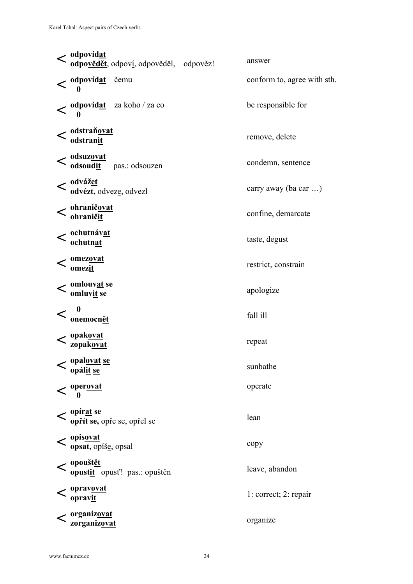|       |                                                               | dpovíd <u>at</u><br>odpovědět, odpoví, odpověděl, odpověz!                                                                                                                                                                                                                                                                                                                                                                                                                                     | answer                      |
|-------|---------------------------------------------------------------|------------------------------------------------------------------------------------------------------------------------------------------------------------------------------------------------------------------------------------------------------------------------------------------------------------------------------------------------------------------------------------------------------------------------------------------------------------------------------------------------|-----------------------------|
|       | $\leq$ $\frac{\text{odpovídat}}{\text{c}}$ čemu<br>0          |                                                                                                                                                                                                                                                                                                                                                                                                                                                                                                | conform to, agree with sth. |
| $\lt$ | $\boldsymbol{0}$                                              | odpovíd <u>at</u> za koho / za co                                                                                                                                                                                                                                                                                                                                                                                                                                                              | be responsible for          |
|       | $\langle \frac{\text{odstrañovat}}{\text{odstrani}t} \rangle$ |                                                                                                                                                                                                                                                                                                                                                                                                                                                                                                | remove, delete              |
|       |                                                               | < odsuzovat<br>sologit pas.: odsouzen                                                                                                                                                                                                                                                                                                                                                                                                                                                          | condemn, sentence           |
|       | dváž <u>et</u><br>dvézt, odveze, odvezl                       |                                                                                                                                                                                                                                                                                                                                                                                                                                                                                                | carry away (ba car )        |
|       | < ohraničovat                                                 |                                                                                                                                                                                                                                                                                                                                                                                                                                                                                                | confine, demarcate          |
|       | $\leq \frac{$ ochutnáv <u>at</u>                              |                                                                                                                                                                                                                                                                                                                                                                                                                                                                                                | taste, degust               |
|       | $\leq \frac{0}{\text{mezi}t}$                                 |                                                                                                                                                                                                                                                                                                                                                                                                                                                                                                | restrict, constrain         |
|       | $\langle \frac{\text{omlouvat}}{\text{omluvit se}}$           |                                                                                                                                                                                                                                                                                                                                                                                                                                                                                                | apologize                   |
|       | $<\frac{0}{\text{onemocnět}}$                                 |                                                                                                                                                                                                                                                                                                                                                                                                                                                                                                | fall ill                    |
|       | $\leq$ <sup>opakovat</sup><br>zopakovat                       |                                                                                                                                                                                                                                                                                                                                                                                                                                                                                                | repeat                      |
|       | $\leq$ <sup>opalovat se</sup><br>opálit se                    |                                                                                                                                                                                                                                                                                                                                                                                                                                                                                                | sunbathe                    |
|       | operovat<br>0                                                 |                                                                                                                                                                                                                                                                                                                                                                                                                                                                                                | operate                     |
|       |                                                               | $\langle \nabla \nabla \nabla \cdot \nabla \cdot \nabla \cdot \nabla \cdot \nabla \cdot \nabla \cdot \nabla \cdot \nabla \cdot \nabla \cdot \nabla \cdot \nabla \cdot \nabla \cdot \nabla \cdot \nabla \cdot \nabla \cdot \nabla \cdot \nabla \cdot \nabla \cdot \nabla \cdot \nabla \cdot \nabla \cdot \nabla \cdot \nabla \cdot \nabla \cdot \nabla \cdot \nabla \cdot \nabla \cdot \nabla \cdot \nabla \cdot \nabla \cdot \nabla \cdot \nabla \cdot \nabla \cdot \nabla \cdot \nabla \cdot$ | lean                        |
|       | < opisovat<br>opsat, opíš <u>e</u> , opsal                    |                                                                                                                                                                                                                                                                                                                                                                                                                                                                                                | copy                        |
|       |                                                               | se opoušt <u>ět</u><br>spustití opusť! pas.: opuštěn                                                                                                                                                                                                                                                                                                                                                                                                                                           | leave, abandon              |
|       | $<\frac{opravovat}}{opravit}}$                                |                                                                                                                                                                                                                                                                                                                                                                                                                                                                                                | 1: correct; 2: repair       |
|       | < organiz <u>ovat</u><br>< zorganiz <u>ovat</u>               |                                                                                                                                                                                                                                                                                                                                                                                                                                                                                                | organize                    |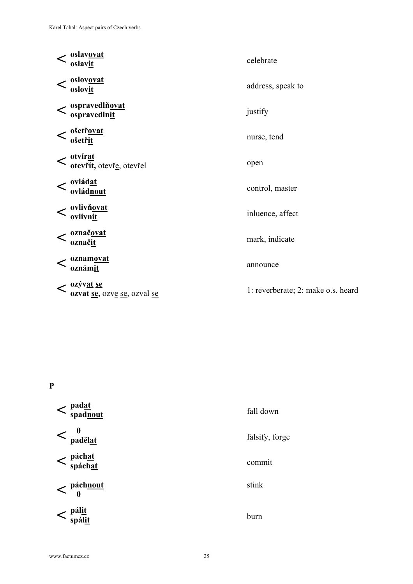| oslavovat<br>oslavit                                          | celebrate                          |
|---------------------------------------------------------------|------------------------------------|
| oslov <u>ovat</u><br>oslovit                                  | address, speak to                  |
| < ospravedlňovat                                              | justify                            |
| ošetř <u>ovat</u><br>ošetřit                                  | nurse, tend                        |
| $\leq$ <sup>otvír</sup> at<br>otevřít, otevře, otevřel        | open                               |
| $\leftarrow$ ovládat<br>ovládnout                             | control, master                    |
| $\langle \frac{\text{ovlivn'ovat}}{\text{covit}}$<br>ovlivnit | inluence, affect                   |
| označovat<br>označit                                          | mark, indicate                     |
| oznam <u>ovat</u><br>oznámit                                  | announce                           |
| ozýv <u>at</u> se<br>ozvat se, ozve se, ozval se              | 1: reverberate; 2: make o.s. heard |

**P** 

| $\langle \frac{\text{padat}}{\text{spadnout}}$         | fall down      |
|--------------------------------------------------------|----------------|
| $<\frac{0}{\text{paděla} t}$                           | falsify, forge |
| $\langle \frac{\text{páchat}}{\text{spáchat}} \rangle$ | commit         |
| $\langle \frac{\text{páchnout}}{0} \rangle$            | stink          |
| $<\frac{\text{pálit}}{\text{spálit}}}$                 | burn           |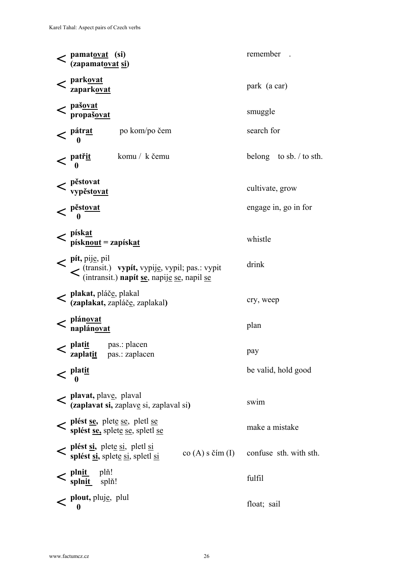| < pamat <u>ovat</u> (si)<br>(zapamat <u>ovat si</u> )                                                                                                                                                                          |                       | remember                  |
|--------------------------------------------------------------------------------------------------------------------------------------------------------------------------------------------------------------------------------|-----------------------|---------------------------|
| $\langle \frac{\text{parkovat}}{\text{zaparkovat}}$                                                                                                                                                                            |                       | park (a car)              |
| $\langle \frac{pašovat}{propašovat} \rangle$                                                                                                                                                                                   |                       | smuggle                   |
| $\leftarrow$ pátr <u>at</u> po kom/po čem                                                                                                                                                                                      |                       | search for                |
| $\langle \nabla_{0}^{\text{patřit}}\rangle$<br>komu / k čemu                                                                                                                                                                   |                       | belong to sb. $/$ to sth. |
| < pěstovat<br>< vypěst <u>ovat</u>                                                                                                                                                                                             |                       | cultivate, grow           |
| $<\frac{\text{pěstovat}}{0}$                                                                                                                                                                                                   |                       | engage in, go in for      |
| $< \frac{\text{pískat}}{\text{písknout}} = \text{zapískat}$                                                                                                                                                                    |                       | whistle                   |
| $\langle \mathbf{P}^{\text{fit}, \text{p} \text{ij} \text{e}}$ , pil<br>(transit.) vypít, vypije, vypil; pas.: vypit<br>(intransit.) napít <u>se</u> , napije se, napil se                                                     |                       | drink                     |
| Santa, pláč <u>e</u> , plakal<br>Santa (zaplakat, zapláč <u>e</u> , zaplakal)                                                                                                                                                  |                       | cry, weep                 |
| $\langle \frac{\text{plánovat}}{\text{naplánovat}} \rangle$                                                                                                                                                                    |                       | plan                      |
| Imposite that the set of the set of the set of the set of the set of the set of the set of the set of the set of the set of the set of the set of the set of the set of the set of the set of the set of the set of the set of |                       | pay                       |
| platit                                                                                                                                                                                                                         |                       | be valid, hold good       |
| <br><b>s</b> plavat, plave, plaval<br>( <b>zaplavat si</b> , zaplave si, zaplaval si)                                                                                                                                          |                       | swim                      |
| < plést se, plete se, pletl se<br>splést se, splete se, spletl se                                                                                                                                                              |                       | make a mistake            |
| Subset Softer Softer Signal Softer Signal Signal Signal Signal Signal Signal Signal Signal Signal Signal Signal Signal Signal Signal Signal Signal Signal Signal Signal Signal Signal Signal Signal Signal Signal Signal Signa | $\cos(A)$ s čím $(I)$ | confuse sth. with sth.    |
| $\langle \mathbf{s}_{\text{split}}^{\text{1}}   \mathbf{s}_{\text{split}}^{\text{1}}  $                                                                                                                                        |                       | fulfil                    |
| plout, pluje, plul<br>0                                                                                                                                                                                                        |                       | float; sail               |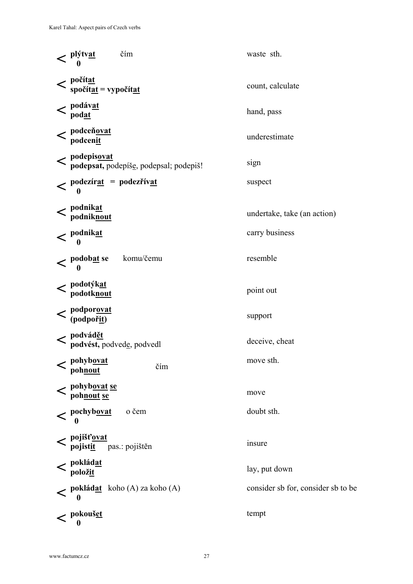|       | $\langle \nabla$ <sup>plýtv<u>at</u></sup>                                                                                                                                                                                                                                                                                                                                                                                                                                                                           | čím                                                                | waste sth.                         |
|-------|----------------------------------------------------------------------------------------------------------------------------------------------------------------------------------------------------------------------------------------------------------------------------------------------------------------------------------------------------------------------------------------------------------------------------------------------------------------------------------------------------------------------|--------------------------------------------------------------------|------------------------------------|
|       | $\langle \frac{\text{počítat}}{\text{spočítat}} \text{ = } \text{vypočítat}$                                                                                                                                                                                                                                                                                                                                                                                                                                         |                                                                    | count, calculate                   |
|       | $\langle \nabla_{\text{podat}}^{\text{nodávať}}$                                                                                                                                                                                                                                                                                                                                                                                                                                                                     |                                                                    | hand, pass                         |
|       | $\langle \nabla_{\text{podcenit}}^{\text{podcenit}}$                                                                                                                                                                                                                                                                                                                                                                                                                                                                 |                                                                    | underestimate                      |
|       |                                                                                                                                                                                                                                                                                                                                                                                                                                                                                                                      | <br>podepisovat<br>podepsat, podepíš <u>e</u> , podepsal; podepiš! | sign                               |
|       | $\langle \nabla \cdot \nabla \cdot \nabla \cdot \nabla \cdot \nabla \cdot \nabla \cdot \nabla \cdot \nabla \cdot \nabla \cdot \nabla \cdot \nabla \cdot \nabla \cdot \nabla \cdot \nabla \cdot \nabla \cdot \nabla \cdot \nabla \cdot \nabla \cdot \nabla \cdot \nabla \cdot \nabla \cdot \nabla \cdot \nabla \cdot \nabla \cdot \nabla \cdot \nabla \cdot \nabla \cdot \nabla \cdot \nabla \cdot \nabla \cdot \nabla \cdot \nabla \cdot \nabla \cdot \nabla \cdot \nabla \cdot \nabla \cdot \n$<br>0                |                                                                    | suspect                            |
|       | $\langle \frac{\text{podnikat}}{\text{podniknout}}}$                                                                                                                                                                                                                                                                                                                                                                                                                                                                 |                                                                    | undertake, take (an action)        |
|       | $\langle \nabla_{0}^{\text{podnik}} \rangle$<br>$\bf{0}$                                                                                                                                                                                                                                                                                                                                                                                                                                                             |                                                                    | carry business                     |
|       | $\langle \nabla \cdot \nabla \cdot \nabla \cdot \nabla \cdot \nabla \cdot \nabla \cdot \nabla \cdot \nabla \cdot \nabla \cdot \nabla \cdot \nabla \cdot \nabla \cdot \nabla \cdot \nabla \cdot \nabla \cdot \nabla \cdot \nabla \cdot \nabla \cdot \nabla \cdot \nabla \cdot \nabla \cdot \nabla \cdot \nabla \cdot \nabla \cdot \nabla \cdot \nabla \cdot \nabla \cdot \nabla \cdot \nabla \cdot \nabla \cdot \nabla \cdot \nabla \cdot \nabla \cdot \nabla \cdot \nabla \cdot \nabla \cdot \n$<br>$\boldsymbol{0}$ |                                                                    | resemble                           |
|       | $\langle \frac{\text{podotýkat}}{\text{podotknout}}$                                                                                                                                                                                                                                                                                                                                                                                                                                                                 |                                                                    | point out                          |
|       | $\langle \nabla_{(podpo\breve{r}\underline{it})}^{podpo\breve{r}\underline{it}}\nabla_{t}$                                                                                                                                                                                                                                                                                                                                                                                                                           |                                                                    | support                            |
|       | <br>podvád <u>ět</u><br>podvést, podvede, podvedl                                                                                                                                                                                                                                                                                                                                                                                                                                                                    |                                                                    | deceive, cheat                     |
|       | $\leftarrow$ pohybovat<br>pohnout                                                                                                                                                                                                                                                                                                                                                                                                                                                                                    | čím                                                                | move sth.                          |
|       | $\leq$ pohybovat se<br>pohnout se                                                                                                                                                                                                                                                                                                                                                                                                                                                                                    |                                                                    | move                               |
|       | $\langle \nabla_{a}^{poshybarat}$<br>O                                                                                                                                                                                                                                                                                                                                                                                                                                                                               | o čem                                                              | doubt sth.                         |
|       | $\langle \frac{\text{positive}}{\text{noise}} \rangle$<br>pojistit pas.: pojištěn                                                                                                                                                                                                                                                                                                                                                                                                                                    |                                                                    | insure                             |
|       | $\langle \frac{\text{pokláda}t}{\text{položit}}$                                                                                                                                                                                                                                                                                                                                                                                                                                                                     |                                                                    | lay, put down                      |
|       | $\bf{0}$                                                                                                                                                                                                                                                                                                                                                                                                                                                                                                             | $\mathbf{pokládat koho (A) za koho (A)}$                           | consider sb for, consider sb to be |
| $\lt$ | pokoušet<br>$\boldsymbol{0}$                                                                                                                                                                                                                                                                                                                                                                                                                                                                                         |                                                                    | tempt                              |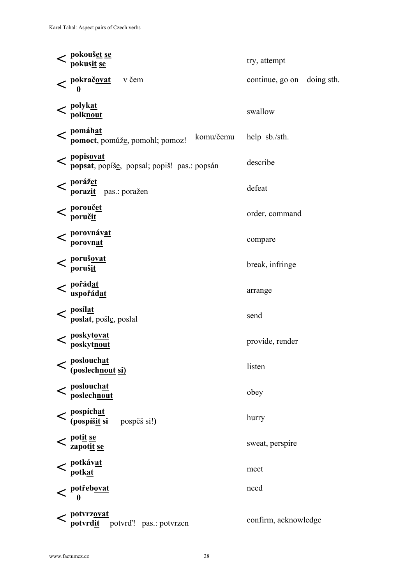| < pokouš <u>et se</u><br>< pokus <u>it se</u>                                                     | try, attempt               |
|---------------------------------------------------------------------------------------------------|----------------------------|
| $\langle \nabla_{0}^{\text{pokračovat}} \rangle$ v čem                                            | continue, go on doing sth. |
| $<\frac{\text{polykat}}{\text{polyknot}}}$                                                        | swallow                    |
| < pomáh <u>at</u><br>pomoct, pomůž <u>e</u> , pomohl; pomoz!<br>komu/čemu                         | help sb./sth.              |
| supersonat popisonal; popis! pas.: popsán<br>popsat, popíš <u>e</u> , popsal; popiš! pas.: popsán | describe                   |
| $\leq \frac{\text{porážet}}{\text{porazit}}$ pas.: poražen                                        | defeat                     |
| $<\frac{\text{poroučet}}{\text{poručit}}}$                                                        | order, command             |
| < porovnáv <u>at</u><br>sporovn <u>at</u>                                                         | compare                    |
| $\leq \frac{\text{porušovat}}{\text{porušit}}}$                                                   | break, infringe            |
| < pořád <u>at</u><br>< uspořád <u>at</u>                                                          | arrange                    |
| sant, pošl <u>eteciala</u><br>Sposlat, pošl <u>e</u> , poslal                                     | send                       |
| $\langle \frac{p$ oskyt <u>ovat</u>                                                               | provide, render            |
| $\langle$ poslouchat<br>(poslechnout si)                                                          | listen                     |
| $\langle \frac{posh(\theta)}{posh(\theta)}\rangle$                                                | obey                       |
| < pospích <u>at</u><br>(pospíš <u>it</u> si pospěš si!)                                           | hurry                      |
| $< \frac{\text{potit se}}{\text{zapotit se}}$                                                     | sweat, perspire            |
| $\leq \frac{\text{potkávat}}{\text{potkat}}$                                                      | meet                       |
| $\leq$ potřebovat<br>0                                                                            | need                       |
| $\leq$ potvrz <u>ovat</u><br>potvrdit potvrd'! pas.: potvrzen                                     | confirm, acknowledge       |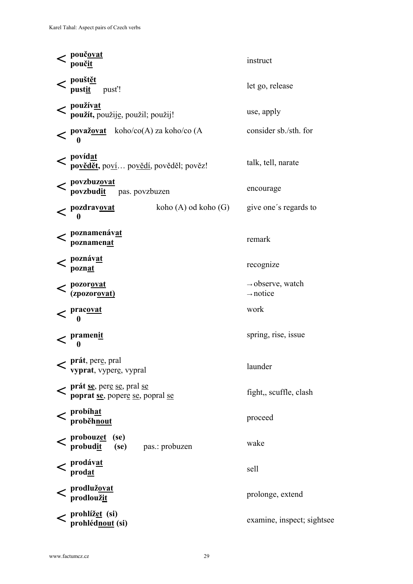| $\leq$ poučovat<br>poučit                                                                                                                                                                                                      | instruct                                             |
|--------------------------------------------------------------------------------------------------------------------------------------------------------------------------------------------------------------------------------|------------------------------------------------------|
| $\langle \nabla \frac{\text{pouštět}}{\text{pustit}}}$ pust'!                                                                                                                                                                  | let go, release                                      |
| < použív <u>at</u><br>> použít, použij <u>e</u> , použil; použij!                                                                                                                                                              | use, apply                                           |
| $\leq$ považovat koho/co(A) za koho/co (A)<br>0                                                                                                                                                                                | consider sb./sth. for                                |
| s povíd <u>at</u><br>po <u>vědět</u> , poví povědí, pověděl; pověz!                                                                                                                                                            | talk, tell, narate                                   |
| < povzbuzovat<br>sporzbudit pas. povzbuzen                                                                                                                                                                                     | encourage                                            |
| koho $(A)$ od koho $(G)$ give one's regards to<br>$\leq$ <sup>pozdrav<u>ovat</u></sup>                                                                                                                                         |                                                      |
| $\langle \nabla_{\text{poznamenat}}^{\text{poznamenávať}}$                                                                                                                                                                     | remark                                               |
| $\leq \frac{\text{poznávat}}{\text{poznat}}}$                                                                                                                                                                                  | recognize                                            |
| $<\frac{\text{pozorovat}}{\text{(zpozorovat)}\text{)}}$                                                                                                                                                                        | $\rightarrow$ observe, watch<br>$\rightarrow$ notice |
| prac <u>ovat</u><br>$\boldsymbol{0}$                                                                                                                                                                                           | work                                                 |
| pramenit                                                                                                                                                                                                                       | spring, rise, issue                                  |
| Seprát, per <u>e</u> , pral<br>Seprat, vypere, vypral                                                                                                                                                                          | launder                                              |
| Subset of the set of the set of the set of the set of the set of the set of the set of the set of the set of the set of the set of the set of the set of the set of the set of the set of the set of the set of the set of the | fight, scuffle, clash                                |
| $\langle \frac{\text{probability}}{\text{probability}} \rangle$                                                                                                                                                                | proceed                                              |
| < probouzet (se)<br>probudit (se) pas.: probuzen                                                                                                                                                                               | wake                                                 |
| $\leq \frac{\text{prodávat}}{\text{prodat}}}$                                                                                                                                                                                  | sell                                                 |
| < prodluž <u>ovat</u><br>prodlouž <u>it</u>                                                                                                                                                                                    | prolonge, extend                                     |
| <br><u>prohlížet</u> (si)<br>prohléd <u>nout</u> (si)                                                                                                                                                                          | examine, inspect; sightsee                           |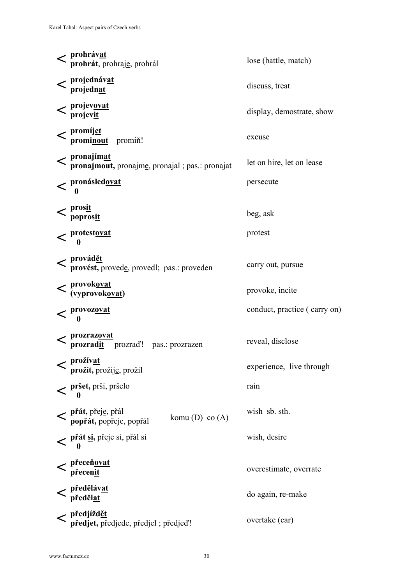| <br><b>c</b> prohráv <u>at</u><br>prohrát, prohraj <u>e</u> , prohrál                                                                                      | lose (battle, match)         |
|------------------------------------------------------------------------------------------------------------------------------------------------------------|------------------------------|
| < projednáv <u>at</u><br>s projedn <u>at</u>                                                                                                               | discuss, treat               |
| $\langle \nabla \frac{\text{projective}}{\text{projective}} \rangle$                                                                                       | display, demostrate, show    |
| < promíjet<br>prominout promin!                                                                                                                            | excuse                       |
| surface pronajmat<br>surface pronajmout, pronajme, pronajal ; pas.: pronajat                                                                               | let on hire, let on lease    |
| $<\frac{\text{pronásledovat}}{0}$                                                                                                                          | persecute                    |
| $<\frac{\text{prosi}}{\text{popros}\underline{\text{it}}}$                                                                                                 | beg, ask                     |
| $<\frac{\text{protest}_{\text{ovat}}}{0}$                                                                                                                  | protest                      |
| Surface provádět<br>Surface provede, provedl; pas.: proveden                                                                                               | carry out, pursue            |
| < provok <u>ovat</u><br>< (vyprovok <u>ovat</u> )                                                                                                          | provoke, incite              |
| $<\frac{\text{provozovat}}{0}$                                                                                                                             | conduct, practice (carry on) |
| sand prozrazovat<br>prozradit prozrad'! pas.: prozrazen                                                                                                    | reveal, disclose             |
| $\langle \nabla \frac{\text{proj}(\text{val})}{\text{proj}(\text{val})} \rangle$<br>prožít, prožije, prožil                                                | experience, live through     |
| pršet, prší, pršelo                                                                                                                                        | rain                         |
| < přát, přej <u>e</u> , přál<br>spopřát, popřej <u>e</u> , popřál<br>komu (D) co $(A)$                                                                     | wish sb. sth.                |
| <i>v</i> řát si, přeje si, přál si                                                                                                                         | wish, desire                 |
| $\langle \nabla \frac{\text{přeceňovat}}{\text{přecenit}}$                                                                                                 | overestimate, overrate       |
| < předěláv <u>at</u><br>< předěl <u>at</u>                                                                                                                 | do again, re-make            |
| $\langle \nabla_{\mathbf{n}^{\mathbf{x}}}^{\mathbf{p}^{\mathbf{x}}}\nabla_{\mathbf{n}^{\mathbf{x}}}^{\mathbf{p}}$<br>předjet, předjede, předjel ; předjeď! | overtake (car)               |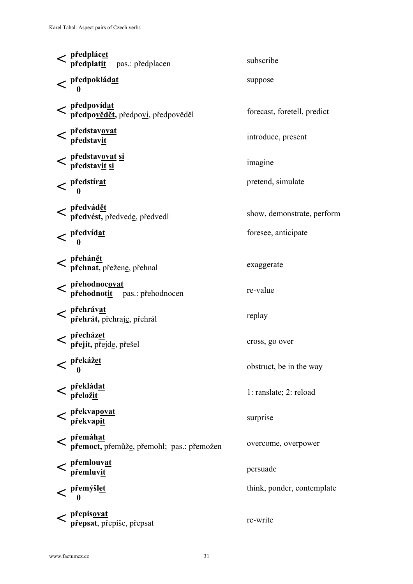| < předplác <u>et</u><br>předplatit pas.: předplacen                                                                                                                                                                                                                                                                                                                                                       | subscribe                   |
|-----------------------------------------------------------------------------------------------------------------------------------------------------------------------------------------------------------------------------------------------------------------------------------------------------------------------------------------------------------------------------------------------------------|-----------------------------|
| $<\frac{\text{předpokládat}}{0}$                                                                                                                                                                                                                                                                                                                                                                          | suppose                     |
| <br>předpovíd <u>at</u><br>předpo <u>vědět</u> , předpo <u>ví</u> , předpověděl                                                                                                                                                                                                                                                                                                                           | forecast, foretell, predict |
| $\langle \nabla$ představ <u>ovat</u>                                                                                                                                                                                                                                                                                                                                                                     | introduce, present          |
| < představ <u>ovat si</u><br>< představ <u>it si</u>                                                                                                                                                                                                                                                                                                                                                      | imagine                     |
| $\langle \nabla \frac{\text{předstírat}}{0}$                                                                                                                                                                                                                                                                                                                                                              | pretend, simulate           |
| < předvád <u>ět</u><br>< předvést, předvede, předvedl                                                                                                                                                                                                                                                                                                                                                     | show, demonstrate, perform  |
| $\langle \nabla_{0}^{p^{\text{redvid}}}\nabla_{0}^{p^{\text{redvid}}}\nabla_{0}^{p^{\text{redvid}}}\nabla_{0}^{p^{\text{redvid}}}\nabla_{0}^{p^{\text{redvid}}}\nabla_{0}^{p^{\text{redvid}}}\nabla_{0}^{p^{\text{redvid}}}\nabla_{0}^{p^{\text{redvid}}}\nabla_{0}^{p^{\text{redvid}}}\nabla_{0}^{p^{\text{redvid}}}\nabla_{0}^{p^{\text{redvid}}}\nabla_{0}^{p^{\text{redvid}}}\nabla_{0}^{p^{\text{re$ | foresee, anticipate         |
| < přehán <u>ět</u><br>< přehnat, přežene, přehnal                                                                                                                                                                                                                                                                                                                                                         | exaggerate                  |
| <br>Přehodnoc <u>ovat</u><br>přehodnot <u>it</u> pas.: přehodnocen                                                                                                                                                                                                                                                                                                                                        | re-value                    |
| < přehráv <u>at</u><br>< přehrát, přehraj <u>e</u> , přehrál                                                                                                                                                                                                                                                                                                                                              | replay                      |
| < přecházet<br>přejít, přejde, přešel                                                                                                                                                                                                                                                                                                                                                                     | cross, go over              |
| $\leftarrow$ <sup>překáž</sup> et                                                                                                                                                                                                                                                                                                                                                                         | obstruct, be in the way     |
| < překlád <u>at</u><br>> přelož <u>it</u>                                                                                                                                                                                                                                                                                                                                                                 | 1: ranslate; 2: reload      |
| < překvap <u>ovat</u><br>< překvap <u>it</u>                                                                                                                                                                                                                                                                                                                                                              | surprise                    |
| < přemáh <u>at</u><br>přemoct, přemůže, přemohl; pas.: přemožen                                                                                                                                                                                                                                                                                                                                           | overcome, overpower         |
| $\langle \frac{\text{přemlouvat}}{\text{přemluvit}}}$                                                                                                                                                                                                                                                                                                                                                     | persuade                    |
| $\leq$ <sup>přemýšl</sup> et                                                                                                                                                                                                                                                                                                                                                                              | think, ponder, contemplate  |
| < přepis <u>ovat</u><br>< přepsat, přepíš <u>e</u> , přepsat                                                                                                                                                                                                                                                                                                                                              | re-write                    |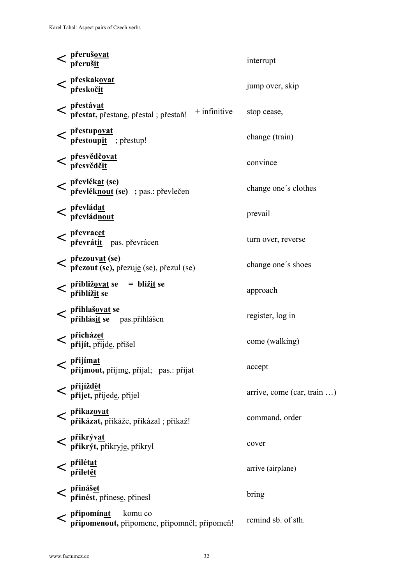| $\langle \frac{\text{přerušovat}}{\text{přerušit}}$                                      | interrupt                  |
|------------------------------------------------------------------------------------------|----------------------------|
| < přeskak <u>ovat</u><br>s přeskoč <u>it</u>                                             | jump over, skip            |
| Supřestáv <u>at</u><br>přestat, přestane, přestal ; přestaň!<br>+ infinitive stop cease, |                            |
| < přestup <u>ovat</u><br>< přestoup <u>it</u> ; přestup!                                 | change (train)             |
| ← přesvědč <u>ovat</u><br>• přesvědč <u>it</u>                                           | convince                   |
| Szoriekska (se)<br>Szorieksz (se) ; pas.: převlečen                                      | change one's clothes       |
| < převlád <u>at</u><br>< převlád <u>nout</u>                                             | prevail                    |
| < převracet<br>převrát <u>it</u> pas. převrácen                                          | turn over, reverse         |
| Servent (se)<br>Servent (se), přezuj <u>e</u> (se), přezul (se)                          | change one's shoes         |
|                                                                                          | approach                   |
| < přihlaš <u>ovat</u> se<br>přihlás <u>it</u> se pas.přihlášen                           | register, log in           |
| < přicház <u>et</u><br>< přijít, přijd <u>e</u> , přišel                                 | come (walking)             |
| <i>i</i> přijímat<br>přijmout, přijme, přijal; pas.: přijat                              | accept                     |
| < přijížd <u>ět</u><br>< přijet, přijed <u>e</u> , přijel                                | arrive, come (car, train ) |
| < přikazovat<br>spřikázat, přikáže, přikázal ; přikaž!                                   | command, order             |
| < přikrýv <u>at</u><br>< přikrýt, přikryje, přikryl                                      | cover                      |
| $\langle \frac{\text{přilétat}}{\text{přiletět}}$                                        | arrive (airplane)          |
| < přinášet<br>přinést, přinese, přinesl                                                  | bring                      |
| < připomín <u>at</u> komu co<br>připomenout, připomene, připomněl; připomeň!             | remind sb. of sth.         |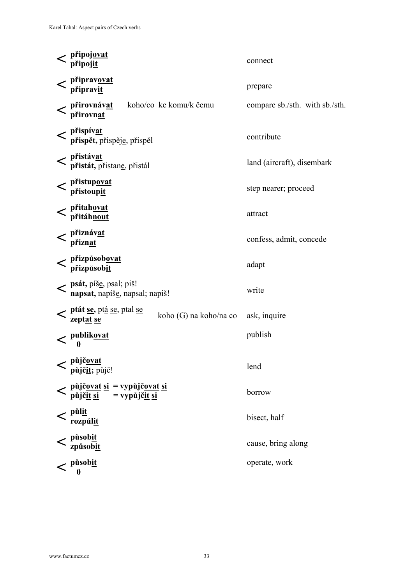| < připo <u>jovat</u><br>< připoj <u>it</u>                                                             |                                                                                  | connect                        |
|--------------------------------------------------------------------------------------------------------|----------------------------------------------------------------------------------|--------------------------------|
| $\langle \nabla$ připravovat<br>připravit                                                              |                                                                                  | prepare                        |
|                                                                                                        | $\langle \nabla$ přirovnáv <u>at</u> koho/co ke komu/k čemu<br>přirovn <u>at</u> | compare sb./sth. with sb./sth. |
| $\langle \mathbf{p}^{\text{r}} \rangle$ spřispět, přispěje, přispěl                                    |                                                                                  | contribute                     |
| < přistáv <u>at</u><br>< přistát, přistane, přistál                                                    |                                                                                  | land (aircraft), disembark     |
| $\langle \frac{\text{přistupovat}}{\text{přistoupit}}$                                                 |                                                                                  | step nearer; proceed           |
| < přitah <u>ovat</u><br>> přitáh <u>nout</u>                                                           |                                                                                  | attract                        |
| $\langle \frac{\text{přiznáva}t}{\text{přiznat}}$                                                      |                                                                                  | confess, admit, concede        |
| < přizpůsob <u>ovat</u><br>< přizpůsob <u>it</u>                                                       |                                                                                  | adapt                          |
| sát, píše, psal; piš!<br>spisat, napíše, napsal; napiš!                                                |                                                                                  | write                          |
| $\leq \frac{\text{ptát } \underline{\text{se}}}{\text{zeptat } \underline{\text{se}}}$ ptá se, ptal se | koho (G) na koho/na co                                                           | ask, inquire                   |
| publik <u>ovat</u><br>O                                                                                |                                                                                  | publish                        |
| $\langle \nabla^{\mu} \phi \rangle$<br>půjčit; půjč!                                                   |                                                                                  | lend                           |
| půjč <u>ovat si</u> = vypůjčovat si<br>$pi$ jč <u>it si</u> = vypůjč <u>it si</u>                      |                                                                                  | borrow                         |
| $\leq$ půl <u>it</u><br>rozpůlit                                                                       |                                                                                  | bisect, half                   |
| působ <u>it</u><br>způsobit                                                                            |                                                                                  | cause, bring along             |
| $\langle \nabla$ <sup>působ</sup> it<br>$\boldsymbol{0}$                                               |                                                                                  | operate, work                  |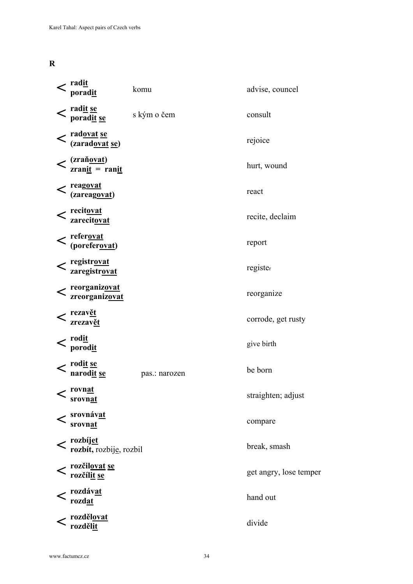#### **R**

| $\langle \frac{\text{radit}}{\text{poradi}} \rangle$                                           | komu          | advise, councel        |
|------------------------------------------------------------------------------------------------|---------------|------------------------|
| $< \frac{\text{radit se}}{\text{poradit se}}$                                                  | s kým o čem   | consult                |
| $\langle \n\begin{array}{c}\n\text{radovat se} \\ \text{(zaradovat se})\n\end{array}\n\rangle$ |               | rejoice                |
| $\langle \frac{\text{(zraňovat})}{\text{zranit}} \rangle$                                      |               | hurt, wound            |
| $\leq \frac{\text{reagovat}}{(\text{zareagovat})}$                                             |               | react                  |
| $\langle \frac{\text{recit}_{\text{ovat}}}{\text{zarecit}_{\text{ovat}}} \rangle$              |               | recite, declaim        |
| $\langle$ refer <u>ovat</u><br>(porefer <u>ovat</u> )                                          |               | report                 |
| < registr <u>ovat</u><br>< zaregistr <u>ovat</u>                                               |               | register               |
| < reorganizovat                                                                                |               | reorganize             |
| $\langle \frac{\text{rezavět}}{\text{zrezavět}}$                                               |               | corrode, get rusty     |
| $< \frac{\text{rodit}}{\text{porodit}}$                                                        |               | give birth             |
| $\leq \frac{\text{rodit se}}{\text{narodit se}}$                                               | pas.: narozen | be born                |
| rovn <u>at</u><br>srovnat                                                                      |               | straighten; adjust     |
| $\leq$ <sup>srovnáv<u>at</u></sup><br>srovnat                                                  |               | compare                |
| verzbíjet<br>Szlovák, rozbije, rozbil                                                          |               | break, smash           |
| $\langle \frac{\text{rozčilovat se}}{\text{rozčílit se}} \rangle$                              |               | get angry, lose temper |
| $\leq \frac{\text{rozdávat}}{\text{rozdat}}}$                                                  |               | hand out               |
| rozdělovat<br>rozdělit                                                                         |               | divide                 |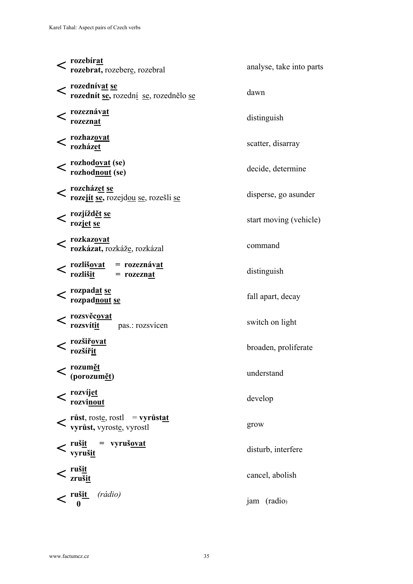| single contract state of the contract vertex states of the contract vertex states of the contract vertex states of the contract vertex states of the contract vertex states of the contract vertex states of the contract vert   | analyse, take into parts |
|----------------------------------------------------------------------------------------------------------------------------------------------------------------------------------------------------------------------------------|--------------------------|
| $\leq \frac{\text{rozednívat se}}{\text{rozednít se}}$ , rozedn <u>í</u> se, rozednělo se                                                                                                                                        | dawn                     |
| $\leq \frac{\text{rozeznávat}}{\text{rozeznat}}$                                                                                                                                                                                 | distinguish              |
| $\langle \nabla \frac{\text{rozhazovat}}{\text{rozházet}}$                                                                                                                                                                       | scatter, disarray        |
| $\langle \nabla \frac{\text{rozhodovat}}{\text{rozhodnout}} \text{(se)} \rangle$                                                                                                                                                 | decide, determine        |
| < rozcházet se<br>rozejít se, rozejdou se, rozešli se                                                                                                                                                                            | disperse, go asunder     |
| $\langle \frac{\text{rozjíždět se}}{\text{rozjet se}}$                                                                                                                                                                           | start moving (vehicle)   |
| <br>rozkazovat<br>rozkázat, rozkáž <u>e</u> , rozkázal                                                                                                                                                                           | command                  |
| $\begin{array}{rcl} & \text{rozlišovat} & = & \text{rozeznávat} \\ & \text{rozlišit} & = & \text{rozeznat} \end{array}$                                                                                                          | distinguish              |
| < rozpad <u>at se</u><br>< rozpadnout se                                                                                                                                                                                         | fall apart, decay        |
| serve vieto vieto vieto vieto vieto vieto vieto vieto vieto vieto vieto vieto vieto vieto vieto vieto vieto vi<br>Server vieto vieto vieto vieto vieto vieto vieto vieto vieto vieto vieto vieto vieto vieto vieto vieto vieto v | switch on light          |
| $\leq$ rozšiř <u>ovat</u><br>rozšířit                                                                                                                                                                                            | broaden, proliferate     |
| rozum <u>ět</u><br>(porozumět)                                                                                                                                                                                                   | understand               |
| rozvíj <u>et</u><br>rozvinout                                                                                                                                                                                                    | develop                  |
| < růst, roste, rostl = vyrůst <u>at</u><br>vyrůst, vyrost <u>e</u> , vyrostl                                                                                                                                                     | grow                     |
| $ru\ddot{\theta}$ = vyruš <u>ovat</u><br>vyrušit                                                                                                                                                                                 | disturb, interfere       |
| ruš <u>it</u><br>zrušit                                                                                                                                                                                                          | cancel, abolish          |
| $\epsilon$ <sup>ruš<u>it</u> (rádio)</sup><br>$\boldsymbol{0}$                                                                                                                                                                   | jam (radio)              |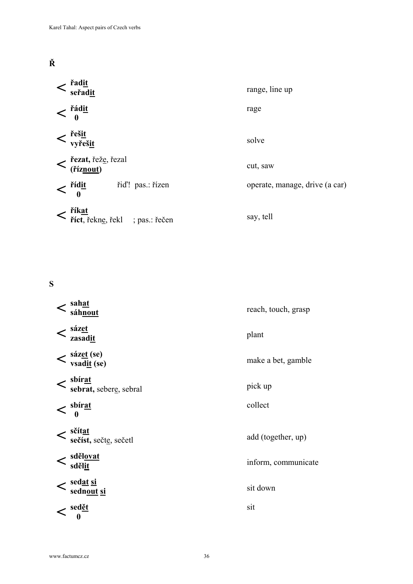**Ř**

| řadit<br>seřadit                                    | range, line up                 |
|-----------------------------------------------------|--------------------------------|
| $<\frac{\text{řádit}}{0}$                           | rage                           |
| řeš <u>it</u><br>vyřeš <u>it</u>                    | solve                          |
| řezat, řeže, řezal<br>(říznout)                     | cut, saw                       |
| řiď! pas.: řízen<br>$<\frac{$ if (d <u>it</u> )}{0} | operate, manage, drive (a car) |
| říkat<br>říct, řekne, řekl ; pas.: řečen            | say, tell                      |

#### **S**

| sahat<br>sáhnout                                          | reach, touch, grasp |
|-----------------------------------------------------------|---------------------|
| $\leq$ <sup>sáz<u>et</u></sup><br>zasadit                 | plant               |
| $\langle \frac{\text{sázet (se)} }{\text{vsadit (se)}}$   | make a bet, gamble  |
| $\leq$ <sup>sbír<u>at</u></sup><br>sebrat, sebere, sebral | pick up             |
| $\leq$ <sup>sbír</sup> at<br>$\boldsymbol{0}$             | collect             |
| $\leq$ sčít <u>at</u><br>sečíst, sečte, sečetl            | add (together, up)  |
| $\langle \frac{\text{sdělovat}}{\text{sdělit}} \rangle$   | inform, communicate |
| $\leq$ sedat si<br>sednout si                             | sit down            |
| sedět<br>$\boldsymbol{0}$                                 | sit                 |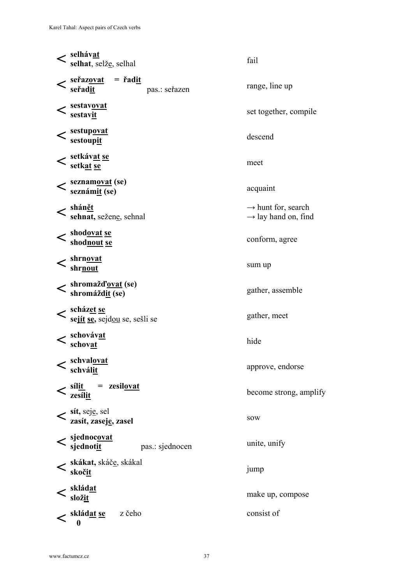| $\langle \xi \rangle$ selháv <u>at</u><br>selhat, selž <u>e</u> , selhal | fail                                                              |
|--------------------------------------------------------------------------|-------------------------------------------------------------------|
| < seřazovat = řadit<br>pas.: seřazen                                     | range, line up                                                    |
| $\leq \frac{\text{sestav}_{\text{ovat}}}{\text{sestavi}_{\text{t}}}$     | set together, compile                                             |
| $\leq \frac{\text{sestupovat}}{\text{sestoupit}}}$                       | descend                                                           |
| < setkáv <u>at se</u><br>< setk <u>at se</u>                             | meet                                                              |
| < seznam <u>ovat</u> (se)<br>< seznám <u>it</u> (se)                     | acquaint                                                          |
| < shán <u>ět</u><br>< sehnat, sežen <u>e</u> , sehnal                    | $\rightarrow$ hunt for, search<br>$\rightarrow$ lay hand on, find |
| $\leq$ shodovat se<br>shodnout se                                        | conform, agree                                                    |
| $\leq \frac{\text{shrnovat}}{\text{ch}}$<br>shrnout                      | sum up                                                            |
| $\leq$ shromažd' <u>ovat</u> (se)<br>shromáždit (se)                     | gather, assemble                                                  |
| $\leq$ scházet se<br>sejít se, sejdou se, sešli se                       | gather, meet                                                      |
| schovávat<br>schovat                                                     | hide                                                              |
| $\langle \frac{\text{schval}_{\text{ovat}}}{\text{schválit}} \rangle$    | approve, endorse                                                  |
| $\langle \frac{\text{sílit}}{\text{zesíliti}} \rangle$ = zesilovat       | become strong, amplify                                            |
| < sít, sej <u>e</u> , sel<br>zasít, zasej <u>e,</u> zasel                | sow                                                               |
| $\langle$ sjednoc <u>ovat</u><br>pas.: sjednocen                         | unite, unify                                                      |
| < skákat, skáče, skákal<br>< skoč <u>it</u>                              | jump                                                              |
| $\leq$ <sup>sklád<u>at</u></sup><br>složit                               | make up, compose                                                  |
| sklád <u>at se</u> z čeho<br>$\boldsymbol{0}$                            | consist of                                                        |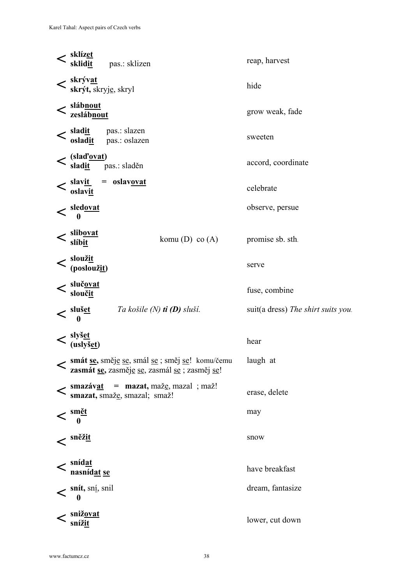| . sklíz <u>et</u><br>sklidit pas.: sklizen                                                           | reap, harvest                      |
|------------------------------------------------------------------------------------------------------|------------------------------------|
| $<\frac{\text{skrývat}}{\text{skrýt, skryje, skryl}}$                                                | hide                               |
| < sláb <u>nout</u><br>< zesláb <u>nout</u>                                                           | grow weak, fade                    |
| < sladit pas.: slazen<br>sladit pas.: oslazen                                                        | sweeten                            |
| < (slad' <u>ovat)</u><br>< slad <u>it</u> pas.: sladěn                                               | accord, coordinate                 |
| $\langle \frac{slavit}{oslavit}$                                                                     | celebrate                          |
| $\leq$ <sup>sledovat</sup><br>$\mathbf{0}$                                                           | observe, persue                    |
| $\langle \frac{\text{sliboxat}}{\text{slibit}} \rangle$<br>komu $(D)$ co $(A)$                       | promise sb. sth.                   |
| < slouž <u>it</u><br>< (poslouž <u>it</u> )                                                          | serve                              |
| $< \frac{\text{slučovat}}{\text{sloučit}}$                                                           | fuse, combine                      |
| Ta košile (N) $t$ i (D) sluší.<br>$\leq$ <sup>sluš</sup> et<br>$\mathbf{0}$                          | suit(a dress) The shirt suits you. |
| $\leq$ slyšet<br>(uslyšet)                                                                           | hear                               |
| <i>smát</i> se, směje se, smál se ; směj se! komu/čemu zasmát se, zasměje se, zasmál se ; zasměj se! | laugh at                           |
| smazáv <u>at</u> = mazat, maže, mazal; maž!<br>smazat, smaže, smazal; smaž!                          | erase, delete                      |
| <u>smět</u><br>0                                                                                     | may                                |
| sněžit                                                                                               | snow                               |
| snídat<br>nasnídat se                                                                                | have breakfast                     |
| snít, sní, snil<br>0                                                                                 | dream, fantasize                   |
| snižovat<br>snížit                                                                                   | lower, cut down                    |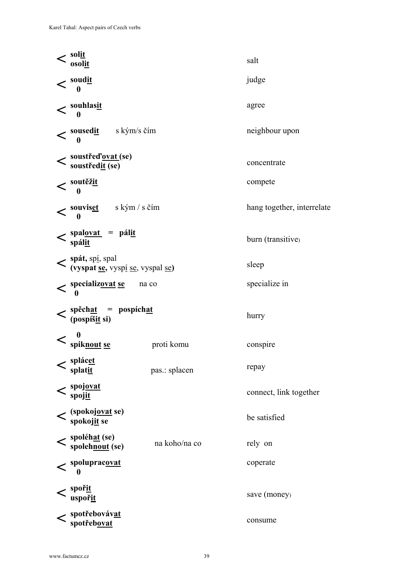| $\leq$ solit<br>osolit                                                                                                                    |               | salt                       |
|-------------------------------------------------------------------------------------------------------------------------------------------|---------------|----------------------------|
| $<\frac{\text{soudit}}{0}$                                                                                                                |               | judge                      |
| $\langle \frac{\text{souhlasi}t}{0} \rangle$                                                                                              |               | agree                      |
| $\langle \begin{array}{cc} \text{sound} & \text{s} \text{ kym/s } \text{c} \text{im} \\ 0 & \text{m} \end{array} \rangle$                 |               | neighbour upon             |
| < soustřed' <u>ovat (se)</u><br>< soustřed <u>it</u> (se)                                                                                 |               | concentrate                |
| $\langle \frac{\text{southěži}t}{0}$                                                                                                      |               | compete                    |
| $\left\langle \begin{array}{cc} \text{souvise} & \text{s kým/s čím} \\ \text{A} & \text{A} \end{array} \right\rangle$<br>$\boldsymbol{0}$ |               | hang together, interrelate |
| $\langle \nabla \frac{\text{spalovat}}{\text{spálit}}}$ = pál <u>it</u>                                                                   |               | burn (transitive)          |
| Spát, sp <u>í</u> , spal<br>(vyspat <u>se</u> , vysp <u>í se</u> , vyspal <u>se</u> )                                                     |               | sleep                      |
| $\langle \n\begin{array}{c}\n\text{specializovat se} \\ \hline\n0\n\end{array}\n\rangle$<br>$\mathbf{0}$                                  | na co         | specialize in              |
| $\langle \nabla \frac{\text{spěchat}}{\text{(pospíšit si)}}$                                                                              |               | hurry                      |
| $<\frac{0}{\text{spiknot}}$ se                                                                                                            | proti komu    | conspire                   |
| $< \frac{\text{split}}{\text{split}}$                                                                                                     | pas.: splacen | repay                      |
| $\langle \frac{\text{spojovat}}{\text{spojit}}$                                                                                           |               | connect, link together     |
| (spokoj <u>ovat</u> se)<br>spokojit se                                                                                                    |               | be satisfied               |
| < spoléh <u>at</u> (se)<br>< spoleh <u>nout</u> (se)                                                                                      | na koho/na co | rely on                    |
| spolupracovat<br>$\mathbf{0}$                                                                                                             |               | coperate                   |
| spořit<br>uspořit                                                                                                                         |               | save (money)               |
| < spotřebováv <u>at</u><br>< spotřeb <u>ovat</u>                                                                                          |               | consume                    |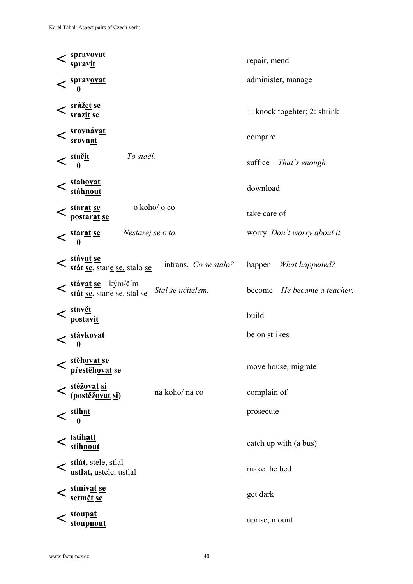| $\leq \frac{\text{spravovat}}{\text{spravit}}$                                                                                     | repair, mend                       |
|------------------------------------------------------------------------------------------------------------------------------------|------------------------------------|
| $\leq$ <sup>spravovat</sup><br>$\bf{0}$                                                                                            | administer, manage                 |
| $\leq$ <sup>sráž<u>et</u> se</sup><br>srazit se                                                                                    | 1: knock togehter; 2: shrink       |
| $\leq \frac{\text{srovnávat}}{\text{srovnat}}$                                                                                     | compare                            |
| To stačí.<br>$\leq$ <sup>stač</sup> it<br>$\mathbf{0}$                                                                             | suffice<br>That's enough.          |
| $\langle \frac{\text{stahovat}}{\text{stáhnout}} \rangle$                                                                          | download                           |
| o koho/ o co<br>< star <u>at se</u><br>< postar <u>at se</u>                                                                       | take care of                       |
| Nestarej se o to.<br>star <u>at se</u><br>$\bf{0}$                                                                                 | worry <i>Don't worry about it.</i> |
| $\langle \n\begin{array}{c}\n\text{stávat se} \\ \text{stát se} \\ \text{stane se}\n\end{array}$ stalo se<br>intrans. Co se stalo? | happen <i>What happened?</i>       |
| < stáv <u>at se</u> kým/čím<br>stát <u>se</u> , stan <u>e se</u> , stal <u>se</u><br>Stal se učitelem.                             | become He became a teacher.        |
| < stav <u>ět</u><br>< postav <u>it</u>                                                                                             | build                              |
| stávk <u>ovat</u><br>0                                                                                                             | be on strikes                      |
| < stěh <u>ovat se</u><br>< přestěh <u>ovat</u> se                                                                                  | move house, migrate                |
| stěž <u>ovat si</u><br>(postěž <u>ovat si</u> )<br>na koho/ na co                                                                  | complain of                        |
| stíh <u>at</u><br>0                                                                                                                | prosecute                          |
| (stíh <u>at)</u><br>stihnout                                                                                                       | catch up with (a bus)              |
| stlát, stel <u>e</u> , stlal<br>ustlat, ustele, ustlal                                                                             | make the bed                       |
| stmív <u>at se</u><br>setmět se                                                                                                    | get dark                           |
| stoup <u>at</u><br>stoupnout                                                                                                       | uprise, mount                      |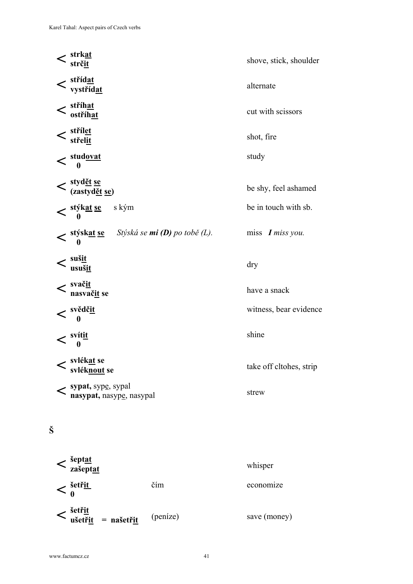|       | strk <u>at</u><br>strčit                                             | shove, stick, shoulder  |
|-------|----------------------------------------------------------------------|-------------------------|
|       | $\langle \frac{\text{střídat}}{\text{vystřídat}} \rangle$            | alternate               |
|       | $\langle \frac{\text{stříhat}}{\text{ostříhat}}$                     | cut with scissors       |
|       | $< \frac{\text{střílet}}{\text{střelit}}}$                           | shot, fire              |
| $\lt$ | stud <u>ovat</u><br>$\boldsymbol{0}$                                 | study                   |
|       | < styd <u>ět se</u><br>< <u>(zastydět se</u> )                       | be shy, feel ashamed    |
| $\lt$ | stýk <u>at se</u><br>s kým<br>$\boldsymbol{0}$                       | be in touch with sb.    |
| $\lt$ | stýsk <u>at se</u> Stýská se mi (D) po tobě (L).<br>$\bf{0}$         | miss $I$ miss you.      |
|       | $< \frac{\text{sušit}}{\text{usušit}}}$                              | dry                     |
|       | < svač <u>it</u><br>< nasvač <u>it</u> se                            | have a snack            |
|       | $\leq$ <sup>svědč<u>it</u></sup><br>$\bf{0}$                         | witness, bear evidence  |
|       | svít <u>it</u>                                                       | shine                   |
|       | $\leq$ svlék <u>at</u> se<br>svléknout se                            | take off cltohes, strip |
|       | Sypat, sype, sypal<br><b>System</b> asypat, nasyp <u>e</u> , nasypal | strew                   |
|       |                                                                      |                         |

## **Š**

| šept <u>at</u><br>zašept <u>at</u> |          | whisper      |
|------------------------------------|----------|--------------|
| $<\frac{\text{šetřit}}{0}$         | čím      | economize    |
| šetřit<br>ušetřit<br>$=$ našetřit  | (peníze) | save (money) |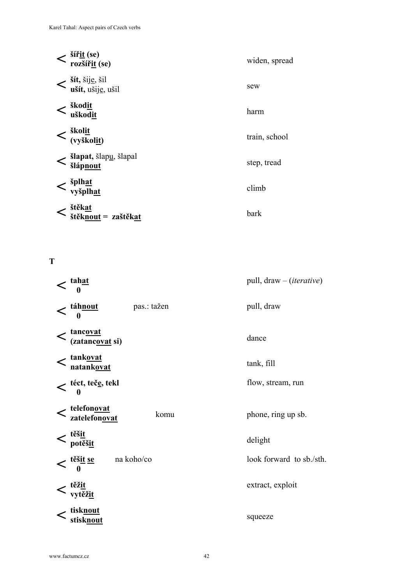|       | $\langle \frac{\sin it}{\cos x} \cdot \frac{\sin x}{\cos x} \cdot \frac{\sin x}{\cos x} \cdot \frac{\sin x}{\cos x} \cdot \frac{\sin x}{\cos x} \cdot \frac{\sin x}{\cos x} \cdot \frac{\sin x}{\cos x} \cdot \frac{\sin x}{\cos x} \cdot \frac{\sin x}{\cos x} \cdot \frac{\sin x}{\cos x} \cdot \frac{\sin x}{\cos x} \cdot \frac{\sin x}{\cos x} \cdot \frac{\sin x}{\cos x} \cdot \frac{\sin x}{\cos x} \cdot \frac{\sin x}{\cos x} \cdot \frac{\sin x}{\cos x} \cdot \frac{\sin x}{\cos x} \cdot \frac{\sin x}{\cos x} \cdot \frac$ | widen, spread |
|-------|------------------------------------------------------------------------------------------------------------------------------------------------------------------------------------------------------------------------------------------------------------------------------------------------------------------------------------------------------------------------------------------------------------------------------------------------------------------------------------------------------------------------------------------|---------------|
|       | $\langle \mathbf{x} \rangle$ sit, šije, šil<br>ušít, ušije, ušil                                                                                                                                                                                                                                                                                                                                                                                                                                                                         | sew           |
| $\lt$ | škodit<br>uškodit                                                                                                                                                                                                                                                                                                                                                                                                                                                                                                                        | harm          |
|       | $\langle \frac{\text{školit}}{\text{(vyškolit)}} \rangle$                                                                                                                                                                                                                                                                                                                                                                                                                                                                                | train, school |
|       | Slapat, šlapu, šlapal<br>Slápnout                                                                                                                                                                                                                                                                                                                                                                                                                                                                                                        | step, tread   |
|       | $<\frac{\text{šplhat}}{\text{vyšplhat}}}$                                                                                                                                                                                                                                                                                                                                                                                                                                                                                                | climb         |
|       | štěkat<br>štěknout = zaštěkat                                                                                                                                                                                                                                                                                                                                                                                                                                                                                                            | bark          |

**T** 

| $\leq$ <sup>tah<u>at</u></sup>                                                                                          |             | pull, draw – ( <i>iterative</i> ) |
|-------------------------------------------------------------------------------------------------------------------------|-------------|-----------------------------------|
| táh <u>nout</u><br>0                                                                                                    | pas.: tažen | pull, draw                        |
| tanc <u>ovat</u><br>(zatanc <u>ovat</u> si)                                                                             |             | dance                             |
| $\leq$ <sup>tankovat</sup><br>natankovat                                                                                |             | tank, fill                        |
| $\langle \frac{\text{t\'ect, teče, tekl}}{0} \rangle$                                                                   |             | flow, stream, run                 |
| $\langle \frac{\text{telefonovat}}{\text{zatelefonovat}} \rangle$                                                       | komu        | phone, ring up sb.                |
| $\langle \frac{t \check{\text{e}} s \underline{\text{it}}}{\text{pot} \check{\text{e}} s \underline{\text{it}}}\rangle$ |             | delight                           |
| $\left\langle \begin{array}{c} t \in \underline{\xi} \\ 0 \end{array} \right\rangle$<br>$\bf{0}$                        | na koho/co  | look forward to sb./sth.          |
| $<\frac{t \check{e} \check{z} \underline{it}}{vyt \check{e} \check{z} \underline{it}}$                                  |             | extract, exploit                  |
| tisknout<br>stisknout                                                                                                   |             | squeeze                           |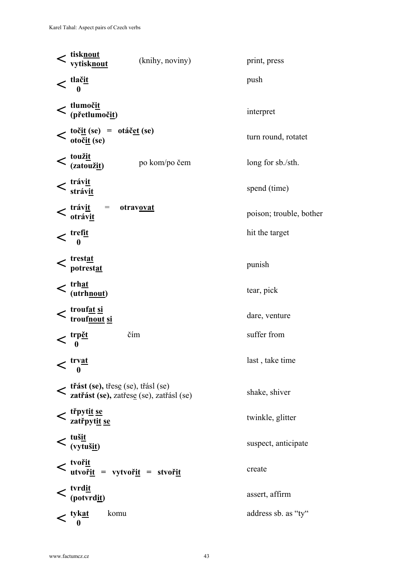| $\leftarrow$ tisknout<br>vytisknout                                                                        | (knihy, noviny) | print, press            |
|------------------------------------------------------------------------------------------------------------|-----------------|-------------------------|
| $\leq$ <sup>tlač</sup> it                                                                                  |                 | push                    |
| < tlumoč <u>it</u><br>< <sub>(přetlumoč<u>it</u>)</sub>                                                    |                 | interpret               |
| $\langle \begin{array}{r} \text{točit (se) = \text{otáčet (se)} \\ \text{otočit (se)} \end{array} \rangle$ |                 | turn round, rotatet     |
| $\langle \frac{\text{toužit}}{\text{(zatoužit})}}$                                                         | po kom/po čem   | long for sb./sth.       |
| $\langle \frac{\text{trávit}}{\text{strávit}} \rangle$                                                     |                 | spend (time)            |
| $\begin{array}{rcl} \langle & \frac{\text{trávit}}{\text{otravit}}} & = & \text{otravovat} \\ \end{array}$ |                 | poison; trouble, bother |
| $<\frac{\text{trefit}}{0}$                                                                                 |                 | hit the target          |
| $\langle \frac{\text{trestat}}{\text{potrestat}} \rangle$                                                  |                 | punish                  |
| $\langle \frac{\text{trh}_d t}{(\text{utrh}_d)} \rangle$                                                   |                 | tear, pick              |
| $\leq \frac{\text{troufat si}}{\text{troufnout si}}$                                                       |                 | dare, venture           |
| $\langle \n\begin{array}{c}\n\text{trpět} \\ n\end{array}\n\rangle$<br>0                                   | čím             | suffer from             |
| $\langle \nabla^{\text{trv}_\text{at}}$                                                                    |                 | last, take time         |
| třást (se), třese (se), třásl (se)<br>zatřást (se), zatřese (se), zatřásl (se)                             |                 | shake, shiver           |
| < třpyt <u>it se</u><br>zatřpyt <u>it se</u>                                                               |                 | twinkle, glitter        |
| $\langle \frac{\text{tušit}}{(\text{vytušit})} \rangle$                                                    |                 | suspect, anticipate     |
| < tvoř <u>it</u><br>< utvoř <u>it</u> = vytvoř <u>it</u> = stvoř <u>it</u>                                 |                 | create                  |
| $\leq \frac{\text{tvrdit}}{\text{(potvrdit$                                                                |                 | assert, affirm          |
| $\left\langle \right\rangle$ tyk <u>at</u><br>komu                                                         |                 | address sb. as "ty"     |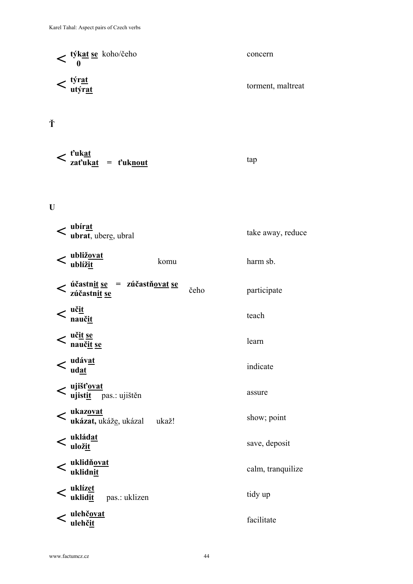$$
\begin{array}{l}\n\prec \frac{\text{týkat s e koho/čeho}}{0} \\
\prec \frac{\text{týrat}}{\text{utýrat}} \\
\text{format, maltreat}\n\end{array}
$$

**Ť**

| $\langle \n\begin{array}{c} t^{\prime}$ uk <u>at</u> |                       |     |
|------------------------------------------------------|-----------------------|-----|
|                                                      | $zat'ukat = t'uknout$ | tap |

#### **U**

| $\leq$ <sup>ubír<u>at</u></sup><br>ubrat, ubere, ubral                                                                                                                                                                                                                                                                                                                                                                                                                                                                               |      | take away, reduce |
|--------------------------------------------------------------------------------------------------------------------------------------------------------------------------------------------------------------------------------------------------------------------------------------------------------------------------------------------------------------------------------------------------------------------------------------------------------------------------------------------------------------------------------------|------|-------------------|
| $\langle \hat{\bf{r}} \rangle$ <sup>ubliž</sup> it                                                                                                                                                                                                                                                                                                                                                                                                                                                                                   | komu | harm sb.          |
| $\langle \nabla \times \nabla \times \nabla \times \nabla \times \nabla \times \nabla \times \nabla \times \nabla \times \nabla \times \nabla \times \nabla \times \nabla \times \nabla \times \nabla \times \nabla \times \nabla \times \nabla \times \nabla \times \nabla \times \nabla \times \nabla \times \nabla \times \nabla \times \nabla \times \nabla \times \nabla \times \nabla \times \nabla \times \nabla \times \nabla \times \nabla \times \nabla \times \nabla \times \nabla \times \nabla \times \nabla \times \n$ | čeho | participate       |
| $\leq \frac{\text{učit}}{\text{naučit}}$                                                                                                                                                                                                                                                                                                                                                                                                                                                                                             |      | teach             |
| $\langle \frac{\text{učit s}}{\text{naučit s}}$                                                                                                                                                                                                                                                                                                                                                                                                                                                                                      |      | learn             |
| $\langle \frac{\text{udáva}t}{\text{udat}} \rangle$                                                                                                                                                                                                                                                                                                                                                                                                                                                                                  |      | indicate          |
| « ujišť <u>ovat</u><br>« ujist <u>it</u> pas.: ujištěn                                                                                                                                                                                                                                                                                                                                                                                                                                                                               |      | assure            |
| <br>ukazovat káže, ukázal ukaž!                                                                                                                                                                                                                                                                                                                                                                                                                                                                                                      |      | show; point       |
|                                                                                                                                                                                                                                                                                                                                                                                                                                                                                                                                      |      | save, deposit     |
| < uklidň <u>ovat</u><br>< uklidn <u>it</u>                                                                                                                                                                                                                                                                                                                                                                                                                                                                                           |      | calm, tranquilize |
| < uklíz <u>et</u><br>< uklid <u>it</u> pas.: uklizen                                                                                                                                                                                                                                                                                                                                                                                                                                                                                 |      | tidy up           |
| ulehčovat<br>ulehčit                                                                                                                                                                                                                                                                                                                                                                                                                                                                                                                 |      | facilitate        |

www.factumcz.cz 44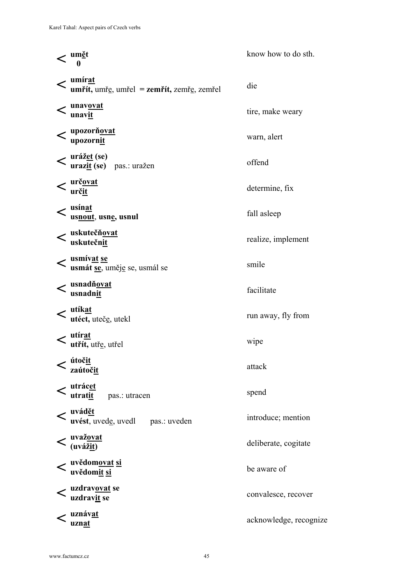| umět                                                                                   | know how to do sth.    |
|----------------------------------------------------------------------------------------|------------------------|
| $\leq \frac{\text{umírat}}{\text{umřít, umře}}$ , umřel = zemřít, zemře, zemřel        | die                    |
| $\langle \frac{\text{unav}_{\text{ov}_{\text{att}}}}{\text{unav}_{\text{att}}}\rangle$ | tire, make weary       |
| < upozorň <u>ovat</u>                                                                  | warn, alert            |
| <b>≤</b> uráž <u>et</u> (se)<br><b>≤</b> uraz <u>it</u> (se) pas.: uražen              | offend                 |
| $\langle \frac{\text{určovat}}{\text{určit}}}$                                         | determine, fix         |
| $< \frac{\text{usínat}}{\text{usnout}}$ , usng, usnul                                  | fall asleep            |
| < uskutečň <u>ovat</u><br>< uskutečn <u>it</u>                                         | realize, implement     |
| < usmív <u>at se</u><br>se, usmát se usměje se, usmál se                               | smile                  |
| $\langle \frac{\text{usnadiovat}}{\text{usnadiit}}$                                    | facilitate             |
| $\langle \mathbf{u} \rangle_{\text{utect,uteče, utekl}}^{\text{utikat}}$               | run away, fly from     |
| utírat<br>utřít, utře, utřel                                                           | wipe                   |
| < útoč <u>it</u><br>< zaútoč <u>it</u>                                                 | attack                 |
| $\langle \nabla \frac{\text{utrácet}}{\text{utratit}} \rangle$ pas.: utracen           | spend                  |
| wádět<br>wést, uvede, uvedl pas.: uveden                                               | introduce; mention     |
| $\langle \frac{\text{uvažovat}}{\text{(uvážit)}} \rangle$                              | deliberate, cogitate   |
| < uvědom <u>ovat si</u><br>< uvědom <u>it si</u>                                       | be aware of            |
| < uzdrav <u>ovat</u> se<br>< uzdrav <u>it</u> se                                       | convalesce, recover    |
| $\leq$ uznáv <u>at</u><br>uznat                                                        | acknowledge, recognize |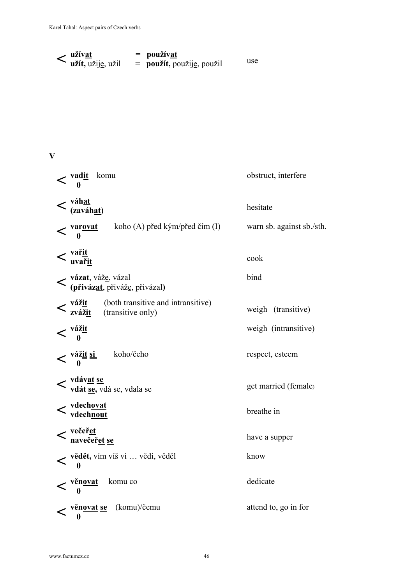$$
\left\{\n \begin{array}{l}\n \text{užívat} \\
 \text{užit, užije, užil}\n \end{array}\n \right.\n = \n \begin{array}{l}\n \text{používat} \\
 \text{použit, použije, použil}\n \end{array}\n \quad \text{use}
$$

**V** 

| $\leq$ vadit komu                                                                                                                                                                                                                                                                                                                                                                                                                                                                                                                    | obstruct, interfere       |
|--------------------------------------------------------------------------------------------------------------------------------------------------------------------------------------------------------------------------------------------------------------------------------------------------------------------------------------------------------------------------------------------------------------------------------------------------------------------------------------------------------------------------------------|---------------------------|
| $\langle \frac{\text{váhat}}{\text{(zaváhat})}}$                                                                                                                                                                                                                                                                                                                                                                                                                                                                                     | hesitate                  |
| koho (A) před kým/před čím (I)<br>$\langle \frac{\text{var}_{\text{ovat}}}{0} \rangle$                                                                                                                                                                                                                                                                                                                                                                                                                                               | warn sb. against sb./sth. |
| $\langle \frac{\text{vaiit}}{\text{uva\v{rit}}}}$                                                                                                                                                                                                                                                                                                                                                                                                                                                                                    | cook                      |
| vázat, váže, vázal<br>(přiváz <u>at</u> , přiváže, přivázal)                                                                                                                                                                                                                                                                                                                                                                                                                                                                         | bind                      |
| $\langle \nabla \times \nabla \times \nabla \times \nabla \times \nabla \times \nabla \times \nabla \times \nabla \times \nabla \times \nabla \times \nabla \times \nabla \times \nabla \times \nabla \times \nabla \times \nabla \times \nabla \times \nabla \times \nabla \times \nabla \times \nabla \times \nabla \times \nabla \times \nabla \times \nabla \times \nabla \times \nabla \times \nabla \times \nabla \times \nabla \times \nabla \times \nabla \times \nabla \times \nabla \times \nabla \times \nabla \times \n$ | weigh (transitive)        |
| $\langle \frac{\text{váži}t}{0} \rangle$                                                                                                                                                                                                                                                                                                                                                                                                                                                                                             | weigh (intransitive)      |
| $\left\langle \begin{array}{cc} \n\text{vážit si} & \n\text{koho/čeho} \\ \n0 & \n\end{array} \right\rangle$<br>0                                                                                                                                                                                                                                                                                                                                                                                                                    | respect, esteem           |
| < vdáv <u>at se</u><br>< vdát <u>se</u> , vd <u>á se</u> , vdala <u>se</u>                                                                                                                                                                                                                                                                                                                                                                                                                                                           | get married (female)      |
| $\langle \nabla_{\text{vdechnout}}^{\text{vdech}_{\text{vout}}}$                                                                                                                                                                                                                                                                                                                                                                                                                                                                     | breathe in                |
| $\langle \frac{\text{večeřet}}{\text{navečeřet se}}$                                                                                                                                                                                                                                                                                                                                                                                                                                                                                 | have a supper             |
| $\leftarrow \frac{\text{vědět}}{0}$ vím víš ví  vědí, věděl                                                                                                                                                                                                                                                                                                                                                                                                                                                                          | know                      |
| $\langle \nabla \frac{\text{věnovat}}{\text{0}}\nabla \cdot \nabla \cdot \nabla \cdot \nabla \cdot \nabla \cdot \nabla \cdot \nabla \cdot \nabla \cdot \nabla \cdot \nabla \cdot \nabla \cdot \nabla \cdot \nabla \cdot \nabla \cdot \nabla \cdot \nabla \cdot \nabla \cdot \nabla \cdot \nabla \cdot \nabla \cdot \nabla \cdot \nabla \cdot \nabla \cdot \nabla \cdot \nabla \cdot \nabla \cdot \nabla \cdot \nabla \cdot \nabla \cdot \nabla \cdot \nabla \cdot \nabla \cdot \nabla \cdot \$                                       | dedicate                  |
| $\leq \frac{\text{věnovat se}}{\text{o}}$ (komu)/čemu<br>0                                                                                                                                                                                                                                                                                                                                                                                                                                                                           | attend to, go in for      |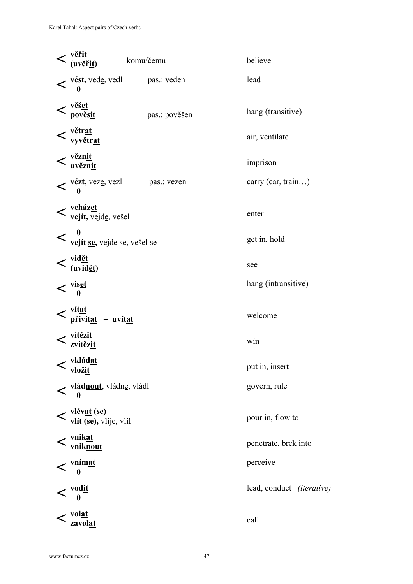| $\langle \psi_{\text{u}\text{v}\check{\text{c}}}^{\text{v}\check{\text{c}}} \rangle$                                                                                                                                                                                                                                                                                                                                                                                                             | komu/čemu                                                                                                      | believe                   |
|--------------------------------------------------------------------------------------------------------------------------------------------------------------------------------------------------------------------------------------------------------------------------------------------------------------------------------------------------------------------------------------------------------------------------------------------------------------------------------------------------|----------------------------------------------------------------------------------------------------------------|---------------------------|
|                                                                                                                                                                                                                                                                                                                                                                                                                                                                                                  | $\langle \begin{array}{ccc} \text{vést, vedg, vedl} & \text{pas.: veden} \\ 0 & \text{v.} \end{array} \rangle$ | lead                      |
| $\langle \frac{\text{věš} \cdot \text{et}}{\text{pověsi} \cdot \text{et}} \rangle$                                                                                                                                                                                                                                                                                                                                                                                                               | pas.: pověšen                                                                                                  | hang (transitive)         |
| $\langle \frac{\text{větrat}}{\text{vycčtrat}}$                                                                                                                                                                                                                                                                                                                                                                                                                                                  |                                                                                                                | air, ventilate            |
| $\langle \frac{\text{věznit}}{\text{uvěznit}}$                                                                                                                                                                                                                                                                                                                                                                                                                                                   |                                                                                                                | imprison                  |
|                                                                                                                                                                                                                                                                                                                                                                                                                                                                                                  | $\langle \begin{array}{ccc} \text{vézt, veze, vezl} & \text{pas.: vezen} \\ 0 & \end{array} \rangle$           | carry (car, train)        |
| $\langle \nabla \text{vcházet} \nabla \text{vejde, vešel} \rangle$                                                                                                                                                                                                                                                                                                                                                                                                                               |                                                                                                                | enter                     |
| $\langle \nabla \cdot \nabla \cdot \nabla \cdot \nabla \cdot \nabla \cdot \nabla \cdot \nabla \cdot \nabla \cdot \nabla \cdot \nabla \cdot \nabla \cdot \nabla \cdot \nabla \cdot \nabla \cdot \nabla \cdot \nabla \cdot \nabla \cdot \nabla \cdot \nabla \cdot \nabla \cdot \nabla \cdot \nabla \cdot \nabla \cdot \nabla \cdot \nabla \cdot \nabla \cdot \nabla \cdot \nabla \cdot \nabla \cdot \nabla \cdot \nabla \cdot \nabla \cdot \nabla \cdot \nabla \cdot \nabla \cdot \nabla \cdot \n$ |                                                                                                                | get in, hold              |
|                                                                                                                                                                                                                                                                                                                                                                                                                                                                                                  |                                                                                                                | see                       |
| $<\frac{\text{viset}}{0}$                                                                                                                                                                                                                                                                                                                                                                                                                                                                        |                                                                                                                | hang (intransitive)       |
| $\langle \nabla \frac{\text{vítat}}{\text{přivítat}} \rangle$ = uvítat                                                                                                                                                                                                                                                                                                                                                                                                                           |                                                                                                                | welcome                   |
| $\text{ } < \frac{\textrm{vítězit}}{\textrm{zvitězit}}$                                                                                                                                                                                                                                                                                                                                                                                                                                          |                                                                                                                | win                       |
| $\leftarrow$ <sup>vklád<u>at</u></sup><br>vložit                                                                                                                                                                                                                                                                                                                                                                                                                                                 |                                                                                                                | put in, insert            |
| vládnout, vládne, vládl<br>$\boldsymbol{0}$                                                                                                                                                                                                                                                                                                                                                                                                                                                      |                                                                                                                | govern, rule              |
| $\langle \mathbf{v} \rangle$ vlév <u>at</u> (se)<br>vlít (se), vlij <u>e</u> , vlil                                                                                                                                                                                                                                                                                                                                                                                                              |                                                                                                                | pour in, flow to          |
| $\langle \frac{\text{vnikat}}{\text{vniknout}} \rangle$                                                                                                                                                                                                                                                                                                                                                                                                                                          |                                                                                                                | penetrate, brek into      |
| $\leq$ <sup>vním<u>at</u></sup><br>$\mathbf{0}$                                                                                                                                                                                                                                                                                                                                                                                                                                                  |                                                                                                                | perceive                  |
| vodit<br>0                                                                                                                                                                                                                                                                                                                                                                                                                                                                                       |                                                                                                                | lead, conduct (iterative) |
| vol <u>at</u><br>zavolat                                                                                                                                                                                                                                                                                                                                                                                                                                                                         |                                                                                                                | call                      |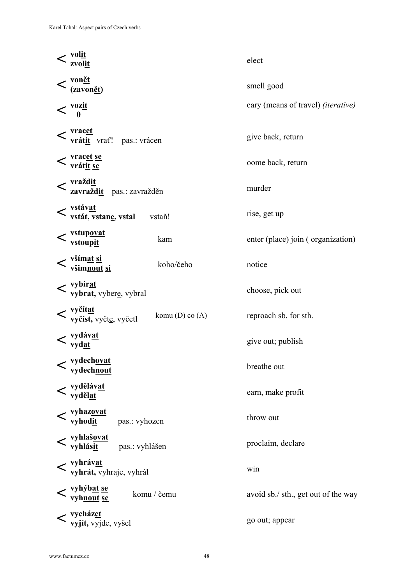| $< \frac{\text{volit}}{\text{zvolit}}$                                                                                                                                                                                                                                                                                                                                                                                                                                                                                                                | elect                                     |
|-------------------------------------------------------------------------------------------------------------------------------------------------------------------------------------------------------------------------------------------------------------------------------------------------------------------------------------------------------------------------------------------------------------------------------------------------------------------------------------------------------------------------------------------------------|-------------------------------------------|
| $\langle \frac{\text{vonět}}{\text{(zavonět})}}$                                                                                                                                                                                                                                                                                                                                                                                                                                                                                                      | smell good                                |
| $<\frac{\text{vozit}}{0}$                                                                                                                                                                                                                                                                                                                                                                                                                                                                                                                             | cary (means of travel) <i>(iterative)</i> |
| Vracet<br>vrát <u>it</u> vrať! pas.: vrácen                                                                                                                                                                                                                                                                                                                                                                                                                                                                                                           | give back, return                         |
| < vrac <u>et se</u><br>< vrát <u>it se</u>                                                                                                                                                                                                                                                                                                                                                                                                                                                                                                            | oome back, return                         |
| <b>&lt; vražd<u>it</u></b><br>≤ zavražd <u>it</u> pas∴ zavražděn                                                                                                                                                                                                                                                                                                                                                                                                                                                                                      | murder                                    |
| < vstáv <u>at</u><br>< vstát, vstan <u>e</u> , vstal vstaň!                                                                                                                                                                                                                                                                                                                                                                                                                                                                                           | rise, get up                              |
| $\langle \nabla \frac{\text{vstup}_{\text{ovat}}}{\text{vstoup}_{\text{it}}}$<br>kam                                                                                                                                                                                                                                                                                                                                                                                                                                                                  | enter (place) join (organization)         |
| < vším <u>at si</u><br>< všim <u>nout si</u><br>koho/čeho                                                                                                                                                                                                                                                                                                                                                                                                                                                                                             | notice                                    |
| Simple <i>sybirat</i> , vybere, vybral                                                                                                                                                                                                                                                                                                                                                                                                                                                                                                                | choose, pick out                          |
| vyčít <u>at</u><br>vyčíst, vyčt <u>e</u> , vyčetl<br>komu $(D)$ co $(A)$                                                                                                                                                                                                                                                                                                                                                                                                                                                                              | reproach sb. for sth.                     |
| vydávat<br>vyd <u>at</u>                                                                                                                                                                                                                                                                                                                                                                                                                                                                                                                              | give out; publish                         |
| < vydechovat                                                                                                                                                                                                                                                                                                                                                                                                                                                                                                                                          | breathe out                               |
| $\langle \nabla \nabla \nabla \cdot \nabla \nabla \cdot \nabla \cdot \nabla \cdot \nabla \cdot \nabla \cdot \nabla \cdot \nabla \cdot \nabla \cdot \nabla \cdot \nabla \cdot \nabla \cdot \nabla \cdot \nabla \cdot \nabla \cdot \nabla \cdot \nabla \cdot \nabla \cdot \nabla \cdot \nabla \cdot \nabla \cdot \nabla \cdot \nabla \cdot \nabla \cdot \nabla \cdot \nabla \cdot \nabla \cdot \nabla \cdot \nabla \cdot \nabla \cdot \nabla \cdot \nabla \cdot \nabla \cdot \nabla \cdot \n$                                                           | earn, make profit                         |
| $\langle \nabla \times \nabla \times \nabla \times \nabla \times \nabla \times \nabla \times \nabla \times \nabla \times \nabla \times \nabla \times \nabla \times \nabla \times \nabla \times \nabla \times \nabla \times \nabla \times \nabla \times \nabla \times \nabla \times \nabla \times \nabla \times \nabla \times \nabla \times \nabla \times \nabla \times \nabla \times \nabla \times \nabla \times \nabla \times \nabla \times \nabla \times \nabla \times \nabla \times \nabla \times \nabla \times \nabla \times \n$<br>pas.: vyhozen | throw out                                 |
| $\langle \nabla^{\text{vhlašovat}}_{\text{vylhásit}}$<br>pas.: vyhlášen                                                                                                                                                                                                                                                                                                                                                                                                                                                                               | proclaim, declare                         |
| < vyhráv <u>at</u><br>< vyhrát, vyhraj <u>e</u> , vyhrál                                                                                                                                                                                                                                                                                                                                                                                                                                                                                              | win                                       |
| < vyhýb <u>at se</u><br>< vyh <u>nout se</u><br>komu / čemu                                                                                                                                                                                                                                                                                                                                                                                                                                                                                           | avoid sb./ sth., get out of the way       |
| < vycházet<br>vyjít, vyjde, vyšel                                                                                                                                                                                                                                                                                                                                                                                                                                                                                                                     | go out; appear                            |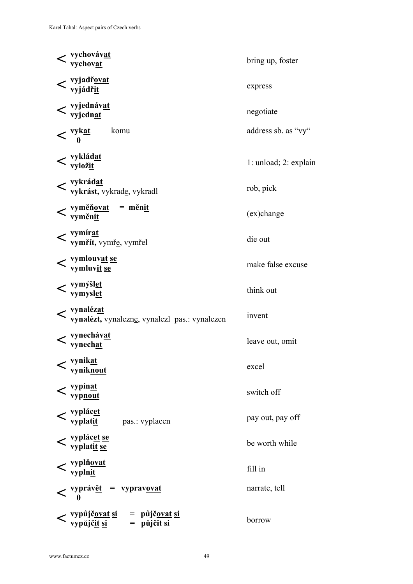| $\langle \nabla \times \nabla \times \nabla \times \nabla \times \nabla \times \nabla \times \nabla \times \nabla \times \nabla \times \nabla \times \nabla \times \nabla \times \nabla \times \nabla \times \nabla \times \nabla \times \nabla \times \nabla \times \nabla \times \nabla \times \nabla \times \nabla \times \nabla \times \nabla \times \nabla \times \nabla \times \nabla \times \nabla \times \nabla \times \nabla \times \nabla \times \nabla \times \nabla \times \nabla \times \nabla \times \nabla \times \n$ | bring up, foster          |
|--------------------------------------------------------------------------------------------------------------------------------------------------------------------------------------------------------------------------------------------------------------------------------------------------------------------------------------------------------------------------------------------------------------------------------------------------------------------------------------------------------------------------------------|---------------------------|
| < vyjadř <u>ovat</u><br>< vyjádř <u>it</u>                                                                                                                                                                                                                                                                                                                                                                                                                                                                                           | express                   |
| < vyjednáv <u>at</u><br>< vyjedn <u>at</u>                                                                                                                                                                                                                                                                                                                                                                                                                                                                                           | negotiate                 |
| komu<br>$\langle \nabla_{0}^{\text{v} \times \text{r}} \rangle$                                                                                                                                                                                                                                                                                                                                                                                                                                                                      | address sb. as "vy"       |
| $\langle \nabla^{\text{vykládat}}_{\text{vyložit}}$                                                                                                                                                                                                                                                                                                                                                                                                                                                                                  | $1:$ unload; $2:$ explain |
| <br>vykrád <u>at</u><br>< vykrást, vykrad <u>e</u> , vykradl                                                                                                                                                                                                                                                                                                                                                                                                                                                                         | rob, pick                 |
| $\langle \nabla \nabla \times \nabla \cdot \nabla \times \nabla \times \nabla \times \nabla \times \nabla \times \nabla \times \nabla \times \nabla \times \nabla \times \nabla \times \nabla \times \nabla \times \nabla \times \nabla \times \nabla \times \nabla \times \nabla \times \nabla \times \nabla \times \nabla \times \nabla \times \nabla \times \nabla \times \nabla \times \nabla \times \nabla \times \nabla \times \nabla \times \nabla \times \nabla \times \nabla \times \nabla \times \nabla \times \nabla$     | (ex)change                |
| < vymír <u>at</u><br>< vymřít, vymře, vymřel                                                                                                                                                                                                                                                                                                                                                                                                                                                                                         | die out                   |
| $\langle \frac{\text{vymbuvat se}}{\text{vymbuvit se}} \rangle$                                                                                                                                                                                                                                                                                                                                                                                                                                                                      | make false excuse         |
| $\langle \frac{\text{vymýšlet}}{\text{vymyslet}}$                                                                                                                                                                                                                                                                                                                                                                                                                                                                                    | think out                 |
| vynalézat<br>vynalézt, vynalezn <u>e</u> , vynalezl pas.: vynalezen                                                                                                                                                                                                                                                                                                                                                                                                                                                                  | invent                    |
| $\leq$ vynecháv <u>at</u><br>vynechat                                                                                                                                                                                                                                                                                                                                                                                                                                                                                                | leave out, omit           |
| < vynik <u>at</u><br>< vynik <u>nout</u>                                                                                                                                                                                                                                                                                                                                                                                                                                                                                             | excel                     |
| $\langle \nabla \text{yppn} \rangle$                                                                                                                                                                                                                                                                                                                                                                                                                                                                                                 | switch off                |
| $\langle \nabla^{\text{vplácet}}_{\text{vyplatit}}}$<br>pas.: vyplacen                                                                                                                                                                                                                                                                                                                                                                                                                                                               | pay out, pay off          |
| < vyplác <u>et se</u><br>< vyplat <u>it se</u>                                                                                                                                                                                                                                                                                                                                                                                                                                                                                       | be worth while            |
| $\langle \frac{\text{vyplňovat}}{\text{vyplnit}}}$                                                                                                                                                                                                                                                                                                                                                                                                                                                                                   | fill in                   |
| $\langle \nabla \nabla \rho \nabla \phi \nabla \phi \rangle$ = vypravovat<br>0                                                                                                                                                                                                                                                                                                                                                                                                                                                       | narrate, tell             |
|                                                                                                                                                                                                                                                                                                                                                                                                                                                                                                                                      | borrow                    |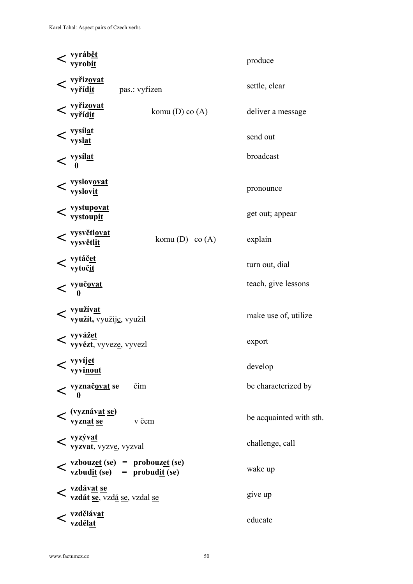| $\langle \nabla \nabla \times \nabla \cdot \nabla \times \nabla \times \nabla \times \nabla \times \nabla \times \nabla \times \nabla \times \nabla \times \nabla \times \nabla \times \nabla \times \nabla \times \nabla \times \nabla \times \nabla \times \nabla \times \nabla \times \nabla \times \nabla \times \nabla \times \nabla \times \nabla \times \nabla \times \nabla \times \nabla \times \nabla \times \nabla \times \nabla \times \nabla \times \nabla \times \nabla \times \nabla \times \nabla \times \nabla$   |                                                                                                  | produce                 |
|------------------------------------------------------------------------------------------------------------------------------------------------------------------------------------------------------------------------------------------------------------------------------------------------------------------------------------------------------------------------------------------------------------------------------------------------------------------------------------------------------------------------------------|--------------------------------------------------------------------------------------------------|-------------------------|
| $\langle \nabla \nabla \times \nabla \cdot \nabla \times \nabla \times \nabla \times \nabla \times \nabla \times \nabla \times \nabla \times \nabla \times \nabla \times \nabla \times \nabla \times \nabla \times \nabla \times \nabla \times \nabla \times \nabla \times \nabla \times \nabla \times \nabla \times \nabla \times \nabla \times \nabla \times \nabla \times \nabla \times \nabla \times \nabla \times \nabla \times \nabla \times \nabla \times \nabla \times \nabla \times \nabla \times \nabla \times \nabla$   | pas.: vyřízen                                                                                    | settle, clear           |
| $\langle \nabla \frac{\nabla \Sigma}{\nabla \Sigma} \nabla \Sigma \nabla \Sigma \nabla \Sigma \nabla \Sigma \nabla \Sigma \nabla \Sigma \nabla \Sigma \nabla \Sigma \nabla \Sigma \nabla \Sigma \nabla \Sigma \nabla \Sigma \nabla \Sigma \nabla \Sigma \nabla \Sigma \nabla \Sigma \nabla \Sigma \nabla \Sigma \nabla \Sigma \nabla \Sigma \nabla \Sigma \nabla \Sigma \nabla \Sigma \nabla \Sigma \nabla \Sigma \nabla \Sigma \nabla \Sigma \nabla \Sigma \nabla \Sigma \nabla \Sigma \nabla \Sigma \nabla \Sigma \nabla \Sigma$ | komu $(D)$ co $(A)$                                                                              | deliver a message       |
| $\langle \nabla_{\text{vyslat}}^{\text{vysilat}}$                                                                                                                                                                                                                                                                                                                                                                                                                                                                                  |                                                                                                  | send out                |
| $<\frac{vysilat}{0}$                                                                                                                                                                                                                                                                                                                                                                                                                                                                                                               |                                                                                                  | broadcast               |
| $\langle \frac{vyslovovat}{vyslovit} \rangle$                                                                                                                                                                                                                                                                                                                                                                                                                                                                                      |                                                                                                  | pronounce               |
| $\langle \nabla_{\text{vystoup}}^{\text{vystup}_{\text{out}}}$                                                                                                                                                                                                                                                                                                                                                                                                                                                                     |                                                                                                  | get out; appear         |
| $\langle \nabla \frac{\text{vysvětlovat}}{\text{vysvětlit}}\nabla$                                                                                                                                                                                                                                                                                                                                                                                                                                                                 | komu $(D)$ co $(A)$                                                                              | explain                 |
| < vytáčet<br>vytoč <u>it</u>                                                                                                                                                                                                                                                                                                                                                                                                                                                                                                       |                                                                                                  | turn out, dial          |
| $\langle \nabla_{0}^{\text{vyučovat}}$                                                                                                                                                                                                                                                                                                                                                                                                                                                                                             |                                                                                                  | teach, give lessons     |
| využív <u>at</u><br>Využít, využij <u>e</u> , využil                                                                                                                                                                                                                                                                                                                                                                                                                                                                               |                                                                                                  | make use of, utilize    |
| < vyváž <u>et</u><br>< vyvézt, vyvez <u>e</u> , vyvezl                                                                                                                                                                                                                                                                                                                                                                                                                                                                             |                                                                                                  | export                  |
| $\langle \frac{v_y v' \text{if} t}{v_y v' \text{if} \text{if} t} \rangle$                                                                                                                                                                                                                                                                                                                                                                                                                                                          |                                                                                                  | develop                 |
| vyznač <u>ovat</u> se<br>$\boldsymbol{0}$                                                                                                                                                                                                                                                                                                                                                                                                                                                                                          | čím                                                                                              | be characterized by     |
| $\langle \frac{\text{(vyznávat se}}{\text{vyznat se}} \rangle$                                                                                                                                                                                                                                                                                                                                                                                                                                                                     | v čem                                                                                            | be acquainted with sth. |
| $\langle \nabla \frac{vyz\dot{y}v_{at}}{vyzvat, vyzv_{2}} \rangle$ vyzval                                                                                                                                                                                                                                                                                                                                                                                                                                                          |                                                                                                  | challenge, call         |
|                                                                                                                                                                                                                                                                                                                                                                                                                                                                                                                                    | < vzbouz <u>et</u> (se) = probouz <u>et</u> (se)<br>vzbud <u>it</u> (se) = probud <u>it</u> (se) | wake up                 |
| vzdáv <u>at se</u><br>vzdát <u>se</u> , vzd <u>á se</u> , vzdal <u>se</u>                                                                                                                                                                                                                                                                                                                                                                                                                                                          |                                                                                                  | give up                 |
| < vzděláv <u>at</u><br>< vzděl <u>at</u>                                                                                                                                                                                                                                                                                                                                                                                                                                                                                           |                                                                                                  | educate                 |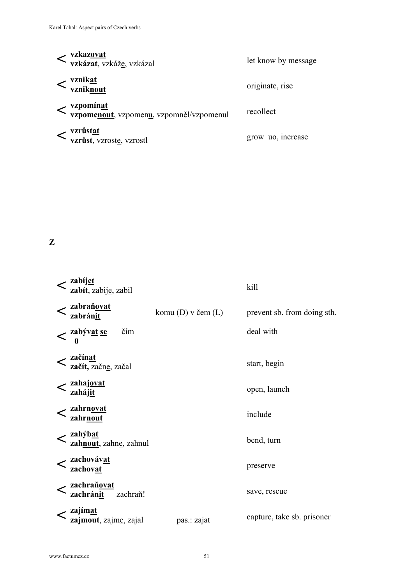| < vzkaz <u>ovat</u><br>< vzkázat, vzkáže, vzkázal                 | let know by message |
|-------------------------------------------------------------------|---------------------|
| $\langle \frac{\text{vznikat}}{\text{vzniknout}} \rangle$         | originate, rise     |
| s vzpomín <u>at</u><br>s vzpomenout, vzpomenu, vzpomněl/vzpomenul | recollect           |
| < vzrůst <u>at</u><br>< vzrůst, vzrost <u>e</u> , vzrostl         | grow uo, increase   |

**Z** 

| zabíjet<br>zabít, zabije, zabil                                                               |                        | kill                        |
|-----------------------------------------------------------------------------------------------|------------------------|-----------------------------|
| < zabraňovat<br>zabránit                                                                      | komu $(D)$ v čem $(L)$ | prevent sb. from doing sth. |
| čím<br>$\langle \n\begin{array}{c}\n\frac{xabyvat}{\alpha} & \text{se}\n\end{array}\n\rangle$ |                        | deal with                   |
| $\langle \frac{\text{začínat}}{\text{začít, začne}} \rangle$ začal                            |                        | start, begin                |
| < zahaj <u>ovat</u><br>< zaháj <u>it</u>                                                      |                        | open, launch                |
| $\leq$ zahrn <u>ovat</u><br>zahrnout                                                          |                        | include                     |
| $\langle \frac{\text{zahyba}t}{\text{zahyaa}} \rangle$<br>zahnout, zahne, zahnul              |                        | bend, turn                  |
| $\langle \frac{\text{zachovávat}}{\text{zachovat}}$                                           |                        | preserve                    |
| $\lt \frac{\text{zachraňovat}}{\text{zomérači}}$<br>zachránit zachraň!                        |                        | save, rescue                |
| zajím <u>at</u><br>zajmout, zajme, zajal                                                      | pas.: zajat            | capture, take sb. prisoner  |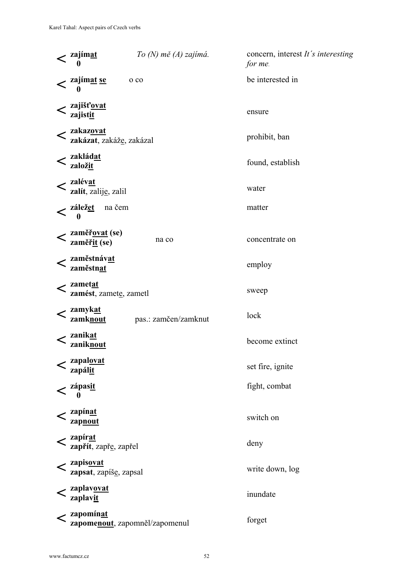| zajím <u>at</u><br>0                                         | To $(N)$ mě $(A)$ zajímá. | concern, interest It's interesting<br>for me. |
|--------------------------------------------------------------|---------------------------|-----------------------------------------------|
| zajím <u>at se</u><br>$\boldsymbol{0}$                       | o co                      | be interested in                              |
| < zajišť <u>ovat</u><br>< zajist <u>it</u>                   |                           | ensure                                        |
| < zakaz <u>ovat</u><br>zakázat, zakáž <u>e</u> , zakázal     |                           | prohibit, ban                                 |
| < zaklád <u>at</u><br>< založ <u>it</u>                      |                           | found, establish                              |
| $\langle \frac{\text{zalévat}}{\text{zalit, zalije, zalil}}$ |                           | water                                         |
| zálež <u>et</u> na čem<br>$\mathbf{0}$                       |                           | matter                                        |
| < zaměř <u>ovat</u> (se)<br>zaměř <u>it</u> (se)             | na co                     | concentrate on                                |
| < zaměstnáv <u>at</u><br>< zaměstn <u>at</u>                 |                           | employ                                        |
| $\leq$ zametat<br>zamést, zamete, zametl                     |                           | sweep                                         |
| - zamyk <u>at</u><br>zamknout                                | pas.: zamčen/zamknut      | lock                                          |
| zanikat<br>zaniknout                                         |                           | become extinct                                |
| zapalovat<br>zapálit                                         |                           | set fire, ignite                              |
| zápasit                                                      |                           | fight, combat                                 |
| zapín <u>at</u><br>zapnout                                   |                           | switch on                                     |
| < zapír <u>at</u><br>< zapřít, zapř <u>e</u> , zapřel        |                           | deny                                          |
| $\leq$ zapisovat<br>zapsat, zapíše, zapsal                   |                           | write down, log                               |
| zaplav <u>ovat</u><br>zaplavit                               |                           | inundate                                      |
| zapomín <u>at</u><br>zapomenout, zapomněl/zapomenul          |                           | forget                                        |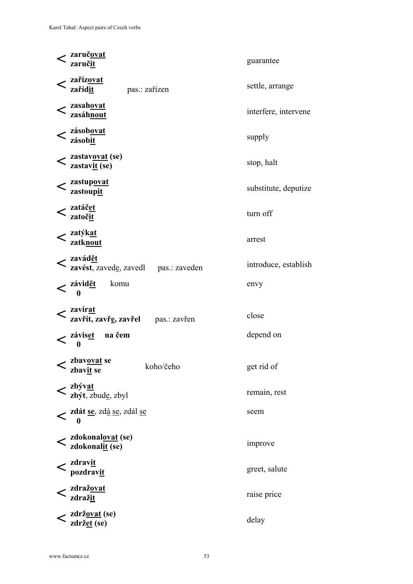| < zaruč <u>ovat</u><br>< zaruč <u>it</u>                                                  |                                                   | guarantee            |
|-------------------------------------------------------------------------------------------|---------------------------------------------------|----------------------|
| < zařiz <u>ovat</u><br>< zaříd <u>it</u>                                                  | pas.: zařízen                                     | settle, arrange      |
| $\langle \frac{\text{zasahovat}}{\text{zasáhnout}} \rangle$                               |                                                   | interfere, intervene |
| $\langle \frac{zásoboxat}{zásobit} \rangle$                                               |                                                   | supply               |
| < zastav <u>ovat</u> (se)<br>zastav <u>it</u> (se)                                        |                                                   | stop, halt           |
| $\langle \frac{\text{zastupovat}}{\text{zastoupit}}$                                      |                                                   | substitute, deputize |
| $\langle \frac{\text{zatáčet}}{\text{zatočit}}}$                                          |                                                   | turn off             |
| < zatýk <u>at</u><br>< zatk <u>nout</u>                                                   |                                                   | arrest               |
|                                                                                           | < zavádět<br>zavést, zavede, zavedl pas.: zaveden | introduce, establish |
| $\leq \frac{\text{závidět}}{n}$<br>komu                                                   |                                                   | envy                 |
| $\leq \frac{\text{zavíra}t}{\text{zov}t}$                                                 | zavřít, zavře, zavřel pas.: zavřen                | close                |
| záviset na čem<br>0                                                                       |                                                   | depend on            |
| . zbav <u>ovat</u> se<br>zbavit se                                                        | koho/čeho                                         | get rid of           |
| $\langle \frac{z \cdot b \cdot \hat{y} \cdot z}{z \cdot b \cdot \hat{y} \cdot z} \rangle$ |                                                   | remain, rest         |
| zdát se, zdá se, zdál se<br>0                                                             |                                                   | seem                 |
| zdokonal <u>ovat</u> (se)<br>zdokonal <u>it</u> (se)                                      |                                                   | improve              |
| $\leq$ <sup>zdrav</sup> it<br>pozdravit                                                   |                                                   | greet, salute        |
| $\leq$ <sup>zdraž<u>ovat</u></sup><br>zdražit                                             |                                                   | raise price          |
| $\zeta$ zdrž <u>ovat</u> (se)<br>zdržet (se)                                              |                                                   | delay                |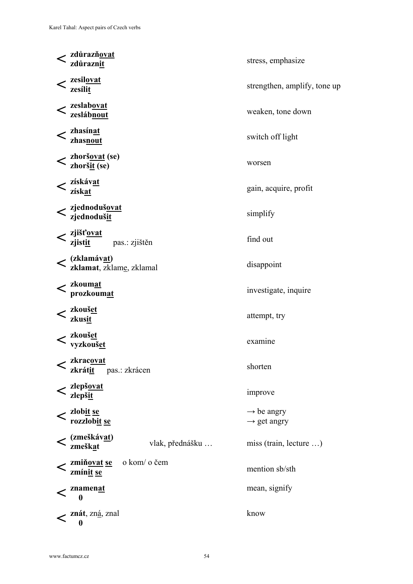| < zdůrazň <u>ovat</u><br>< zdůrazn <u>it</u>                                                                                                                                                                                                                                                                                                                                                                                                                  | stress, emphasize                                 |
|---------------------------------------------------------------------------------------------------------------------------------------------------------------------------------------------------------------------------------------------------------------------------------------------------------------------------------------------------------------------------------------------------------------------------------------------------------------|---------------------------------------------------|
| $\langle \frac{\text{zesilovat}}{\text{zesilit}} \rangle$                                                                                                                                                                                                                                                                                                                                                                                                     | strengthen, amplify, tone up                      |
| $\langle \frac{\text{zeslabovat}}{\text{zeslábnout}} \rangle$                                                                                                                                                                                                                                                                                                                                                                                                 | weaken, tone down                                 |
| $\langle \frac{\text{zhasínat}}{\text{zhasnout}} \rangle$                                                                                                                                                                                                                                                                                                                                                                                                     | switch off light                                  |
| $\langle \frac{\text{zhoršovat}}{\text{zhoršit}} \text{(se)} \rangle$                                                                                                                                                                                                                                                                                                                                                                                         | worsen                                            |
| $\langle \frac{získáva t}{získat} \rangle$                                                                                                                                                                                                                                                                                                                                                                                                                    | gain, acquire, profit                             |
| < zjednoduš <u>ovat</u><br>< zjednoduš <u>it</u>                                                                                                                                                                                                                                                                                                                                                                                                              | simplify                                          |
| $\langle \n\begin{array}{c}\n\mathbf{z} \text{jišt} \text{iv} \\ \mathbf{z} \text{jist} \\ \mathbf{z} \text{ji} \text{st} \\ \mathbf{z} \text{ji} \\ \mathbf{z} \text{ji} \\ \mathbf{z} \text{ji} \\ \mathbf{z} \\ \mathbf{z} \\ \mathbf{z} \\ \mathbf{z} \\ \mathbf{z} \\ \mathbf{z} \\ \mathbf{z} \\ \mathbf{z} \\ \mathbf{z} \\ \mathbf{z} \\ \mathbf{z} \\ \mathbf{z} \\ \mathbf{z} \\ \mathbf{z} \\ \mathbf{z} \\ \mathbf{z} \\ \mathbf{z} \\ \mathbf{z$ | find out                                          |
| $\langle \mathbf{x} \rangle$ (zklamáv <u>at</u> )<br>zklamat, zklam <u>e</u> , zklamal                                                                                                                                                                                                                                                                                                                                                                        | disappoint                                        |
| $\langle \frac{\text{zkouma}t}{\text{proxkouma}t} \rangle$                                                                                                                                                                                                                                                                                                                                                                                                    | investigate, inquire                              |
| $\langle \frac{\text{zkoušet}}{\text{zkusit}}$                                                                                                                                                                                                                                                                                                                                                                                                                | attempt, try                                      |
| $\leq$ <sup>zkouš</sup> et<br>vyzkoušet                                                                                                                                                                                                                                                                                                                                                                                                                       | examine                                           |
| $\leq$ <sup>z</sup> krac <u>ovat</u><br>zkrátit pas.: zkrácen                                                                                                                                                                                                                                                                                                                                                                                                 | shorten                                           |
| zlepš <u>ovat</u><br>zlepšit                                                                                                                                                                                                                                                                                                                                                                                                                                  | improve                                           |
| zlobit se<br>rozzlobit se                                                                                                                                                                                                                                                                                                                                                                                                                                     | $\rightarrow$ be angry<br>$\rightarrow$ get angry |
| (zmeškáv <u>at</u> )<br>vlak, přednášku<br>zmeškat                                                                                                                                                                                                                                                                                                                                                                                                            | miss (train, lecture )                            |
| $\leq$ zmiňovat se o kom/ o čem<br>zmínit se                                                                                                                                                                                                                                                                                                                                                                                                                  | mention sb/sth                                    |
| znamenat<br>$\bf{0}$                                                                                                                                                                                                                                                                                                                                                                                                                                          | mean, signify                                     |
| znát, zná, znal<br>$\boldsymbol{0}$                                                                                                                                                                                                                                                                                                                                                                                                                           | know                                              |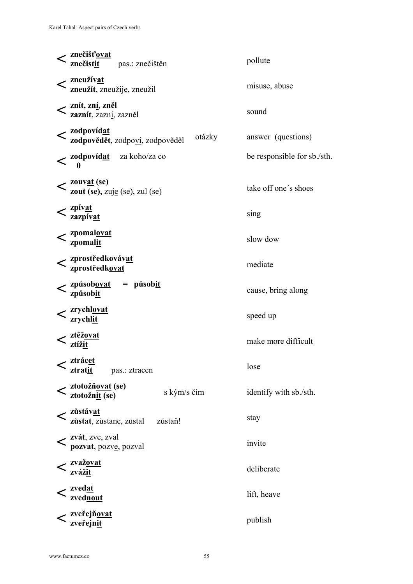| $\leq \frac{\text{znečišťovat}}{\text{znečištit}}$ pas.: znečištěn                   | pollute                     |
|--------------------------------------------------------------------------------------|-----------------------------|
| $\leq \frac{\text{zneužívat}}{\text{zneužit, zneužije, zneužil}}$                    | misuse, abuse               |
| $\langle \frac{\text{znít, zní, zněl}}{\text{zaznít, zazní, zazněl}}$                | sound                       |
| < zodpovíd <u>at</u><br>< zodpovědět, zodpo <u>ví</u> , zodpověděl<br>otázky         | answer (questions)          |
| $\leftarrow$ zodpovíd <u>at</u> za koho/za co<br>$\bf{0}$                            | be responsible for sb./sth. |
| $\langle \frac{\text{zouvat}}{\text{zout (se), zuje (se), zul (se)}}$                | take off one's shoes        |
| $\langle \frac{\text{zpi} \times \text{zpi}}{\text{zarg} \times \text{zpi}} \rangle$ | sing                        |
| $\langle \frac{z$ pomal <u>ovat</u>                                                  | slow dow                    |
| < zprostředkováv <u>at</u><br>< zprostředk <u>ovat</u>                               | mediate                     |
| < způsob <u>ovat</u> = působ <u>it</u><br>< způsob <u>it</u>                         | cause, bring along          |
| $\langle \frac{\text{zrychlovat}}{\text{zrychlit}}$                                  | speed up                    |
| ztěžovat<br>ztížit                                                                   | make more difficult         |
| ztrác <u>et</u><br>ztratit<br>pas.: ztracen                                          | lose                        |
| ztotožň <u>ovat</u> (se)<br>ztotožn <u>it</u> (se)<br>s kým/s čím                    | identify with sb./sth.      |
| $\leq$ <sup>zůstáv<u>at</u></sup><br>zůstat, zůstane, zůstal<br>zůstaň!              | stay                        |
| Vat, zve, zval<br>pozvat, pozve, pozval                                              | invite                      |
| zvaž <u>ovat</u><br>zvážit                                                           | deliberate                  |
| $\epsilon$ zvedat<br>zvednout                                                        | lift, heave                 |
| < zveřejň <u>ovat</u><br>< zveřejn <u>it</u>                                         | publish                     |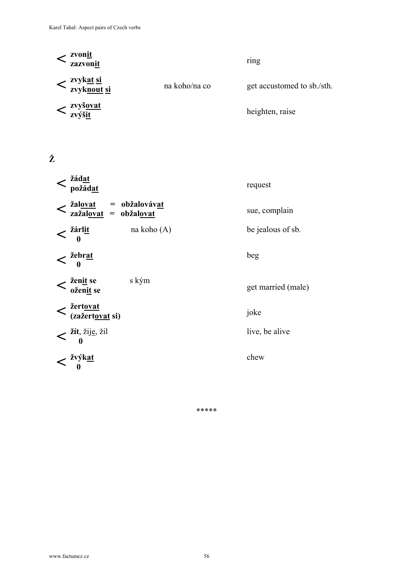| zvon <u>it</u><br>zazvon <u>it</u>       |               | ring                       |
|------------------------------------------|---------------|----------------------------|
| zvyk <u>at si</u><br>zvyk <u>nout si</u> | na koho/na co | get accustomed to sb./sth. |
| zvyš <u>ovat</u><br>zvýš <u>it</u>       |               | heighten, raise            |

**Ž** 

| $\langle \frac{\check{z}}{\text{z}} \rangle$ and $\frac{\check{z}}{\text{z}}$                                                              | request            |
|--------------------------------------------------------------------------------------------------------------------------------------------|--------------------|
| $\begin{array}{rcl} \n\zeta & \frac{\check{z}alovat}{zazialovat} & = & ob\check{z}alovát \\ \n\zeta & = & ob\check{z}alovat \n\end{array}$ | sue, complain      |
| na koho $(A)$<br>$\leq \frac{\check{\mathrm{z}}\text{arli}t}{c}$                                                                           | be jealous of sb.  |
| $<\frac{\text{zebra}t}{0}$                                                                                                                 | beg                |
| s kým<br>$\langle \frac{\text{zenit}}{\text{oženi}} \rangle$                                                                               | get married (male) |
| $\langle \frac{\text{žert}_{\text{ovat}}}{\text{(zažert}_{\text{ovat s}i)}} \rangle$                                                       | joke               |
| $\langle \frac{\check{z}^{\mathsf{i}t}}{0}, \frac{\check{z}^{\mathsf{i}}\check{z}^{\mathsf{j}}}{0}\rangle$                                 | live, be alive     |
| $<\frac{\check{z}$ výk <u>at</u>                                                                                                           | chew               |

\*\*\*\*\*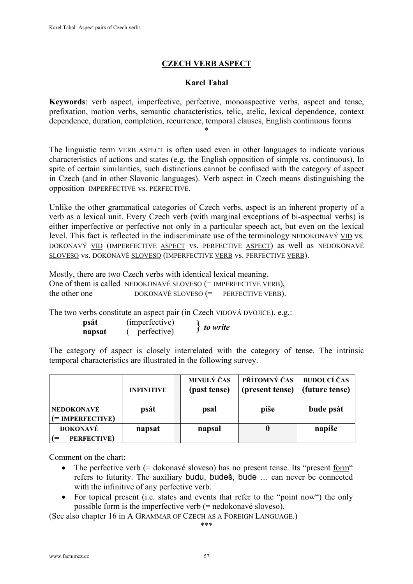#### **CZECH VERB ASPECT**

#### **Karel Tahal**

**Keywords**: verb aspect, imperfective, perfective, monoaspective verbs, aspect and tense, prefixation, motion verbs, semantic characteristics, telic, atelic, lexical dependence, context dependence, duration, completion, recurrence, temporal clauses, English continuous forms

\*

The linguistic term VERB ASPECT is often used even in other languages to indicate various characteristics of actions and states (e.g. the English opposition of simple vs. continuous). In spite of certain similarities, such distinctions cannot be confused with the category of aspect in Czech (and in other Slavonic languages). Verb aspect in Czech means distinguishing the opposition IMPERFECTIVE vs. PERFECTIVE.

Unlike the other grammatical categories of Czech verbs, aspect is an inherent property of a verb as a lexical unit. Every Czech verb (with marginal exceptions of bi-aspectual verbs) is either imperfective or perfective not only in a particular speech act, but even on the lexical level. This fact is reflected in the indiscriminate use of the terminology NEDOKONAVÝ VID vs. DOKONAVÝ VID (IMPERFECTIVE ASPECT vs. PERFECTIVE ASPECT) as well as NEDOKONAVÉ SLOVESO vs. DOKONAVÉ SLOVESO (IMPERFECTIVE VERB vs. PERFECTIVE VERB).

Mostly, there are two Czech verbs with identical lexical meaning. One of them is called NEDOKONAVÉ SLOVESO (= IMPERFECTIVE VERB),<br>the other one DOKONAVÉ SLOVESO (= PERFECTIVE VERB)  $DOKONAVÉ SLOVESO (= PERFECTIVE VERB).$ 

The two verbs constitute an aspect pair (in Czech VIDOVÁ DVOJICE), e.g.:

| psát   | (imperfective) |               |
|--------|----------------|---------------|
| napsat | perfective)    | $\{ to write$ |

The category of aspect is closely interrelated with the category of tense. The intrinsic temporal characteristics are illustrated in the following survey.

|                  | <b>INFINITIVE</b> | MINULÝ ČAS<br>(past tense) | PŘÍTOMNÝ ČAS<br>(present tense) | <b>BUDOUCÍ ČAS</b><br>(future tense) |
|------------------|-------------------|----------------------------|---------------------------------|--------------------------------------|
| NEDOKONAVÉ       | psát              | psal                       | píše                            | bude psát                            |
| (= IMPERFECTIVE) |                   |                            |                                 |                                      |
| <b>DOKONAVÉ</b>  | napsat            | napsal                     |                                 | napíše                               |
| PERFECTIVE)      |                   |                            |                                 |                                      |

Comment on the chart:

- The perfective verb  $(=$  dokonavé sloveso) has no present tense. Its "present form" refers to futurity. The auxiliary budu, budeš, bude … can never be connected with the infinitive of any perfective verb.
- For topical present (i.e. states and events that refer to the "point now") the only possible form is the imperfective verb (= nedokonavé sloveso).

(See also chapter 16 in A GRAMMAR OF CZECH AS A FOREIGN LANGUAGE.)

\*\*\*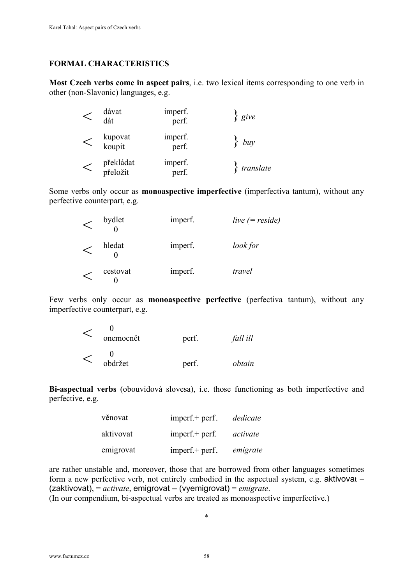#### **FORMAL CHARACTERISTICS**

**Most Czech verbs come in aspect pairs**, i.e. two lexical items corresponding to one verb in other (non-Slavonic) languages, e.g.

| dávat<br>dát          | imperf.<br>perf. | $\frac{1}{2}$ give |
|-----------------------|------------------|--------------------|
| kupovat<br>koupit     | imperf.<br>perf. | $\{$ buy           |
| překládat<br>přeložit | imperf.<br>perf. | $\{$ translate     |

Some verbs only occur as **monoaspective imperfective** (imperfectiva tantum), without any perfective counterpart, e.g.

| $\frac{dy}{dx}$ | imperf. | live $(= residue)$ |
|-----------------|---------|--------------------|
| $h$ ledat       | imperf. | look for           |
| cestovat        | imperf. | travel             |

Few verbs only occur as **monoaspective perfective** (perfectiva tantum), without any imperfective counterpart, e.g.

| onemocnět | perf. | fall ill |
|-----------|-------|----------|
| obdržet   | perf. | obtain   |

**Bi-aspectual verbs** (obouvidová slovesa), i.e. those functioning as both imperfective and perfective, e.g.

| věnovat   | $imperf.+perf.$ | dedicate |
|-----------|-----------------|----------|
| aktivovat | imperf.+ perf.  | activate |
| emigrovat | imperf.+ perf.  | emigrate |

are rather unstable and, moreover, those that are borrowed from other languages sometimes form a new perfective verb, not entirely embodied in the aspectual system, e.g. aktivovat – (zaktivovat), = *activate*, emigrovat – (vyemigrovat) = *emigrate*.

(In our compendium, bi-aspectual verbs are treated as monoaspective imperfective.)

\*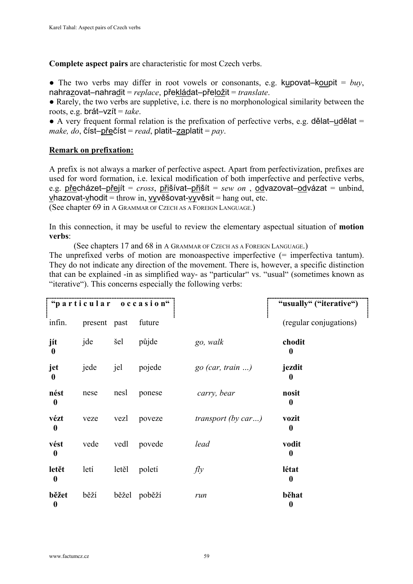**Complete aspect pairs** are characteristic for most Czech verbs.

• The two verbs may differ in root vowels or consonants, e.g. kupovat–koupit  $= buv$ , nahrazovat–nahradit = *replace*, překládat–přeložit = *translate*.

• Rarely, the two verbs are suppletive, i.e. there is no morphonological similarity between the roots, e.g. brát–vzít = *take*.

 $\bullet$  A very frequent formal relation is the prefixation of perfective verbs, e.g. dělat–udělat = *make, do*, číst–přečíst = *read*, platit–zaplatit = *pay*.

#### **Remark on prefixation:**

A prefix is not always a marker of perfective aspect. Apart from perfectivization, prefixes are used for word formation, i.e. lexical modification of both imperfective and perfective verbs, e.g. přecházet–přejít = *cross*, přišívat–přišít = *sew on* , odvazovat–odvázat = unbind, vhazovat-vhodit = throw in, vyvěšovat-vyvěsit = hang out, etc.

(See chapter 69 in A GRAMMAR OF CZECH AS A FOREIGN LANGUAGE.)

In this connection, it may be useful to review the elementary aspectual situation of **motion verbs**:

(See chapters 17 and 68 in A GRAMMAR OF CZECH AS A FOREIGN LANGUAGE.)

The unprefixed verbs of motion are monoaspective imperfective (= imperfectiva tantum). They do not indicate any direction of the movement. There is, however, a specific distinction that can be explained -in as simplified way- as "particular" vs. "usual" (sometimes known as "iterative"). This concerns especially the following verbs:

| "particular occasion"     |              |       |              | "usually" ("iterative") |                            |
|---------------------------|--------------|-------|--------------|-------------------------|----------------------------|
| infin.                    | present past |       | future       |                         | (regular conjugations)     |
| jít<br>$\bf{0}$           | jde          | šel   | půjde        | go, walk                | chodit<br>$\boldsymbol{0}$ |
| jet<br>$\bf{0}$           | jede         | jel   | pojede       | go (car, train )        | jezdit<br>$\mathbf 0$      |
| nést<br>$\boldsymbol{0}$  | nese         | nesl  | ponese       | carry, bear             | nosit<br>$\boldsymbol{0}$  |
| vézt<br>$\boldsymbol{0}$  | veze         | vezl  | poveze       | transport (by car)      | vozit<br>$\boldsymbol{0}$  |
| vést<br>$\boldsymbol{0}$  | vede         | vedl  | povede       | lead                    | vodit<br>$\boldsymbol{0}$  |
| letět<br>$\boldsymbol{0}$ | letí         | letěl | poletí       | fly                     | létat<br>$\bf{0}$          |
| běžet<br>$\boldsymbol{0}$ | běží         |       | běžel poběží | run                     | běhat<br>$\boldsymbol{0}$  |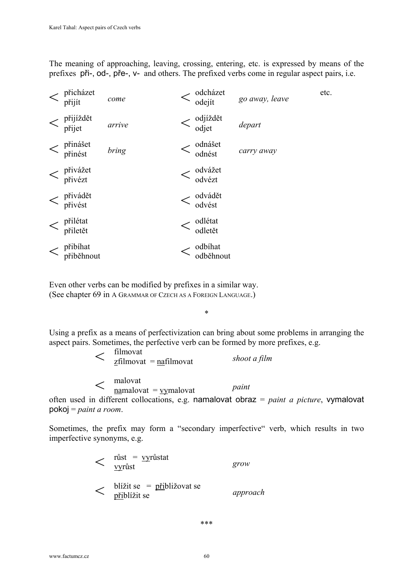The meaning of approaching, leaving, crossing, entering, etc. is expressed by means of the prefixes při-, od-, pře-, v- and others. The prefixed verbs come in regular aspect pairs, i.e.

| $\,<\,$ | přicházet<br>přijít            | come   | odcházet<br>odejít   | go away, leave | etc. |
|---------|--------------------------------|--------|----------------------|----------------|------|
| $\lt$   | přijíždět<br>přijet            | arrive | odjíždět<br>odjet    | depart         |      |
| $\lt$   | přinášet<br>přinést            | bring  | odnášet<br>odnést    | carry away     |      |
| $<\,$   | přivážet<br>přivézt            |        | odvážet<br>odvézt    |                |      |
|         | $\langle \xi \rangle$ přivádět |        | odvádět<br>odvést    |                |      |
|         | přilétat<br>přiletět           |        | odlétat<br>odletět   |                |      |
|         | přibíhat<br>přiběhnout         |        | odbíhat<br>odběhnout |                |      |

Even other verbs can be modified by prefixes in a similar way. (See chapter 69 in A GRAMMAR OF CZECH AS A FOREIGN LANGUAGE.)

Using a prefix as a means of perfectivization can bring about some problems in arranging the aspect pairs. Sometimes, the perfective verb can be formed by more prefixes, e.g.

\*

| filmovat<br>$z$ filmovat = nafilmovat | shoot a film |
|---------------------------------------|--------------|
| malovat<br>$namalovat = vvmalovat$    | paint        |

$$
\hat{ }
$$
namalovat = vymal

often used in different collocations, e.g. namalovat obraz = *paint a picture*, vymalovat pokoj = *paint a room*.

Sometimes, the prefix may form a "secondary imperfective" verb, which results in two imperfective synonyms, e.g.

| růst = $\frac{v}{v}$ růstat<br>vyrůst               | grow     |
|-----------------------------------------------------|----------|
| blížit se = $\vec{p}$ ribližovat se<br>přiblížit se | approach |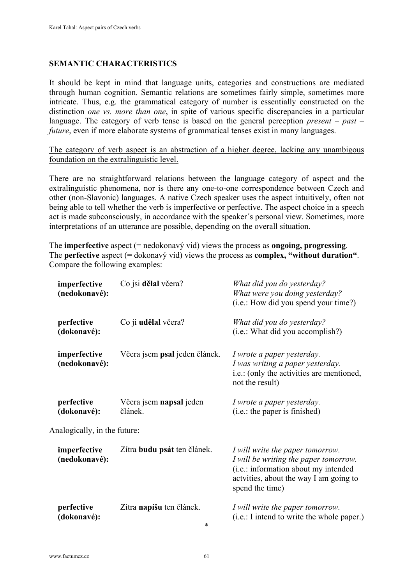#### **SEMANTIC CHARACTERISTICS**

It should be kept in mind that language units, categories and constructions are mediated through human cognition. Semantic relations are sometimes fairly simple, sometimes more intricate. Thus, e.g. the grammatical category of number is essentially constructed on the distinction *one vs. more than one*, in spite of various specific discrepancies in a particular language. The category of verb tense is based on the general perception *present – past – future*, even if more elaborate systems of grammatical tenses exist in many languages.

The category of verb aspect is an abstraction of a higher degree, lacking any unambigous foundation on the extralinguistic level.

There are no straightforward relations between the language category of aspect and the extralinguistic phenomena, nor is there any one-to-one correspondence between Czech and other (non-Slavonic) languages. A native Czech speaker uses the aspect intuitively, often not being able to tell whether the verb is imperfective or perfective. The aspect choice in a speech act is made subconsciously, in accordance with the speaker´s personal view. Sometimes, more interpretations of an utterance are possible, depending on the overall situation.

The **imperfective** aspect (= nedokonavý vid) views the process as **ongoing, progressing**. The **perfective** aspect (= dokonavý vid) views the process as **complex, "without duration"**. Compare the following examples:

| imperfective<br>(nedokonavé): | Co jsi dělal včera?                  | What did you do yesterday?<br>What were you doing yesterday?<br>(i.e.: How did you spend your time?)                                                                           |
|-------------------------------|--------------------------------------|--------------------------------------------------------------------------------------------------------------------------------------------------------------------------------|
| perfective<br>(dokonavé):     | Co ji udělal včera?                  | What did you do yesterday?<br>(i.e.: What did you accomplish?)                                                                                                                 |
| imperfective<br>(nedokonavé): | Včera jsem <b>psal</b> jeden článek. | I wrote a paper yesterday.<br>I was writing a paper yesterday.<br>i.e.: (only the activities are mentioned,<br>not the result)                                                 |
| perfective<br>(dokonavé):     | Včera jsem napsal jeden<br>článek.   | I wrote a paper yesterday.<br>(i.e.: the paper is finished)                                                                                                                    |
| Analogically, in the future:  |                                      |                                                                                                                                                                                |
| imperfective<br>(nedokonavé): | Zítra budu psát ten článek.          | I will write the paper tomorrow.<br>I will be writing the paper tomorrow.<br>(i.e.: information about my intended<br>actvities, about the way I am going to<br>spend the time) |
| perfective<br>(dokonavé):     | Zítra napíšu ten článek.<br>$\ast$   | I will write the paper tomorrow.<br>(i.e.: I intend to write the whole paper.)                                                                                                 |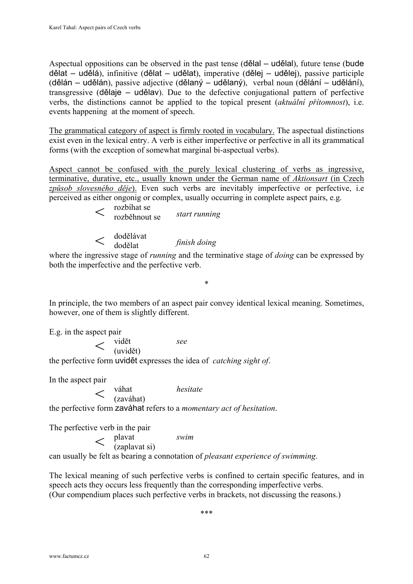Aspectual oppositions can be observed in the past tense (dělal – udělal), future tense (bude dělat – udělá), infinitive (dělat – udělat), imperative (dělej – udělej), passive participle (dělán – udělán), passive adjective (dělaný – udělaný), verbal noun (dělání – udělání), transgressive (dělaje – udělav). Due to the defective conjugational pattern of perfective verbs, the distinctions cannot be applied to the topical present (*aktuální přítomnost*), i.e. events happening at the moment of speech.

The grammatical category of aspect is firmly rooted in vocabulary. The aspectual distinctions exist even in the lexical entry. A verb is either imperfective or perfective in all its grammatical forms (with the exception of somewhat marginal bi-aspectual verbs).

Aspect cannot be confused with the purely lexical clustering of verbs as ingressive, terminative, durative, etc., usually known under the German name of *Aktionsart* (in Czech *způsob slovesného děje*). Even such verbs are inevitably imperfective or perfective, i.e perceived as either ongonig or complex, usually occurring in complete aspect pairs, e.g.

rozbíhat se < rozběhnout se *start running*

dodělávat<br>dodělat *finish doing* 

where the ingressive stage of *running* and the terminative stage of *doing* can be expressed by both the imperfective and the perfective verb.

\*

In principle, the two members of an aspect pair convey identical lexical meaning. Sometimes, however, one of them is slightly different.

E.g. in the aspect pair

vidět *see* < (uvidět)

the perfective form uvidět expresses the idea of *catching sight of*.

In the aspect pair

váhat *hesitate* 

the perfective form zaváhat refers to a *momentary act of hesitation*.

The perfective verb in the pair

plavat *swim* < (zaplavat si)

can usually be felt as bearing a connotation of *pleasant experience of swimming*.

The lexical meaning of such perfective verbs is confined to certain specific features, and in speech acts they occurs less frequently than the corresponding imperfective verbs. (Our compendium places such perfective verbs in brackets, not discussing the reasons.)

\*\*\*

www.factumcz.cz 62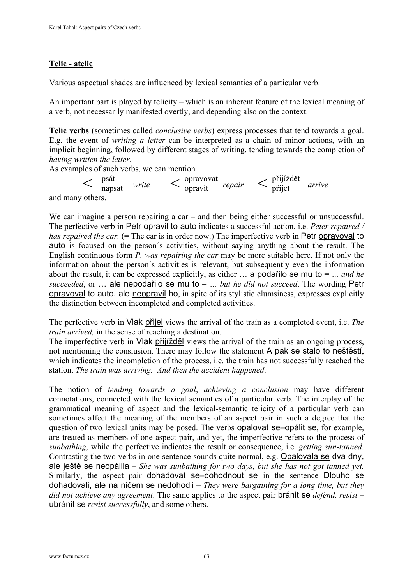#### **Telic - atelic**

Various aspectual shades are influenced by lexical semantics of a particular verb.

An important part is played by telicity – which is an inherent feature of the lexical meaning of a verb, not necessarily manifested overtly, and depending also on the context.

**Telic verbs** (sometimes called *conclusive verbs*) express processes that tend towards a goal. E.g. the event of *writing a letter* can be interpreted as a chain of minor actions, with an implicit beginning, followed by different stages of writing, tending towards the completion of *having written the letter*.

As examples of such verbs, we can mention

psát opravovat přijíždět < napsat *write* < opravit *repair* < <sup>p</sup>řijet *arrive* and many others.

We can imagine a person repairing a car – and then being either successful or unsuccessful. The perfective verb in Petr opravil to auto indicates a successful action, i.e. *Peter repaired / has repaired the car.* (= The car is in order now.) The imperfective verb in Petr opravoval to auto is focused on the person´s activities, without saying anything about the result. The English continuous form *P. was repairing the car* may be more suitable here. If not only the information about the person´s activities is relevant, but subsequently even the information about the result, it can be expressed explicitly, as either … a podařilo se mu to = *… and he succeeded*, or … ale nepodařilo se mu to = *… but he did not succeed*. The wording Petr opravoval to auto, ale neopravil ho, in spite of its stylistic clumsiness, expresses explicitly the distinction between incompleted and completed activities.

The perfective verb in Vlak přijel views the arrival of the train as a completed event, i.e. *The train arrived,* in the sense of reaching a destination.

The imperfective verb in Vlak přijížděl views the arrival of the train as an ongoing process, not mentioning the conslusion. There may follow the statement A pak se stalo to neštěstí, which indicates the incompletion of the process, i.e. the train has not successfully reached the station. *The train was arriving. And then the accident happened*.

The notion of *tending towards a goal*, *achieving a conclusion* may have different connotations, connected with the lexical semantics of a particular verb. The interplay of the grammatical meaning of aspect and the lexical-semantic telicity of a particular verb can sometimes affect the meaning of the members of an aspect pair in such a degree that the question of two lexical units may be posed. The verbs opalovat se–opálit se, for example, are treated as members of one aspect pair, and yet, the imperfective refers to the process of *sunbathing*, while the perfective indicates the result or consequence, i.e. *getting sun-tanned*. Contrasting the two verbs in one sentence sounds quite normal, e.g. Opalovala se dva dny, ale ještě se neopálila – *She was sunbathing for two days, but she has not got tanned yet.* Similarly, the aspect pair dohadovat se–dohodnout se in the sentence Dlouho se dohadovali, ale na ničem se nedohodli – *They were bargaining for a long time, but they did not achieve any agreement*. The same applies to the aspect pair bránit se *defend, resist* – ubránit se *resist successfully*, and some others.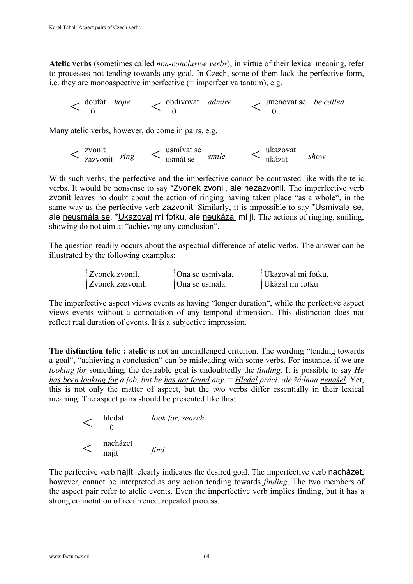**Atelic verbs** (sometimes called *non-conclusive verbs*), in virtue of their lexical meaning, refer to processes not tending towards any goal. In Czech, some of them lack the perfective form, i.e. they are monoaspective imperfective (= imperfectiva tantum), e.g.

 $\begin{array}{ccc} <\text{ doufat} & \text{hope} \\ 0 & <\text{0} \end{array}$   $\begin{array}{ccc} <\text{ obdivovat} & \text{admire} \\ 0 & <\text{0} \end{array}$   $\begin{array}{ccc} >\text{ imenovat se} & \text{be called} \end{array}$ 

Many atelic verbs, however, do come in pairs, e.g.

zvonit usmívat se ukazovat < zazvonit *ring* < usmát se *smile* < ukázat *show* 

With such verbs, the perfective and the imperfective cannot be contrasted like with the telic verbs. It would be nonsense to say \*Zvonek zvonil, ale nezazvonil. The imperfective verb zvonit leaves no doubt about the action of ringing having taken place "as a whole", in the same way as the perfective verb zazvonit. Similarly, it is impossible to say \*Usmivala se, ale neusmála se, \*Ukazoval mi fotku, ale neukázal mi ji. The actions of ringing, smiling, showing do not aim at "achieving any conclusion".

The question readily occurs about the aspectual difference of atelic verbs. The answer can be illustrated by the following examples:

| Zvonek zvonil.   | Ona se usmívala. | Ukazoval mi fotku. |
|------------------|------------------|--------------------|
| Zvonek zazvonil. | Ona se usmála.   | Ukázal mi fotku.   |

The imperfective aspect views events as having "longer duration", while the perfective aspect views events without a connotation of any temporal dimension. This distinction does not reflect real duration of events. It is a subjective impression.

**The distinction telic : atelic** is not an unchallenged criterion. The wording "tending towards" a goal", "achieving a conclusion" can be misleading with some verbs. For instance, if we are *looking for* something, the desirable goal is undoubtedly the *finding*. It is possible to say *He has been looking for a job, but he has not found any*. = *Hledal práci, ale žádnou nenašel*. Yet, this is not only the matter of aspect, but the two verbs differ essentially in their lexical meaning. The aspect pairs should be presented like this:

| hledat            | look for, search |
|-------------------|------------------|
| nacházet<br>najít | find             |

The perfective verb najít clearly indicates the desired goal. The imperfective verb nacházet, however, cannot be interpreted as any action tending towards *finding*. The two members of the aspect pair refer to atelic events. Even the imperfective verb implies finding, but it has a strong connotation of recurrence, repeated process.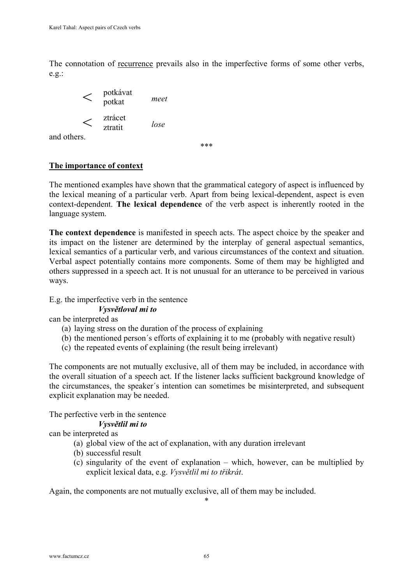The connotation of recurrence prevails also in the imperfective forms of some other verbs,  $e.g.:$ 

| potkávat<br>potkat | meet |
|--------------------|------|
| ztrácet<br>ztratit | lose |

and others.

#### **The importance of context**

The mentioned examples have shown that the grammatical category of aspect is influenced by the lexical meaning of a particular verb. Apart from being lexical-dependent, aspect is even context-dependent. **The lexical dependence** of the verb aspect is inherently rooted in the language system.

\*\*\*

**The context dependence** is manifested in speech acts. The aspect choice by the speaker and its impact on the listener are determined by the interplay of general aspectual semantics, lexical semantics of a particular verb, and various circumstances of the context and situation. Verbal aspect potentially contains more components. Some of them may be highligted and others suppressed in a speech act. It is not unusual for an utterance to be perceived in various ways.

E.g. the imperfective verb in the sentence

#### *Vysvětloval mi to*

can be interpreted as

- (a) laying stress on the duration of the process of explaining
- (b) the mentioned person´s efforts of explaining it to me (probably with negative result)
- (c) the repeated events of explaining (the result being irrelevant)

The components are not mutually exclusive, all of them may be included, in accordance with the overall situation of a speech act. If the listener lacks sufficient background knowledge of the circumstances, the speaker´s intention can sometimes be misinterpreted, and subsequent explicit explanation may be needed.

The perfective verb in the sentence

*Vysvětlil mi to* 

can be interpreted as

- (a) global view of the act of explanation, with any duration irrelevant
- (b) successful result
- (c) singularity of the event of explanation which, however, can be multiplied by explicit lexical data, e.g. *Vysvětlil mi to třikrát*.

Again, the components are not mutually exclusive, all of them may be included.

\*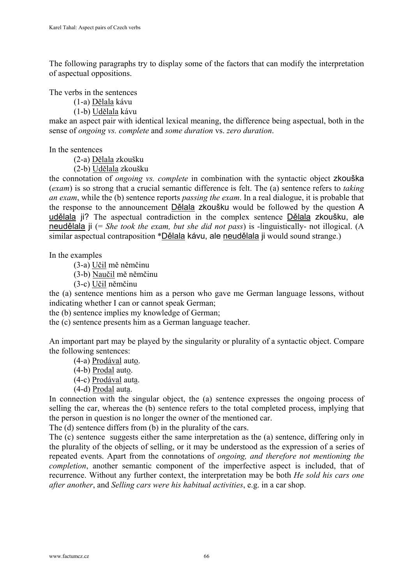The following paragraphs try to display some of the factors that can modify the interpretation of aspectual oppositions.

The verbs in the sentences

(1-a) Dělala kávu

(1-b) Udělala kávu

make an aspect pair with identical lexical meaning, the difference being aspectual, both in the sense of *ongoing vs. complete* and *some duration* vs. *zero duration*.

In the sentences

(2-a) Dělala zkoušku

(2-b) Udělala zkoušku

the connotation of *ongoing vs. complete* in combination with the syntactic object zkouška (*exam*) is so strong that a crucial semantic difference is felt. The (a) sentence refers to *taking an exam*, while the (b) sentence reports *passing the exam*. In a real dialogue, it is probable that the response to the announcement Dělala zkoušku would be followed by the question A udělala ji? The aspectual contradiction in the complex sentence Dělala zkoušku, ale neudělala ji (= *She took the exam, but she did not pass*) is -linguistically- not illogical. (A similar aspectual contraposition \*Dělala kávu, ale neudělala ji would sound strange.)

In the examples

(3-a) Učil mě němčinu

(3-b) Naučil mě němčinu

(3-c) Učil němčinu

the (a) sentence mentions him as a person who gave me German language lessons, without indicating whether I can or cannot speak German;

the (b) sentence implies my knowledge of German;

the (c) sentence presents him as a German language teacher.

An important part may be played by the singularity or plurality of a syntactic object. Compare the following sentences:

(4-a) Prodával auto.

(4-b) Prodal auto.

(4-c) Prodával auta.

(4-d) Prodal auta.

In connection with the singular object, the (a) sentence expresses the ongoing process of selling the car, whereas the (b) sentence refers to the total completed process, implying that the person in question is no longer the owner of the mentioned car.

The (d) sentence differs from (b) in the plurality of the cars.

The (c) sentence suggests either the same interpretation as the (a) sentence, differing only in the plurality of the objects of selling, or it may be understood as the expression of a series of repeated events. Apart from the connotations of *ongoing, and therefore not mentioning the completion*, another semantic component of the imperfective aspect is included, that of recurrence. Without any further context, the interpretation may be both *He sold his cars one after another*, and *Selling cars were his habitual activities*, e.g. in a car shop.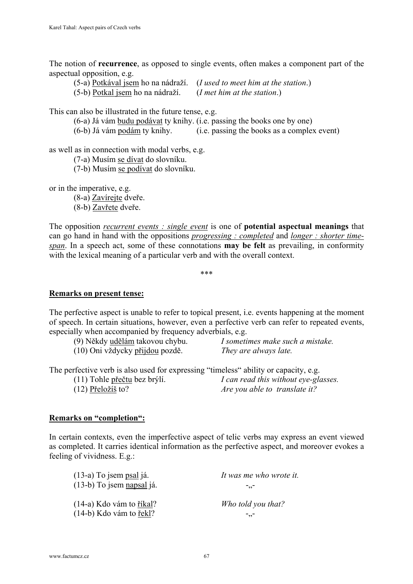The notion of **recurrence**, as opposed to single events, often makes a component part of the aspectual opposition, e.g.

(5-b) Potkal jsem ho na nádraží. (*I met him at the station*.)

(5-a) Potkával jsem ho na nádraží. (*I used to meet him at the station*.)

This can also be illustrated in the future tense, e.g.

(6-a) Já vám budu podávat ty knihy. (i.e. passing the books one by one)

(6-b) Já vám podám ty knihy. (i.e. passing the books as a complex event)

as well as in connection with modal verbs, e.g.

(7-a) Musím se dívat do slovníku.

(7-b) Musím se podívat do slovníku.

or in the imperative, e.g.

 (8-a) Zavírejte dveře. (8-b) Zavřete dveře.

The opposition *recurrent events : single event* is one of **potential aspectual meanings** that can go hand in hand with the oppositions *progressing : completed* and *longer : shorter timespan*. In a speech act, some of these connotations **may be felt** as prevailing, in conformity with the lexical meaning of a particular verb and with the overall context.

\*\*\*

#### **Remarks on present tense:**

The perfective aspect is unable to refer to topical present, i.e. events happening at the moment of speech. In certain situations, however, even a perfective verb can refer to repeated events, especially when accompanied by frequency adverbials, e.g.

(9) Někdy udělám takovou chybu. *I sometimes make such a mistake.*  (10) Oni vždycky přijdou pozdě. *They are always late.*

The perfective verb is also used for expressing "timeless" ability or capacity, e.g.

 (11) Tohle přečtu bez brýlí. *I can read this without eye-glasses.*  (12) Přeložíš to? *Are you able to translate it?* 

#### **Remarks on "completion":**

In certain contexts, even the imperfective aspect of telic verbs may express an event viewed as completed. It carries identical information as the perfective aspect, and moreover evokes a feeling of vividness. E.g.:

| (13-a) To jsem psal já.<br>(13-b) To jsem napsal já. | It was me who wrote it. |
|------------------------------------------------------|-------------------------|
| (14-a) Kdo vám to říkal?                             | Who told you that?      |
| (14-b) Kdo vám to řekl?                              | −.,−                    |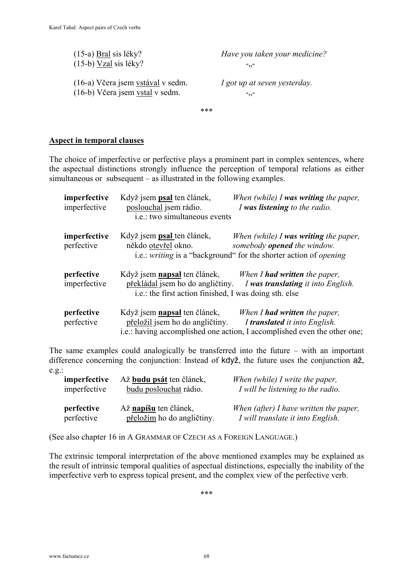| $(15-a)$ Bral sis léky?           | Have you taken your medicine? |
|-----------------------------------|-------------------------------|
| $(15-b)$ Vzal sis léky?           | −,,−                          |
| (16-a) Včera jsem vstával v sedm. | I got up at seven yesterday.  |
| (16-b) Včera jsem vstal v sedm.   | -,,-                          |
|                                   | ***                           |

#### **Aspect in temporal clauses**

The choice of imperfective or perfective plays a prominent part in complex sentences, where the aspectual distinctions strongly influence the perception of temporal relations as either simultaneous or subsequent – as illustrated in the following examples.

| imperfective<br>imperfective | Když jsem <b>psal</b> ten článek,<br>poslouchal jsem rádio.<br>i.e.: two simultaneous events                                      | When (while) $I$ was writing the paper,<br>I was listening to the radio.                                                                                |
|------------------------------|-----------------------------------------------------------------------------------------------------------------------------------|---------------------------------------------------------------------------------------------------------------------------------------------------------|
| imperfective<br>perfective   | Když jsem <b>psal</b> ten článek,<br>někdo otevřel okno.                                                                          | When (while) I was writing the paper,<br>somebody <b>opened</b> the window.<br>i.e.: writing is a "background" for the shorter action of <i>opening</i> |
| perfective<br>imperfective   | Když jsem <b>napsal</b> ten článek,<br>překládal jsem ho do angličtiny.<br>i.e.: the first action finished, I was doing sth. else | When I <b>had written</b> the paper,<br>I was translating it into English.                                                                              |
| perfective<br>perfective     | Když jsem <b>napsal</b> ten článek,<br>přeložil jsem ho do angličtiny.                                                            | When I <b>had written</b> the paper,<br>I translated it into English.<br>i.e.: having accomplished one action, I accomplished even the other one;       |

The same examples could analogically be transferred into the future – with an important difference concerning the conjunction: Instead of když, the future uses the conjunction až, e.g.:

| imperfective | Až budu psát ten článek,   | When (while) I write the paper,          |
|--------------|----------------------------|------------------------------------------|
| imperfective | budu poslouchat rádio.     | I will be listening to the radio.        |
| perfective   | Až napíšu ten článek,      | When $(after)$ I have written the paper, |
| perfective   | přeložím ho do angličtiny. | I will translate it into English.        |

(See also chapter 16 in A GRAMMAR OF CZECH AS A FOREIGN LANGUAGE.)

The extrinsic temporal interpretation of the above mentioned examples may be explained as the result of intrinsic temporal qualities of aspectual distinctions, especially the inability of the imperfective verb to express topical present, and the complex view of the perfective verb.

\*\*\*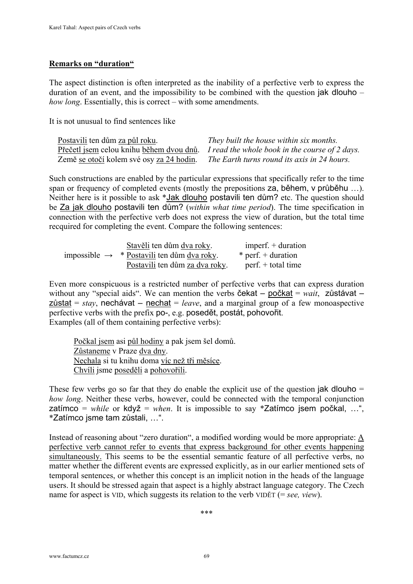#### **Remarks on "duration"**

The aspect distinction is often interpreted as the inability of a perfective verb to express the duration of an event, and the impossibility to be combined with the question jak dlouho – *how long*. Essentially, this is correct – with some amendments.

It is not unusual to find sentences like

| Postavili ten dům za půl roku.           | They built the house within six months.                                                 |
|------------------------------------------|-----------------------------------------------------------------------------------------|
|                                          | Přečetl jsem celou knihu během dvou dnů. I read the whole book in the course of 2 days. |
| Země se otočí kolem své osy za 24 hodin. | The Earth turns round its axis in 24 hours.                                             |

Such constructions are enabled by the particular expressions that specifically refer to the time span or frequency of completed events (mostly the prepositions za, během, v průběhu …). Neither here is it possible to ask \*Jak dlouho postavili ten dům? etc. The question should be Za jak dlouho postavili ten dům? (*within what time period*). The time specification in connection with the perfective verb does not express the view of duration, but the total time recquired for completing the event. Compare the following sentences:

|                          | Stavěli ten dům <u>dva roky</u> . | imperf. $+$ duration |
|--------------------------|-----------------------------------|----------------------|
| impossible $\rightarrow$ | * Postavili ten dům dva roky.     | $*$ perf. + duration |
|                          | Postavili ten dům za dva roky.    | perf. $+$ total time |

Even more conspicuous is a restricted number of perfective verbs that can express duration without any "special aids". We can mention the verbs čekat – počkat = *wait*, zůstávat – zůstat = *stay*, nechávat – nechat = *leave*, and a marginal group of a few monoaspective perfective verbs with the prefix po-, e.g. posedět, postát, pohovořit. Examples (all of them containing perfective verbs):

Počkal jsem asi půl hodiny a pak jsem šel domů. Zůstaneme v Praze dva dny. Nechala si tu knihu doma víc než tři měsíce. Chvíli jsme poseděli a pohovořili.

These few verbs go so far that they do enable the explicit use of the question jak dlouho  $=$ *how long*. Neither these verbs, however, could be connected with the temporal conjunction zatímco = *while* or když = *when*. It is impossible to say \*Zatímco jsem počkal, …", \*Zatímco jsme tam zůstali, …".

Instead of reasoning about "zero duration", a modified wording would be more appropriate: A perfective verb cannot refer to events that express background for other events happening simultaneously. This seems to be the essential semantic feature of all perfective verbs, no matter whether the different events are expressed explicitly, as in our earlier mentioned sets of temporal sentences, or whether this concept is an implicit notion in the heads of the language users. It should be stressed again that aspect is a highly abstract language category. The Czech name for aspect is VID, which suggests its relation to the verb VIDĚT (= *see, view*).

\*\*\*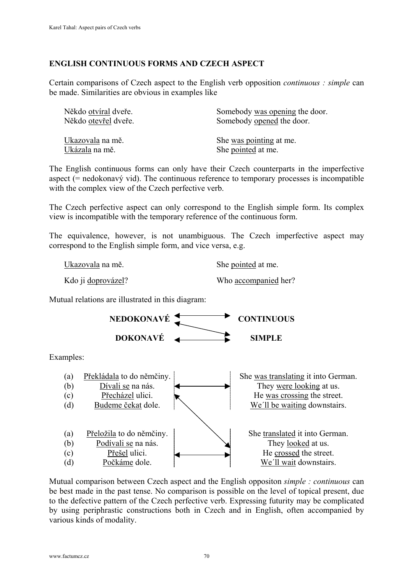#### **ENGLISH CONTINUOUS FORMS AND CZECH ASPECT**

Certain comparisons of Czech aspect to the English verb opposition *continuous : simple* can be made. Similarities are obvious in examples like

| Někdo otvíral dveře. | Somebody was opening the door. |
|----------------------|--------------------------------|
| Někdo otevřel dveře. | Somebody opened the door.      |
| Ukazovala na mě.     | She was pointing at me.        |
| Ukázala na mě.       | She pointed at me.             |

The English continuous forms can only have their Czech counterparts in the imperfective aspect (= nedokonavý vid). The continuous reference to temporary processes is incompatible with the complex view of the Czech perfective verb.

The Czech perfective aspect can only correspond to the English simple form. Its complex view is incompatible with the temporary reference of the continuous form.

The equivalence, however, is not unambiguous. The Czech imperfective aspect may correspond to the English simple form, and vice versa, e.g.

Ukazovala na mě.<br>
She pointed at me.

Kdo ji <u>doprovázel</u>? Who <u>accompanied</u> her?

Mutual relations are illustrated in this diagram:



Mutual comparison between Czech aspect and the English oppositon *simple : continuous* can be best made in the past tense. No comparison is possible on the level of topical present, due to the defective pattern of the Czech perfective verb. Expressing futurity may be complicated by using periphrastic constructions both in Czech and in English, often accompanied by various kinds of modality.